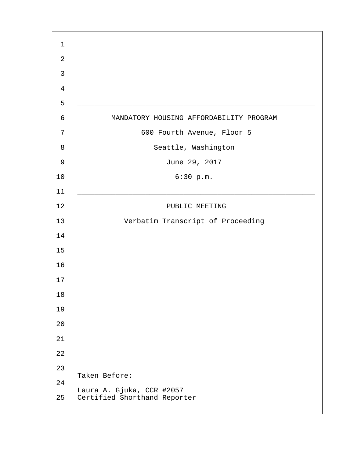| MANDATORY HOUSING AFFORDABILITY PROGRAM                   |
|-----------------------------------------------------------|
| 600 Fourth Avenue, Floor 5                                |
| Seattle, Washington                                       |
| June 29, 2017                                             |
| 6:30 p.m.                                                 |
|                                                           |
| PUBLIC MEETING                                            |
| Verbatim Transcript of Proceeding                         |
|                                                           |
|                                                           |
|                                                           |
|                                                           |
|                                                           |
|                                                           |
|                                                           |
|                                                           |
|                                                           |
|                                                           |
| Taken Before:                                             |
| Laura A. Gjuka, CCR #2057<br>Certified Shorthand Reporter |
|                                                           |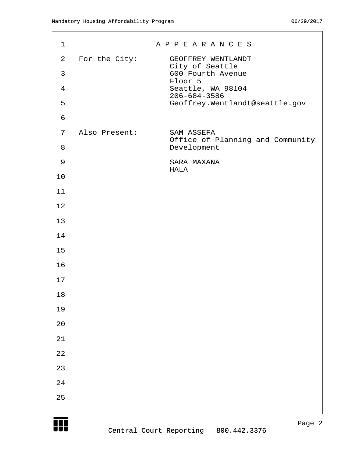| $\mathbf{1}$                   |               | A P P E A R A N C E S                                      |
|--------------------------------|---------------|------------------------------------------------------------|
| $\overline{2}$<br>$\mathsf{3}$ | For the City: | GEOFFREY WENTLANDT<br>City of Seattle<br>600 Fourth Avenue |
| $\overline{4}$                 |               | Floor 5<br>Seattle, WA 98104                               |
| 5                              |               | $206 - 684 - 3586$<br>Geoffrey.Wentlandt@seattle.gov       |
| $\epsilon$                     |               |                                                            |
| 7                              | Also Present: | SAM ASSEFA<br>Office of Planning and Community             |
| 8                              |               | Development                                                |
| $\mathsf 9$                    |               | SARA MAXANA<br>HALA                                        |
| 10                             |               |                                                            |
| 11                             |               |                                                            |
| 12                             |               |                                                            |
| 13                             |               |                                                            |
| 14                             |               |                                                            |
| 15                             |               |                                                            |
| 16                             |               |                                                            |
| 17                             |               |                                                            |
| $18\,$                         |               |                                                            |
| 19                             |               |                                                            |
| 20                             |               |                                                            |
| $2\sqrt{1}$                    |               |                                                            |
| $2\sqrt{2}$                    |               |                                                            |
| 23                             |               |                                                            |
| $2\sqrt{4}$                    |               |                                                            |
| 25                             |               |                                                            |
|                                |               |                                                            |

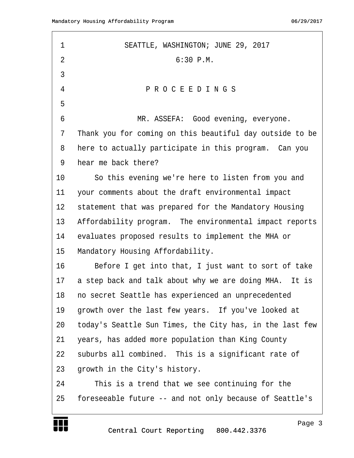| 1              | SEATTLE, WASHINGTON; JUNE 29, 2017                       |
|----------------|----------------------------------------------------------|
| $\overline{2}$ | $6:30$ P.M.                                              |
| 3              |                                                          |
| 4              | PROCEEDINGS                                              |
| 5              |                                                          |
| 6              | MR. ASSEFA: Good evening, everyone.                      |
| 7              | Thank you for coming on this beautiful day outside to be |
| 8              | here to actually participate in this program. Can you    |
| 9              | hear me back there?                                      |
| 10             | So this evening we're here to listen from you and        |
| 11             | your comments about the draft environmental impact       |
| 12             | statement that was prepared for the Mandatory Housing    |
| 13             | Affordability program. The environmental impact reports  |
| 14             | evaluates proposed results to implement the MHA or       |
| 15             | Mandatory Housing Affordability.                         |
| 16             | Before I get into that, I just want to sort of take      |
| 17             | a step back and talk about why we are doing MHA. It is   |
| 18             | no secret Seattle has experienced an unprecedented       |
| 19             | growth over the last few years. If you've looked at      |
| 20             | today's Seattle Sun Times, the City has, in the last few |
| 21             | years, has added more population than King County        |
| 22             | suburbs all combined. This is a significant rate of      |
| 23             | growth in the City's history.                            |
| 24             | This is a trend that we see continuing for the           |
| 25             | foreseeable future -- and not only because of Seattle's  |

Central Court Reporting 800.442.3376

W

http://www.yeslaw.net/help

net/help Law. yesl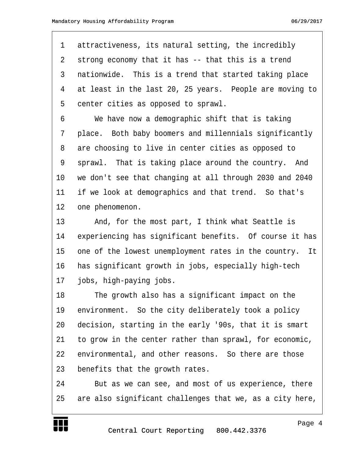1 attractiveness, its natural setting, the incredibly 2 strong economy that it has -- that this is a trend 3 nationwide. This is a trend that started taking place 4 at least in the last 20, 25 years. People are moving to 5 center cities as opposed to sprawl.

·6· · · ·We have now a demographic shift that is taking 7 place. Both baby boomers and millennials significantly 8 are choosing to live in center cities as opposed to 9 sprawl. That is taking place around the country. And 10 we don't see that changing at all through 2030 and 2040 11 if we look at demographics and that trend. So that's 12 one phenomenon.

13 · · · And, for the most part, I think what Seattle is 14 experiencing has significant benefits. Of course it has 15 one of the lowest unemployment rates in the country. It 16 has significant growth in jobs, especially high-tech 17 jobs, high-paying jobs.

18 The growth also has a significant impact on the 19 environment. So the city deliberately took a policy 20 decision, starting in the early '90s, that it is smart 21 to grow in the center rather than sprawl, for economic, 22 environmental, and other reasons. So there are those 23 benefits that the growth rates.

24 • But as we can see, and most of us experience, there 25 are also significant challenges that we, as a city here, http://www.yeslaw.net/help

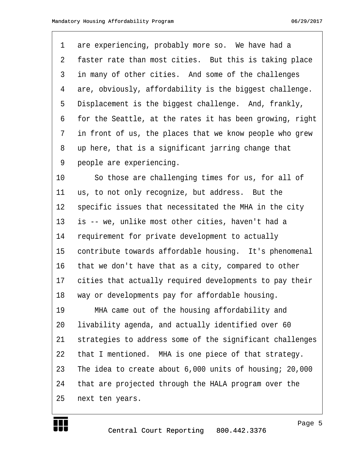| $\mathbf 1$ | are experiencing, probably more so. We have had a        |
|-------------|----------------------------------------------------------|
| 2           | faster rate than most cities. But this is taking place   |
| 3           | in many of other cities. And some of the challenges      |
| 4           | are, obviously, affordability is the biggest challenge.  |
| 5           | Displacement is the biggest challenge. And, frankly,     |
| 6           | for the Seattle, at the rates it has been growing, right |
| 7           | in front of us, the places that we know people who grew  |
| 8           | up here, that is a significant jarring change that       |
| 9           | people are experiencing.                                 |
| 10          | So those are challenging times for us, for all of        |
| 11          | us, to not only recognize, but address. But the          |
| 12          | specific issues that necessitated the MHA in the city    |
| 13          | is -- we, unlike most other cities, haven't had a        |
| 14          | requirement for private development to actually          |
| 15          | contribute towards affordable housing. It's phenomenal   |
| 16          | that we don't have that as a city, compared to other     |
| 17          | cities that actually required developments to pay their  |
| 18          | way or developments pay for affordable housing.          |
| 19          | MHA came out of the housing affordability and            |
| 20          | livability agenda, and actually identified over 60       |
| 21          | strategies to address some of the significant challenges |
| 22          | that I mentioned. MHA is one piece of that strategy.     |
| 23          | The idea to create about 6,000 units of housing; 20,000  |
| 24          | that are projected through the HALA program over the     |
| 25          | next ten years.                                          |

http://www.yeslaw.net/help

net/help  $y$ eslaw.

W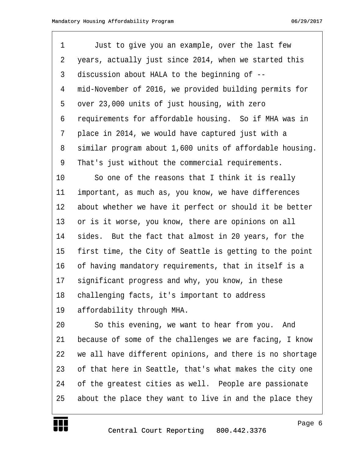1 Just to give you an example, over the last few 2 years, actually just since 2014, when we started this 3 discussion about HALA to the beginning of --4 mid-November of 2016, we provided building permits for 5 over 23,000 units of just housing, with zero 6 requirements for affordable housing. So if MHA was in 7 place in 2014, we would have captured just with a 8 similar program about 1,600 units of affordable housing. 9 That's just without the commercial requirements. 10 · · So one of the reasons that I think it is really 11 important, as much as, you know, we have differences 12 about whether we have it perfect or should it be better 13 or is it worse, you know, there are opinions on all 14 sides. But the fact that almost in 20 years, for the 15 first time, the City of Seattle is getting to the point 16 of having mandatory requirements, that in itself is a 17 significant progress and why, you know, in these 18 challenging facts, it's important to address 19 affordability through MHA.

20 · · · So this evening, we want to hear from you. And 21 because of some of the challenges we are facing, I know 22 we all have different opinions, and there is no shortage 23 of that here in Seattle, that's what makes the city one 24 of the greatest cities as well. People are passionate 25 about the place they want to live in and the place they

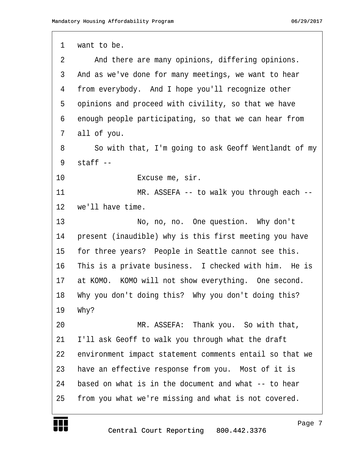| 1  | want to be.                                             |
|----|---------------------------------------------------------|
| 2  | And there are many opinions, differing opinions.        |
| 3  | And as we've done for many meetings, we want to hear    |
| 4  | from everybody. And I hope you'll recognize other       |
| 5  | opinions and proceed with civility, so that we have     |
| 6  | enough people participating, so that we can hear from   |
| 7  | all of you.                                             |
| 8  | So with that, I'm going to ask Geoff Wentlandt of my    |
| 9  | $statf$ --                                              |
| 10 | Excuse me, sir.                                         |
| 11 | MR. ASSEFA -- to walk you through each --               |
| 12 | we'll have time.                                        |
| 13 | No, no, no. One question. Why don't                     |
| 14 | present (inaudible) why is this first meeting you have  |
| 15 | for three years? People in Seattle cannot see this.     |
| 16 | This is a private business. I checked with him. He is   |
| 17 | at KOMO. KOMO will not show everything. One second.     |
| 18 | Why you don't doing this? Why you don't doing this?     |
| 19 | Why?                                                    |
| 20 | MR. ASSEFA: Thank you. So with that,                    |
| 21 | I'll ask Geoff to walk you through what the draft       |
| 22 | environment impact statement comments entail so that we |
| 23 | have an effective response from you. Most of it is      |
| 24 | based on what is in the document and what $-$ to hear   |
| 25 | from you what we're missing and what is not covered.    |
|    |                                                         |

W

Page 7

http://www.yeslaw.net/help

net/help  $y$ eslaw.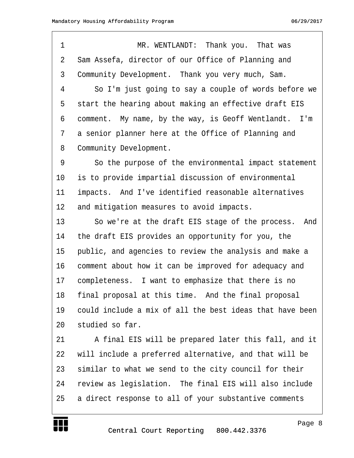·1· · · · · · · · ·MR. WENTLANDT:· Thank you.· That was 2 Sam Assefa, director of our Office of Planning and 3 Community Development. Thank you very much, Sam. 4 · · So I'm just going to say a couple of words before we 5 start the hearing about making an effective draft EIS 6 comment. My name, by the way, is Geoff Wentlandt. I'm 7 a senior planner here at the Office of Planning and 8 Community Development. 9 · · · So the purpose of the environmental impact statement 10 is to provide impartial discussion of environmental 11 impacts. And I've identified reasonable alternatives 12 and mitigation measures to avoid impacts. 13 · · So we're at the draft EIS stage of the process. And 14 the draft EIS provides an opportunity for you, the 15 • public, and agencies to review the analysis and make a 16 comment about how it can be improved for adequacy and 17 completeness. I want to emphasize that there is no 18 final proposal at this time. And the final proposal 19 · could include a mix of all the best ideas that have been 20 studied so far. 21 • • A final EIS will be prepared later this fall, and it 22 vill include a preferred alternative, and that will be 23 similar to what we send to the city council for their 24 review as legislation. The final EIS will also include 25 a direct response to all of your substantive comments



Page 8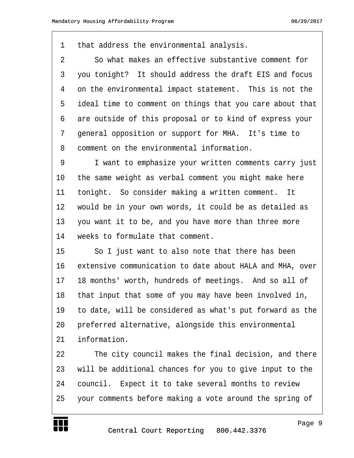1 that address the environmental analysis.

2 · · So what makes an effective substantive comment for 3 you tonight? It should address the draft EIS and focus 4 on the environmental impact statement. This is not the 5 ideal time to comment on things that you care about that 6 are outside of this proposal or to kind of express your 7 general opposition or support for MHA. It's time to 8 comment on the environmental information.

9 T want to emphasize your written comments carry just 10 the same weight as verbal comment you might make here 11 tonight. So consider making a written comment. It 12 would be in your own words, it could be as detailed as 13 you want it to be, and you have more than three more 14 veeks to formulate that comment.

15 · · · So I just want to also note that there has been 16 extensive communication to date about HALA and MHA, over 17 18 months' worth, hundreds of meetings. And so all of 18 that input that some of you may have been involved in, 19 to date, will be considered as what's put forward as the 20 preferred alternative, alongside this environmental 21 information.

22 The city council makes the final decision, and there 23 will be additional chances for you to give input to the 24 council. Expect it to take several months to review 25 · your comments before making a vote around the spring of

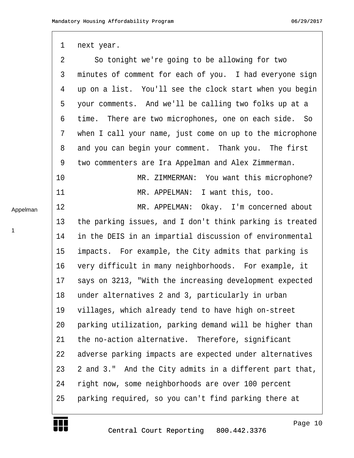## 1 next year. 2 · So tonight we're going to be allowing for two 3 minutes of comment for each of you. I had everyone sign 4 up on a list. You'll see the clock start when you begin 5 your comments. And we'll be calling two folks up at a 6 time. There are two microphones, one on each side. So 7 when I call your name, just come on up to the microphone 8 and you can begin your comment. Thank you. The first 9 two commenters are Ira Appelman and Alex Zimmerman. 10· · · · · · · · ·MR. ZIMMERMAN:· You want this microphone? 11 **In a suppELMAN:** I want this, too. 12 MR. APPELMAN: Okay. I'm concerned about 13 the parking issues, and I don't think parking is treated 14 in the DEIS in an impartial discussion of environmental 15 impacts. For example, the City admits that parking is 16 very difficult in many neighborhoods. For example, it 17 says on 3213, "With the increasing development expected 18 under alternatives 2 and 3, particularly in urban 19 villages, which already tend to have high on-street 20 · parking utilization, parking demand will be higher than 21 the no-action alternative. Therefore, significant 22 adverse parking impacts are expected under alternatives 23 2 and 3." And the City admits in a different part that, 24 · right now, some neighborhoods are over 100 percent 25 · parking required, so you can't find parking there at Appelman



1

Page 10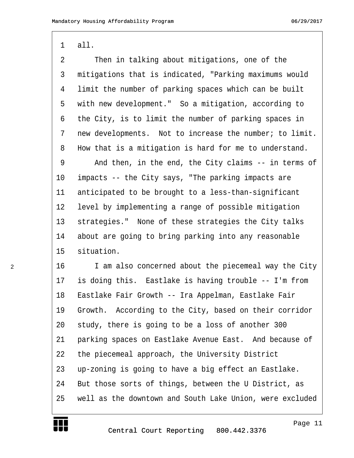1 all.

| 2              | Then in talking about mitigations, one of the            |
|----------------|----------------------------------------------------------|
| $\mathfrak{Z}$ | mitigations that is indicated, "Parking maximums would   |
| 4              | limit the number of parking spaces which can be built    |
| 5              | with new development." So a mitigation, according to     |
| 6              | the City, is to limit the number of parking spaces in    |
| 7              | new developments. Not to increase the number; to limit.  |
| 8              | How that is a mitigation is hard for me to understand.   |
| 9              | And then, in the end, the City claims -- in terms of     |
| $10 \,$        | impacts -- the City says, "The parking impacts are       |
| 11             | anticipated to be brought to a less-than-significant     |
| 12             | level by implementing a range of possible mitigation     |
| 13             | strategies." None of these strategies the City talks     |
| 14             | about are going to bring parking into any reasonable     |
| 15             | situation.                                               |
| 16             | I am also concerned about the piecemeal way the City     |
| 17             | is doing this. Eastlake is having trouble -- I'm from    |
| 18             | Eastlake Fair Growth -- Ira Appelman, Eastlake Fair      |
| 19             | Growth. According to the City, based on their corridor   |
| 20             | study, there is going to be a loss of another 300        |
| 21             | parking spaces on Eastlake Avenue East. And because of   |
| 22             | the piecemeal approach, the University District          |
| 23             | up-zoning is going to have a big effect an Eastlake.     |
| 24             | But those sorts of things, between the U District, as    |
| 25             | well as the downtown and South Lake Union, were excluded |



W

2

Page 11

http://www.yeslaw.net/help

net/help Law. res1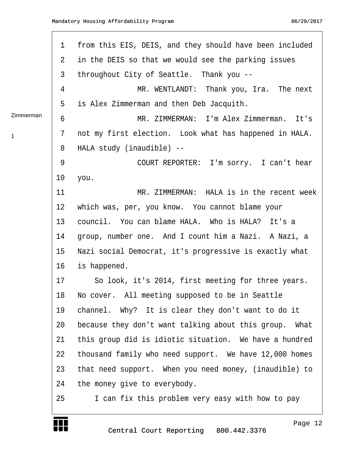|           | $\mathbf 1$ | from this EIS, DEIS, and they should have been included |
|-----------|-------------|---------------------------------------------------------|
|           | 2           | in the DEIS so that we would see the parking issues     |
|           | 3           | throughout City of Seattle. Thank you --                |
|           | 4           | MR. WENTLANDT: Thank you, Ira. The next                 |
|           | 5           | is Alex Zimmerman and then Deb Jacquith.                |
| Zimmerman | 6           | MR. ZIMMERMAN: I'm Alex Zimmerman. It's                 |
| 1         | 7           | not my first election. Look what has happened in HALA.  |
|           | 8           | HALA study (inaudible) --                               |
|           | 9           | COURT REPORTER: I'm sorry. I can't hear                 |
|           | 10          | you.                                                    |
|           | 11          | MR. ZIMMERMAN: HALA is in the recent week               |
|           | 12          | which was, per, you know. You cannot blame your         |
|           | 13          | council. You can blame HALA. Who is HALA? It's a        |
|           | 14          | group, number one. And I count him a Nazi. A Nazi, a    |
|           | 15          | Nazi social Democrat, it's progressive is exactly what  |
|           | 16          | is happened.                                            |
|           | 17          | So look, it's 2014, first meeting for three years.      |
|           | 18          | No cover. All meeting supposed to be in Seattle         |
|           | 19          | channel. Why? It is clear they don't want to do it      |
|           | 20          | because they don't want talking about this group. What  |
|           | 21          | this group did is idiotic situation. We have a hundred  |
|           | 22          | thousand family who need support. We have 12,000 homes  |
|           | 23          | that need support. When you need money, (inaudible) to  |
|           | 24          | the money give to everybody.                            |
|           | 25          | I can fix this problem very easy with how to pay        |
|           |             |                                                         |

http://www.yeslaw.net/help

net/help Law. res1

T UT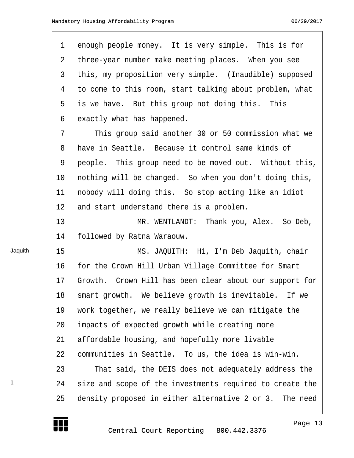| $\mathbf 1$ | enough people money. It is very simple. This is for        |
|-------------|------------------------------------------------------------|
| 2           | three-year number make meeting places. When you see        |
| 3           | this, my proposition very simple. (Inaudible) supposed     |
| 4           | to come to this room, start talking about problem, what    |
| 5           | is we have. But this group not doing this. This            |
| 6           | exactly what has happened.                                 |
| 7           | This group said another 30 or 50 commission what we        |
| 8           | have in Seattle. Because it control same kinds of          |
| 9           | people. This group need to be moved out. Without this,     |
| 10          | nothing will be changed. So when you don't doing this,     |
| 11          | nobody will doing this. So stop acting like an idiot       |
| 12          | and start understand there is a problem.                   |
| 13          | MR. WENTLANDT: Thank you, Alex. So Deb,                    |
| 14          | followed by Ratna Waraouw.                                 |
| 15          | MS. JAQUITH: Hi, I'm Deb Jaquith, chair                    |
| 16          | for the Crown Hill Urban Village Committee for Smart       |
| 17          | Growth.<br>Crown Hill has been clear about our support for |
| 18          | smart growth. We believe growth is inevitable. If we       |
| 19          | work together, we really believe we can mitigate the       |
| 20          | impacts of expected growth while creating more             |
| 21          | affordable housing, and hopefully more livable             |
| 22          | communities in Seattle. To us, the idea is win-win.        |
| 23          | That said, the DEIS does not adequately address the        |
| 24          | size and scope of the investments required to create the   |
| 25          | density proposed in either alternative 2 or 3. The need    |

Jaquith

1

yeslaw.net/help http://www.yeslaw.net/help

W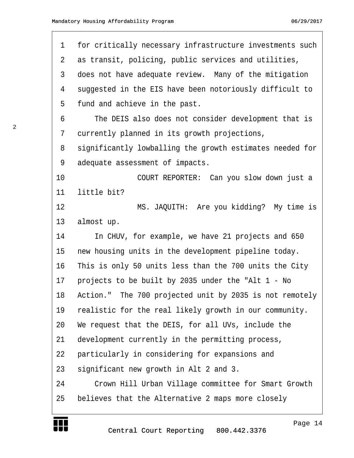| $\mathbf 1$    | for critically necessary infrastructure investments such |
|----------------|----------------------------------------------------------|
| $\overline{2}$ | as transit, policing, public services and utilities,     |
| $\mathfrak{Z}$ | does not have adequate review. Many of the mitigation    |
| 4              | suggested in the EIS have been notoriously difficult to  |
| 5              | fund and achieve in the past.                            |
| 6              | The DEIS also does not consider development that is      |
| 7              | currently planned in its growth projections,             |
| 8              | significantly lowballing the growth estimates needed for |
| 9              | adequate assessment of impacts.                          |
| 10             | COURT REPORTER: Can you slow down just a                 |
| 11             | little bit?                                              |
| 12             | MS. JAQUITH: Are you kidding? My time is                 |
| 13             | almost up.                                               |
| 14             | In CHUV, for example, we have 21 projects and 650        |
| 15             | new housing units in the development pipeline today.     |
| 16             | This is only 50 units less than the 700 units the City   |
| 17             | projects to be built by 2035 under the "Alt 1 - No       |
| 18             | Action." The 700 projected unit by 2035 is not remotely  |
| 19             | realistic for the real likely growth in our community.   |
| 20             | We request that the DEIS, for all UVs, include the       |
| 21             | development currently in the permitting process,         |
| 22             | particularly in considering for expansions and           |
| 23             | significant new growth in Alt 2 and 3.                   |
| 24             | Crown Hill Urban Village committee for Smart Growth      |
| 25             | believes that the Alternative 2 maps more closely        |



Page 14

http://www.yeslaw.net/help

net/help Law. yesl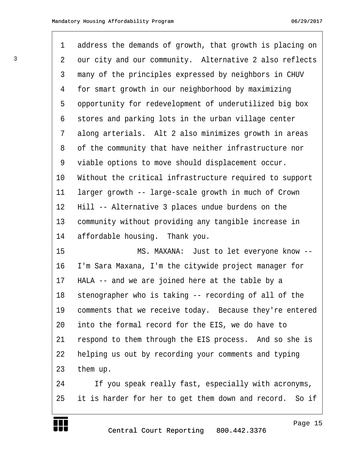| $\mathbf 1$ | address the demands of growth, that growth is placing on |
|-------------|----------------------------------------------------------|
| 2           | our city and our community. Alternative 2 also reflects  |
| 3           | many of the principles expressed by neighbors in CHUV    |
| 4           | for smart growth in our neighborhood by maximizing       |
| 5           | opportunity for redevelopment of underutilized big box   |
| 6           | stores and parking lots in the urban village center      |
| 7           | along arterials. Alt 2 also minimizes growth in areas    |
| 8           | of the community that have neither infrastructure nor    |
| 9           | viable options to move should displacement occur.        |
| 10          | Without the critical infrastructure required to support  |
| 11          | larger growth -- large-scale growth in much of Crown     |
| 12          | Hill -- Alternative 3 places undue burdens on the        |
| 13          | community without providing any tangible increase in     |
| 14          | affordable housing. Thank you.                           |
| 15          | MS. MAXANA: Just to let everyone know --                 |
| 16          | I'm Sara Maxana, I'm the citywide project manager for    |
| 17          | HALA -- and we are joined here at the table by a         |
| 18          | stenographer who is taking -- recording of all of the    |
| 19          | comments that we receive today. Because they're entered  |
| 20          | into the formal record for the EIS, we do have to        |
| 21          | respond to them through the EIS process. And so she is   |
| 22          | helping us out by recording your comments and typing     |
| 23          | them up.                                                 |
| 24          | If you speak really fast, especially with acronyms,      |
| 25          | it is harder for her to get them down and record. So if  |

W

Page 15

http://www.yeslaw.net/help

attp:

/www.yeslaw.net/help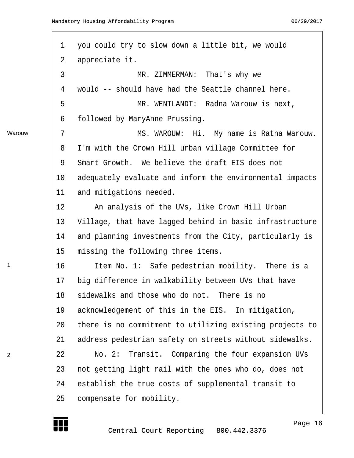$\Gamma$ 

₩

|        | $\mathbf 1$    | you could try to slow down a little bit, we would        |
|--------|----------------|----------------------------------------------------------|
|        | $\overline{2}$ | appreciate it.                                           |
|        | $\mathfrak{Z}$ | MR. ZIMMERMAN: That's why we                             |
|        | 4              | would -- should have had the Seattle channel here.       |
|        | 5              | MR. WENTLANDT: Radna Warouw is next,                     |
|        | 6              | followed by MaryAnne Prussing.                           |
| Warouw | $7\phantom{.}$ | MS. WAROUW: Hi. My name is Ratna Warouw.                 |
|        | 8              | I'm with the Crown Hill urban village Committee for      |
|        | 9              | Smart Growth. We believe the draft EIS does not          |
|        | $10 \,$        | adequately evaluate and inform the environmental impacts |
|        | 11             | and mitigations needed.                                  |
|        | 12             | An analysis of the UVs, like Crown Hill Urban            |
|        | 13             | Village, that have lagged behind in basic infrastructure |
|        | 14             | and planning investments from the City, particularly is  |
|        | 15             | missing the following three items.                       |
| 1      | 16             | Item No. 1: Safe pedestrian mobility. There is a         |
|        | 17             | big difference in walkability between UVs that have      |
|        | 18             | sidewalks and those who do not. There is no              |
|        | 19             | acknowledgement of this in the EIS. In mitigation,       |
|        | 20             | there is no commitment to utilizing existing projects to |
|        | 21             | address pedestrian safety on streets without sidewalks.  |
| 2      | 22             | Transit. Comparing the four expansion UVs<br>No. 2:      |
|        | 23             | not getting light rail with the ones who do, does not    |
|        | 24             | establish the true costs of supplemental transit to      |
|        | 25             | compensate for mobility.                                 |
|        |                |                                                          |

Page 16

http://www.yeslaw.net/help

net/help Law. res1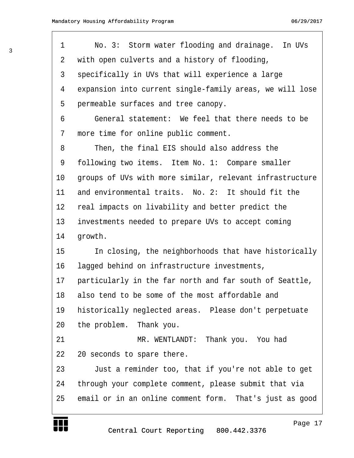| 1              | No. 3: Storm water flooding and drainage. In UVs         |
|----------------|----------------------------------------------------------|
| $\overline{2}$ | with open culverts and a history of flooding,            |
| 3              | specifically in UVs that will experience a large         |
| 4              | expansion into current single-family areas, we will lose |
| 5              | permeable surfaces and tree canopy.                      |
| 6              | General statement: We feel that there needs to be        |
| 7              | more time for online public comment.                     |
| 8              | Then, the final EIS should also address the              |
| 9              | following two items. Item No. 1: Compare smaller         |
| 10             | groups of UVs with more similar, relevant infrastructure |
| 11             | and environmental traits. No. 2: It should fit the       |
| 12             | real impacts on livability and better predict the        |
| 13             | investments needed to prepare UVs to accept coming       |
| 14             | growth.                                                  |
| 15             | In closing, the neighborhoods that have historically     |
| 16             | lagged behind on infrastructure investments,             |
| 17             | particularly in the far north and far south of Seattle,  |
| 18             | also tend to be some of the most affordable and          |
| 19             | historically neglected areas. Please don't perpetuate    |
| 20             | the problem. Thank you.                                  |
| 21             | MR. WENTLANDT: Thank you. You had                        |
| 22             | 20 seconds to spare there.                               |
| 23             | Just a reminder too, that if you're not able to get      |
| 24             | through your complete comment, please submit that via    |
| 25             | email or in an online comment form. That's just as good  |
|                |                                                          |

yeslaw.net/help http://www.yeslaw.net/help

Central Court Reporting 800.442.3376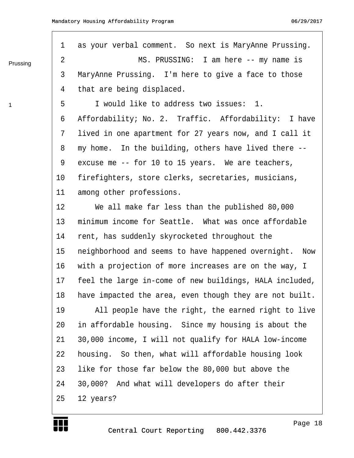Prussing

1

| $\mathbf 1$     | as your verbal comment. So next is MaryAnne Prussing.     |
|-----------------|-----------------------------------------------------------|
| 2               | MS. PRUSSING: I am here -- my name is                     |
| 3               | MaryAnne Prussing. I'm here to give a face to those       |
| 4               | that are being displaced.                                 |
| 5               | I would like to address two issues: 1.                    |
| 6               | Affordability; No. 2. Traffic. Affordability: I have      |
| 7               | lived in one apartment for 27 years now, and I call it    |
| 8               | my home. In the building, others have lived there --      |
| 9               | excuse me -- for 10 to 15 years. We are teachers,         |
| $10 \,$         | firefighters, store clerks, secretaries, musicians,       |
| 11              | among other professions.                                  |
| 12              | We all make far less than the published 80,000            |
| 13              | minimum income for Seattle. What was once affordable      |
| 14              | rent, has suddenly skyrocketed throughout the             |
| 15              | neighborhood and seems to have happened overnight.<br>Now |
| 16              | with a projection of more increases are on the way, I     |
| 17 <sub>2</sub> | feel the large in-come of new buildings, HALA included,   |
| 18              | have impacted the area, even though they are not built.   |
| 19              | All people have the right, the earned right to live       |
| 20              | in affordable housing. Since my housing is about the      |
| 21              | 30,000 income, I will not qualify for HALA low-income     |
| 22              | housing. So then, what will affordable housing look       |
| 23              | like for those far below the 80,000 but above the         |
| 24              | 30,000? And what will developers do after their           |
| 25              | 12 years?                                                 |
|                 |                                                           |

Page 18

http://www.yeslaw.net/help

net/help Law. yesl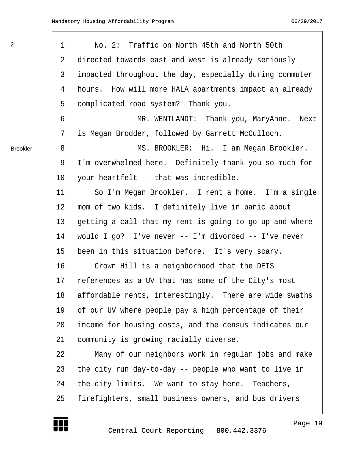$\Gamma$ 

₩

| 2               | 1  | No. 2: Traffic on North 45th and North 50th              |
|-----------------|----|----------------------------------------------------------|
|                 | 2  | directed towards east and west is already seriously      |
|                 | 3  | impacted throughout the day, especially during commuter  |
|                 | 4  | hours. How will more HALA apartments impact an already   |
|                 | 5  | complicated road system? Thank you.                      |
|                 | 6  | MR. WENTLANDT: Thank you, MaryAnne.<br>Next              |
|                 | 7  | is Megan Brodder, followed by Garrett McCulloch.         |
| <b>Brookler</b> | 8  | MS. BROOKLER: Hi. I am Megan Brookler.                   |
|                 | 9  | I'm overwhelmed here. Definitely thank you so much for   |
|                 | 10 | your heartfelt -- that was incredible.                   |
|                 | 11 | So I'm Megan Brookler. I rent a home. I'm a single       |
|                 | 12 | mom of two kids. I definitely live in panic about        |
|                 | 13 | getting a call that my rent is going to go up and where  |
|                 | 14 | would I go? I've never $--$ I'm divorced $--$ I've never |
|                 | 15 | been in this situation before. It's very scary.          |
|                 | 16 | Crown Hill is a neighborhood that the DEIS               |
|                 | 17 | references as a UV that has some of the City's most      |
|                 | 18 | affordable rents, interestingly. There are wide swaths   |
|                 | 19 | of our UV where people pay a high percentage of their    |
|                 | 20 | income for housing costs, and the census indicates our   |
|                 | 21 | community is growing racially diverse.                   |
|                 | 22 | Many of our neighbors work in regular jobs and make      |
|                 | 23 | the city run day-to-day -- people who want to live in    |
|                 | 24 | the city limits. We want to stay here. Teachers,         |
|                 | 25 | firefighters, small business owners, and bus drivers     |
|                 |    |                                                          |

Page 19

http://www.yeslaw.net/help

http:

net/help .yeslaw.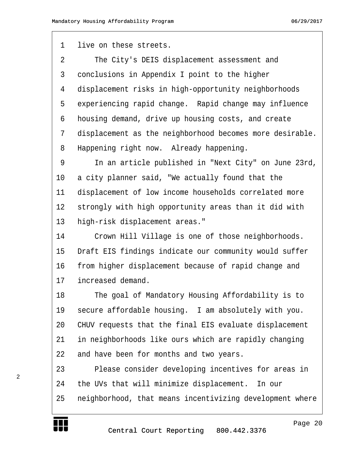1 live on these streets.

2 The City's DEIS displacement assessment and 3 conclusions in Appendix I point to the higher 4 displacement risks in high-opportunity neighborhoods 5 experiencing rapid change. Rapid change may influence 6 housing demand, drive up housing costs, and create 7 displacement as the neighborhood becomes more desirable. 8 Happening right now. Already happening.

9 · · · In an article published in "Next City" on June 23rd, 10 a city planner said, "We actually found that the 11 displacement of low income households correlated more 12 strongly with high opportunity areas than it did with 13 high-risk displacement areas."

14 · Crown Hill Village is one of those neighborhoods. 15 Draft EIS findings indicate our community would suffer 16 from higher displacement because of rapid change and 17 increased demand.

18 The goal of Mandatory Housing Affordability is to 19 secure affordable housing. I am absolutely with you. 20 CHUV requests that the final EIS evaluate displacement 21 in neighborhoods like ours which are rapidly changing 22 and have been for months and two years.

23 · · · · Please consider developing incentives for areas in 24 the UVs that will minimize displacement. In our 25 neighborhood, that means incentivizing development where

http://www.yeslaw.net/help



2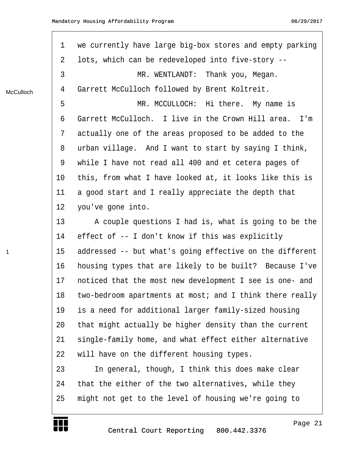| $\mathbf 1$ | we currently have large big-box stores and empty parking |
|-------------|----------------------------------------------------------|
| 2           | lots, which can be redeveloped into five-story --        |
| 3           | MR. WENTLANDT: Thank you, Megan.                         |
| 4           | Garrett McCulloch followed by Brent Koltreit.            |
| 5           | MR. MCCULLOCH: Hi there. My name is                      |
| 6           | Garrett McCulloch. I live in the Crown Hill area. I'm    |
| 7           | actually one of the areas proposed to be added to the    |
| 8           | urban village. And I want to start by saying I think,    |
| 9           | while I have not read all 400 and et cetera pages of     |
| $10 \,$     | this, from what I have looked at, it looks like this is  |
| 11          | a good start and I really appreciate the depth that      |
| 12          | you've gone into.                                        |
| 13          | A couple questions I had is, what is going to be the     |
| 14          | effect of -- I don't know if this was explicitly         |
| 15          | addressed -- but what's going effective on the different |
| 16          | housing types that are likely to be built? Because I've  |
| 17          | noticed that the most new development I see is one- and  |
| 18          | two-bedroom apartments at most; and I think there really |
| 19          | is a need for additional larger family-sized housing     |
| 20          | that might actually be higher density than the current   |
| 21          | single-family home, and what effect either alternative   |
| 22          | will have on the different housing types.                |
| 23          | In general, though, I think this does make clear         |
| 24          | that the either of the two alternatives, while they      |
| 25          | might not get to the level of housing we're going to     |
|             |                                                          |

McCulloch

Г

1

Page 21

http://www.yeslaw.net/help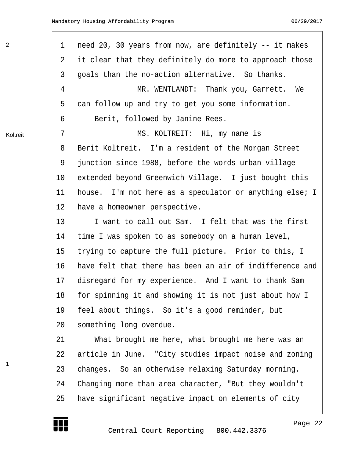| $\overline{2}$ | 1              | need 20, 30 years from now, are definitely -- it makes   |
|----------------|----------------|----------------------------------------------------------|
|                | $\overline{2}$ | it clear that they definitely do more to approach those  |
|                | 3              | goals than the no-action alternative. So thanks.         |
|                | 4              | MR. WENTLANDT: Thank you, Garrett. We                    |
|                | 5              | can follow up and try to get you some information.       |
|                | 6              | Berit, followed by Janine Rees.                          |
| Koltreit       | 7              | MS. KOLTREIT: Hi, my name is                             |
|                | 8              | Berit Koltreit. I'm a resident of the Morgan Street      |
|                | 9              | junction since 1988, before the words urban village      |
|                | $10 \,$        | extended beyond Greenwich Village. I just bought this    |
|                | 11             | house. I'm not here as a speculator or anything else; I  |
|                | 12             | have a homeowner perspective.                            |
|                | 13             | I want to call out Sam. I felt that was the first        |
|                | 14             | time I was spoken to as somebody on a human level,       |
|                | 15             | trying to capture the full picture. Prior to this, I     |
|                | 16             | have felt that there has been an air of indifference and |
|                | 17             | disregard for my experience. And I want to thank Sam     |
|                | 18             | for spinning it and showing it is not just about how I   |
|                | 19             | feel about things. So it's a good reminder, but          |
|                | 20             | something long overdue.                                  |
|                | 21             | What brought me here, what brought me here was an        |
|                | 22             | article in June. "City studies impact noise and zoning   |
| 1              | 23             | changes. So an otherwise relaxing Saturday morning.      |
|                | 24             | Changing more than area character, "But they wouldn't    |
|                | 25             | have significant negative impact on elements of city     |
|                |                |                                                          |

Page 22

http://www.yeslaw.net/help

net/help

E E E

2

 $\Gamma$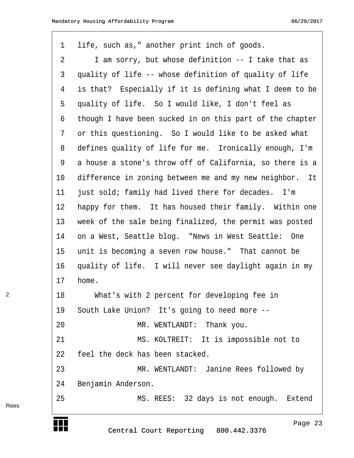| $\mathbf{1}$ | life, such as," another print inch of goods.             |
|--------------|----------------------------------------------------------|
| 2            | I am sorry, but whose definition -- I take that as       |
| 3            | quality of life -- whose definition of quality of life   |
| 4            | is that? Especially if it is defining what I deem to be  |
| 5            | quality of life. So I would like, I don't feel as        |
| 6            | though I have been sucked in on this part of the chapter |
| 7            | or this questioning. So I would like to be asked what    |
| 8            | defines quality of life for me. Ironically enough, I'm   |
| 9            | a house a stone's throw off of California, so there is a |
| $10\,$       | difference in zoning between me and my new neighbor. It  |
| 11           | just sold; family had lived there for decades. I'm       |
| 12           | happy for them. It has housed their family. Within one   |
| 13           | week of the sale being finalized, the permit was posted  |
| 14           | on a West, Seattle blog. "News in West Seattle: One      |
| 15           | unit is becoming a seven row house." That cannot be      |
| 16           | quality of life. I will never see daylight again in my   |
| 17           | home.                                                    |
| 18           | What's with 2 percent for developing fee in              |
| 19           | South Lake Union? It's going to need more --             |
| 20           | MR. WENTLANDT: Thank you.                                |
| 21           | MS. KOLTREIT: It is impossible not to                    |
| 22           | feel the deck has been stacked.                          |
| 23           | MR. WENTLANDT: Janine Rees followed by                   |
| 24           | Benjamin Anderson.                                       |
| 25           | MS. REES: 32 days is not enough. Extend                  |

Rees

2

**TENERAL PROPERTY** 

Page 23

http://www.yeslaw.net/help

http:

net/help yeslaw.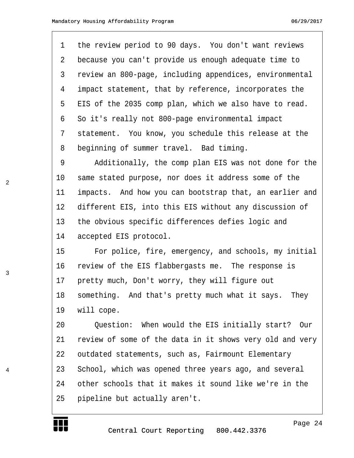1 the review period to 90 days. You don't want reviews 2 because you can't provide us enough adequate time to 3 review an 800-page, including appendices, environmental 4 impact statement, that by reference, incorporates the 5 EIS of the 2035 comp plan, which we also have to read. 6 So it's really not 800-page environmental impact 7 statement. You know, you schedule this release at the 8 beginning of summer travel. Bad timing.

9 · · · · Additionally, the comp plan EIS was not done for the 10 same stated purpose, nor does it address some of the 11 impacts. And how you can bootstrap that, an earlier and 12 different EIS, into this EIS without any discussion of 13 the obvious specific differences defies logic and 14 accepted EIS protocol.

15 • For police, fire, emergency, and schools, my initial 16 review of the EIS flabbergasts me. The response is 17 pretty much, Don't worry, they will figure out 18 something. And that's pretty much what it says. They 19 will cope.

20 • Ouestion: When would the EIS initially start? Our 21 review of some of the data in it shows very old and very 22 outdated statements, such as, Fairmount Elementary 23 School, which was opened three years ago, and several 24 other schools that it makes it sound like we're in the 25 · pipeline but actually aren't.



2

3

4

Page 24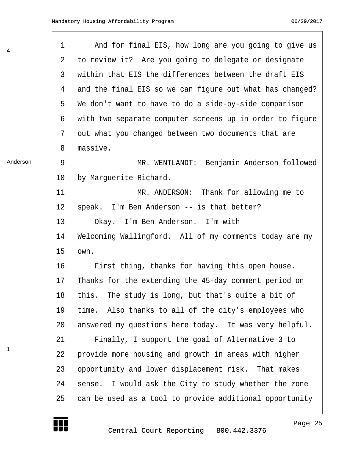| 4        | $\mathbf 1$ | And for final EIS, how long are you going to give us     |
|----------|-------------|----------------------------------------------------------|
|          | 2           | to review it? Are you going to delegate or designate     |
|          | 3           | within that EIS the differences between the draft EIS    |
|          | 4           | and the final EIS so we can figure out what has changed? |
|          | 5           | We don't want to have to do a side-by-side comparison    |
|          | 6           | with two separate computer screens up in order to figure |
|          | 7           | out what you changed between two documents that are      |
|          | 8           | massive.                                                 |
| Anderson | 9           | MR. WENTLANDT: Benjamin Anderson followed                |
|          | $10 \,$     | by Marguerite Richard.                                   |
|          | 11          | MR. ANDERSON: Thank for allowing me to                   |
|          | 12          | speak. I'm Ben Anderson -- is that better?               |
|          | 13          | Okay. I'm Ben Anderson. I'm with                         |
|          | 14          | Welcoming Wallingford. All of my comments today are my   |
|          | 15          | own.                                                     |
|          | 16          | First thing, thanks for having this open house.          |
|          | 17          | Thanks for the extending the 45-day comment period on    |
|          | 18          | this. The study is long, but that's quite a bit of       |
|          | 19          | Also thanks to all of the city's employees who<br>time.  |
|          | 20          | answered my questions here today. It was very helpful.   |
|          | 21          | Finally, I support the goal of Alternative 3 to          |
| 1        | 22          | provide more housing and growth in areas with higher     |
|          | 23          | opportunity and lower displacement risk. That makes      |
|          | 24          | sense. I would ask the City to study whether the zone    |
|          | 25          | can be used as a tool to provide additional opportunity  |
|          |             |                                                          |

Г

 $\Gamma$ 

http://www.yeslaw.net/help

net/help Law. res1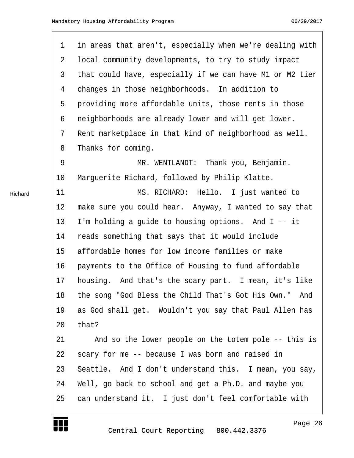| $\mathbf 1$    | in areas that aren't, especially when we're dealing with |
|----------------|----------------------------------------------------------|
| $\overline{2}$ | local community developments, to try to study impact     |
| 3              | that could have, especially if we can have M1 or M2 tier |
| 4              | changes in those neighborhoods. In addition to           |
| 5              | providing more affordable units, those rents in those    |
| 6              | neighborhoods are already lower and will get lower.      |
| 7              | Rent marketplace in that kind of neighborhood as well.   |
| 8              | Thanks for coming.                                       |
| 9              | MR. WENTLANDT: Thank you, Benjamin.                      |
| 10             | Marguerite Richard, followed by Philip Klatte.           |
| 11             | MS. RICHARD: Hello. I just wanted to                     |
| 12             | make sure you could hear. Anyway, I wanted to say that   |
| 13             | I'm holding a guide to housing options. And I -- it      |
| 14             | reads something that says that it would include          |
| 15             | affordable homes for low income families or make         |
| 16             | payments to the Office of Housing to fund affordable     |
| 17             | housing. And that's the scary part. I mean, it's like    |
| 18             | the song "God Bless the Child That's Got His Own." And   |
| 19             | as God shall get. Wouldn't you say that Paul Allen has   |
| 20             | that?                                                    |
| 21             | And so the lower people on the totem pole -- this is     |
| 22             | scary for me -- because I was born and raised in         |
| 23             | Seattle. And I don't understand this. I mean, you say,   |
| 24             | Well, go back to school and get a Ph.D. and maybe you    |
| 25             | can understand it. I just don't feel comfortable with    |
|                |                                                          |

Richard

₩

Central Court Reporting 800.442.3376

Page 26

http://www.yeslaw.net/help

net/help Law. re si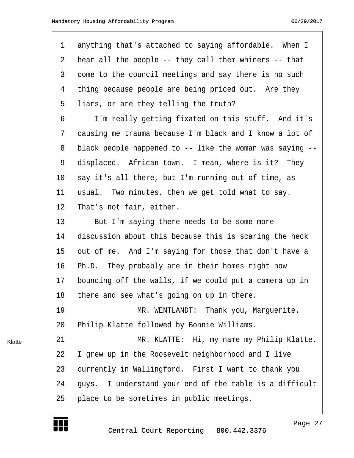| $\mathbf 1$ | anything that's attached to saying affordable. When I    |
|-------------|----------------------------------------------------------|
| 2           | hear all the people -- they call them whiners -- that    |
| 3           | come to the council meetings and say there is no such    |
| 4           | thing because people are being priced out. Are they      |
| 5           | liars, or are they telling the truth?                    |
| 6           | I'm really getting fixated on this stuff. And it's       |
| 7           | causing me trauma because I'm black and I know a lot of  |
| 8           | black people happened to -- like the woman was saying -- |
| 9           | displaced. African town. I mean, where is it? They       |
| 10          | say it's all there, but I'm running out of time, as      |
| 11          | usual. Two minutes, then we get told what to say.        |
| 12          | That's not fair, either.                                 |
| 13          | But I'm saying there needs to be some more               |
| 14          | discussion about this because this is scaring the heck   |
| 15          | out of me. And I'm saying for those that don't have a    |
| 16          | Ph.D. They probably are in their homes right now         |
| 17          | bouncing off the walls, if we could put a camera up in   |
| 18          | there and see what's going on up in there.               |
| 19          | MR. WENTLANDT: Thank you, Marquerite.                    |
| 20          | Philip Klatte followed by Bonnie Williams.               |
| 21          | MR. KLATTE: Hi, my name my Philip Klatte.                |
| 22          | I grew up in the Roosevelt neighborhood and I live       |
| 23          | currently in Wallingford. First I want to thank you      |
| 24          | guys. I understand your end of the table is a difficult  |
| 25          | place to be sometimes in public meetings.                |
|             |                                                          |

W

Klatte

Page 27

http://www.yeslaw.net/help

net/help Law. res1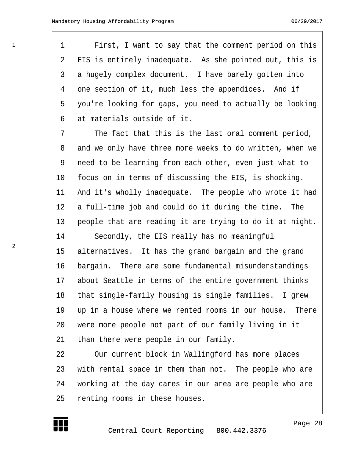1 First, I want to say that the comment period on this 2 EIS is entirely inadequate. As she pointed out, this is 3 a hugely complex document. I have barely gotten into 4 one section of it, much less the appendices. And if 5 you're looking for gaps, you need to actually be looking 6 at materials outside of it.

7 The fact that this is the last oral comment period, 8 and we only have three more weeks to do written, when we 9 need to be learning from each other, even just what to 10 focus on in terms of discussing the EIS, is shocking. 11 And it's wholly inadequate. The people who wrote it had 12 a full-time job and could do it during the time. The 13 people that are reading it are trying to do it at night.

14 · · Secondly, the EIS really has no meaningful 15 alternatives. It has the grand bargain and the grand 16 bargain. There are some fundamental misunderstandings 17 about Seattle in terms of the entire government thinks 18 that single-family housing is single families. I grew 19 up in a house where we rented rooms in our house. There 20 were more people not part of our family living in it 21 than there were people in our family.

22 Our current block in Wallingford has more places 23 with rental space in them than not. The people who are 24 · working at the day cares in our area are people who are 25 renting rooms in these houses.



Page 28

http://www.yeslaw.net/help

1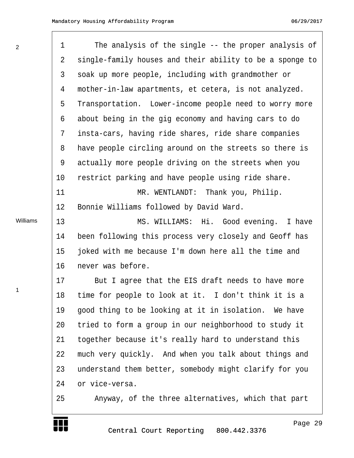2

 $\Gamma$ 

Williams

1

₩

| $\mathbf 1$ | The analysis of the single -- the proper analysis of     |
|-------------|----------------------------------------------------------|
| 2           | single-family houses and their ability to be a sponge to |
| 3           | soak up more people, including with grandmother or       |
| 4           | mother-in-law apartments, et cetera, is not analyzed.    |
| 5           | Transportation. Lower-income people need to worry more   |
| 6           | about being in the gig economy and having cars to do     |
| 7           | insta-cars, having ride shares, ride share companies     |
| 8           | have people circling around on the streets so there is   |
| 9           | actually more people driving on the streets when you     |
| $10 \,$     | restrict parking and have people using ride share.       |
| 11          | MR. WENTLANDT: Thank you, Philip.                        |
| 12          | Bonnie Williams followed by David Ward.                  |
| 13          | MS. WILLIAMS: Hi. Good evening. I have                   |
| 14          | been following this process very closely and Geoff has   |
| 15          | joked with me because I'm down here all the time and     |
| 16          | never was before.                                        |
| 17          | But I agree that the EIS draft needs to have more        |
| 18          | time for people to look at it. I don't think it is a     |
| 19          | good thing to be looking at it in isolation. We have     |
| 20          | tried to form a group in our neighborhood to study it    |
| 21          | together because it's really hard to understand this     |
| 22          | much very quickly. And when you talk about things and    |
| 23          | understand them better, somebody might clarify for you   |
| 24          | or vice-versa.                                           |
| 25          | Anyway, of the three alternatives, which that part       |
|             |                                                          |

Page 29

http://www.yeslaw.net/help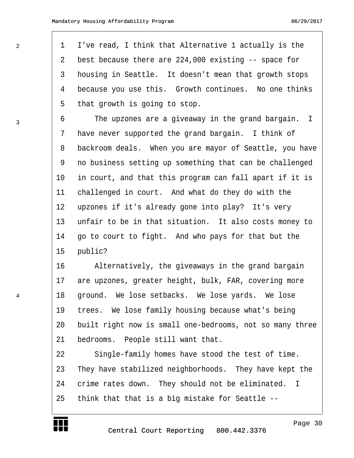1 I've read, I think that Alternative 1 actually is the 2 best because there are 224,000 existing -- space for 3 bousing in Seattle. It doesn't mean that growth stops 4 because you use this. Growth continues. No one thinks 5 that growth is going to stop.

6 · · · The upzones are a giveaway in the grand bargain. I 7 have never supported the grand bargain. I think of 8 backroom deals. When you are mayor of Seattle, you have 9 · no business setting up something that can be challenged 10 in court, and that this program can fall apart if it is 11 challenged in court. And what do they do with the 12 upzones if it's already gone into play? It's very 13 unfair to be in that situation. It also costs money to 14 go to court to fight. And who pays for that but the 15 public?

16 · · · · Alternatively, the giveaways in the grand bargain 17 are upzones, greater height, bulk, FAR, covering more 18 ground. We lose setbacks. We lose yards. We lose 19 trees. We lose family housing because what's being 20 built right now is small one-bedrooms, not so many three 21 bedrooms. People still want that.

22 Single-family homes have stood the test of time. 23 They have stabilized neighborhoods. They have kept the 24 crime rates down. They should not be eliminated. I 25 think that that is a big mistake for Seattle --



Page 30

http://www.yeslaw.net/help

2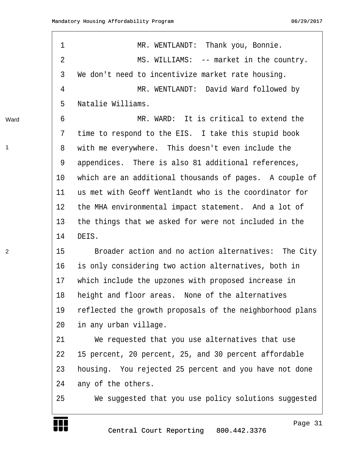| $\mathbf 1$    | MR. WENTLANDT: Thank you, Bonnie.                        |
|----------------|----------------------------------------------------------|
| $\overline{2}$ | MS. WILLIAMS: -- market in the country.                  |
| 3              | We don't need to incentivize market rate housing.        |
| 4              | MR. WENTLANDT: David Ward followed by                    |
| 5              | Natalie Williams.                                        |
| 6              | MR. WARD: It is critical to extend the                   |
| 7              | time to respond to the EIS. I take this stupid book      |
| 8              | with me everywhere. This doesn't even include the        |
| 9              | appendices. There is also 81 additional references,      |
| 10             | which are an additional thousands of pages. A couple of  |
| 11             | us met with Geoff Wentlandt who is the coordinator for   |
| 12             | the MHA environmental impact statement. And a lot of     |
| 13             | the things that we asked for were not included in the    |
| 14             | DEIS.                                                    |
| 15             | Broader action and no action alternatives: The City      |
| 16             | is only considering two action alternatives, both in     |
| 17             | which include the upzones with proposed increase in      |
| 18             | height and floor areas. None of the alternatives         |
| 19             | reflected the growth proposals of the neighborhood plans |
| 20             | in any urban village.                                    |
| 21             | We requested that you use alternatives that use          |
| 22             | 15 percent, 20 percent, 25, and 30 percent affordable    |
| 23             | housing. You rejected 25 percent and you have not done   |
| 24             | any of the others.                                       |
| 25             | We suggested that you use policy solutions suggested     |

Ward

1

2

₩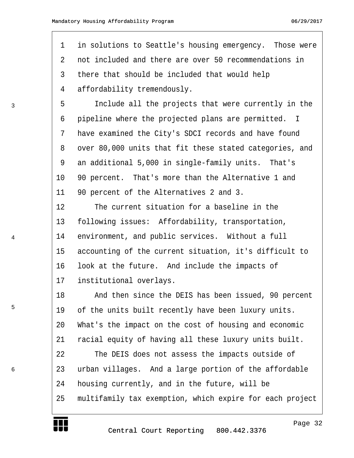1 in solutions to Seattle's housing emergency. Those were 2 on not included and there are over 50 recommendations in 3 there that should be included that would help 4 affordability tremendously. 5 · · · Include all the projects that were currently in the 6 pipeline where the projected plans are permitted. I 7 have examined the City's SDCI records and have found 8 over 80,000 units that fit these stated categories, and 9 an additional 5,000 in single-family units. That's 10 90 percent. That's more than the Alternative 1 and 11 90 percent of the Alternatives 2 and 3. 12 The current situation for a baseline in the 13 following issues: Affordability, transportation, 14 environment, and public services. Without a full 15 accounting of the current situation, it's difficult to 16 look at the future. And include the impacts of 17 institutional overlays. 18 • • And then since the DEIS has been issued, 90 percent 19 of the units built recently have been luxury units. 20 What's the impact on the cost of housing and economic 21 racial equity of having all these luxury units built. 22 The DEIS does not assess the impacts outside of 23 urban villages. And a large portion of the affordable 24 bousing currently, and in the future, will be 25 • multifamily tax exemption, which expire for each project

3

4

5

6

Page 32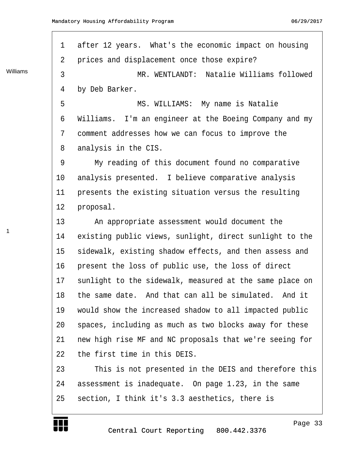1 after 12 years. What's the economic impact on housing 2 prices and displacement once those expire? 3 The MR. WENTLANDT: Natalie Williams followed 4 by Deb Barker. 5 · · · · · · · · · MS. WILLIAMS: · My name is Natalie 6 Williams. I'm an engineer at the Boeing Company and my 7 comment addresses how we can focus to improve the 8 analysis in the CIS. 9 My reading of this document found no comparative 10 analysis presented. I believe comparative analysis 11 presents the existing situation versus the resulting 12 proposal. 13 • • An appropriate assessment would document the 14 existing public views, sunlight, direct sunlight to the 15 sidewalk, existing shadow effects, and then assess and 16 present the loss of public use, the loss of direct 17 sunlight to the sidewalk, measured at the same place on 18 the same date. And that can all be simulated. And it 19 would show the increased shadow to all impacted public 20 spaces, including as much as two blocks away for these 21 new high rise MF and NC proposals that we're seeing for 22 the first time in this DEIS. 23 This is not presented in the DEIS and therefore this 24 assessment is inadequate. On page 1.23, in the same 25 section, I think it's 3.3 aesthetics, there is Williams



1

Page 33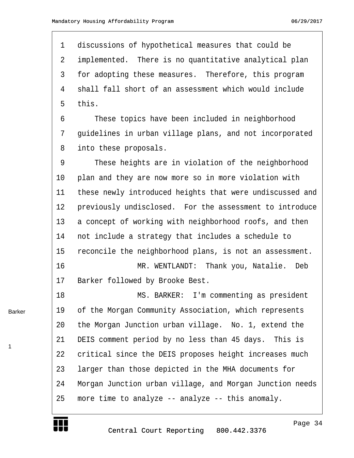1 discussions of hypothetical measures that could be 2 implemented. There is no quantitative analytical plan 3 for adopting these measures. Therefore, this program 4 shall fall short of an assessment which would include 5 this.

6 These topics have been included in neighborhood 7 guidelines in urban village plans, and not incorporated 8 into these proposals.

9 These heights are in violation of the neighborhood 10 plan and they are now more so in more violation with 11 these newly introduced heights that were undiscussed and 12 previously undisclosed. For the assessment to introduce 13 a concept of working with neighborhood roofs, and then 14 not include a strategy that includes a schedule to 15 reconcile the neighborhood plans, is not an assessment. 16 · · · · · · · · · MR. WENTLANDT: Thank you, Natalie. Deb 17 Barker followed by Brooke Best.

18· · · · · · · · ·MS. BARKER:· I'm commenting as president 19 of the Morgan Community Association, which represents 20 the Morgan Junction urban village. No. 1, extend the 21 DEIS comment period by no less than 45 days. This is 22 critical since the DEIS proposes height increases much 23 larger than those depicted in the MHA documents for 24 Morgan Junction urban village, and Morgan Junction needs 25 more time to analyze -- analyze -- this anomaly.

Barker

1



Page 34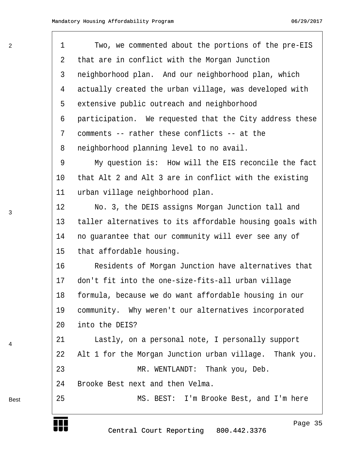2

3

4

Best

| 1  | Two, we commented about the portions of the pre-EIS      |
|----|----------------------------------------------------------|
| 2  | that are in conflict with the Morgan Junction            |
| 3  | neighborhood plan. And our neighborhood plan, which      |
| 4  | actually created the urban village, was developed with   |
| 5  | extensive public outreach and neighborhood               |
| 6  | participation. We requested that the City address these  |
| 7  | comments -- rather these conflicts -- at the             |
| 8  | neighborhood planning level to no avail.                 |
| 9  | My question is: How will the EIS reconcile the fact      |
| 10 | that Alt 2 and Alt 3 are in conflict with the existing   |
| 11 | urban village neighborhood plan.                         |
| 12 | No. 3, the DEIS assigns Morgan Junction tall and         |
| 13 | taller alternatives to its affordable housing goals with |
| 14 | no guarantee that our community will ever see any of     |
| 15 | that affordable housing.                                 |
| 16 | Residents of Morgan Junction have alternatives that      |
| 17 | don't fit into the one-size-fits-all urban village       |
| 18 | formula, because we do want affordable housing in our    |
| 19 | community. Why weren't our alternatives incorporated     |
| 20 | into the DEIS?                                           |
| 21 | Lastly, on a personal note, I personally support         |
| 22 | Alt 1 for the Morgan Junction urban village. Thank you.  |
| 23 | MR. WENTLANDT: Thank you, Deb.                           |
| 24 | Brooke Best next and then Velma.                         |
| 25 | MS. BEST: I'm Brooke Best, and I'm here                  |
|    | Page 35<br>Central Court Reporting 800.442.3376          |

http://www.yeslaw.net/help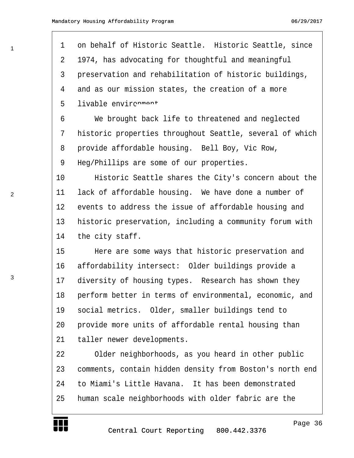| 1  | on behalf of Historic Seattle. Historic Seattle, since   |
|----|----------------------------------------------------------|
| 2  | 1974, has advocating for thoughtful and meaningful       |
| 3  | preservation and rehabilitation of historic buildings,   |
| 4  | and as our mission states, the creation of a more        |
| 5  | livable envircnnont                                      |
| 6  | We brought back life to threatened and neglected         |
| 7  | historic properties throughout Seattle, several of which |
| 8  | provide affordable housing. Bell Boy, Vic Row,           |
| 9  | Heg/Phillips are some of our properties.                 |
| 10 | Historic Seattle shares the City's concern about the     |
| 11 | lack of affordable housing. We have done a number of     |
| 12 | events to address the issue of affordable housing and    |
| 13 | historic preservation, including a community forum with  |
| 14 | the city staff.                                          |
| 15 | Here are some ways that historic preservation and        |
| 16 | affordability intersect: Older buildings provide a       |
| 17 | diversity of housing types. Research has shown they      |
| 18 | perform better in terms of environmental, economic, and  |
| 19 | social metrics. Older, smaller buildings tend to         |
| 20 | provide more units of affordable rental housing than     |
| 21 | taller newer developments.                               |
| 22 | Older neighborhoods, as you heard in other public        |
| 23 | comments, contain hidden density from Boston's north end |
| 24 | to Miami's Little Havana. It has been demonstrated       |
| 25 | human scale neighborhoods with older fabric are the      |



Page 36

http://www.yeslaw.net/help

net/help Law. res1

1

3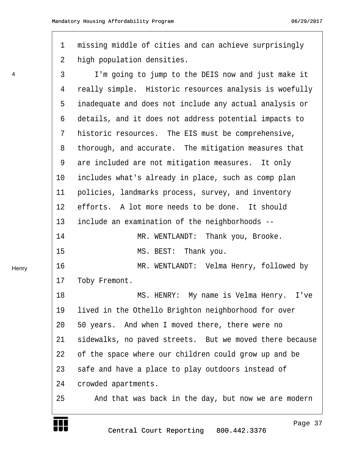<span id="page-36-0"></span>1 missing middle of cities and can achieve surprisingly 2 high population densities.

3 I'm going to jump to the DEIS now and just make it 4 really simple. Historic resources analysis is woefully 5 inadequate and does not include any actual analysis or 6 details, and it does not address potential impacts to 7 historic resources. The EIS must be comprehensive, 8 thorough, and accurate. The mitigation measures that 9 are included are not mitigation measures. It only 10 includes what's already in place, such as comp plan 11 policies, landmarks process, survey, and inventory 12 efforts. A lot more needs to be done. It should 13 include an examination of the neighborhoods --14· · · · · · · · ·MR. WENTLANDT:· Thank you, Brooke. 15· · · · · · · · ·MS. BEST:· Thank you. 16· · · · · · · · ·MR. WENTLANDT:· Velma Henry, followed by 17 Toby Fremont. 18· · · · · · · · ·MS. HENRY:· My name is Velma Henry.· I've 19 lived in the Othello Brighton neighborhood for over 20· ·50 years.· And when I moved there, there were no 21 sidewalks, no paved streets. But we moved there because 22 of the space where our children could grow up and be 23 safe and have a place to play outdoors instead of 24 crowded apartments. 25· · · ·And that was back in the day, but now we are modern



4



Page 37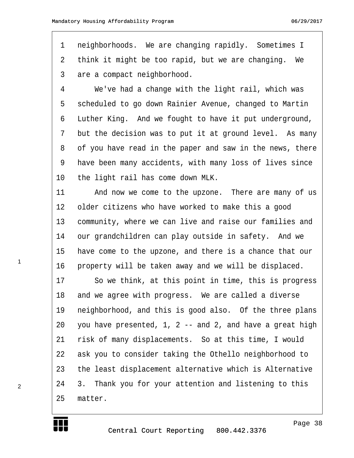<span id="page-37-0"></span>1 neighborhoods. We are changing rapidly. Sometimes I 2 think it might be too rapid, but we are changing. We 3 are a compact neighborhood.

4 We've had a change with the light rail, which was 5 · scheduled to go down Rainier Avenue, changed to Martin 6 Luther King. And we fought to have it put underground, 7 but the decision was to put it at ground level. As many 8 of you have read in the paper and saw in the news, there 9 have been many accidents, with many loss of lives since 10 the light rail has come down MLK.

11 · · · · And now we come to the upzone. There are many of us 12 older citizens who have worked to make this a good 13 community, where we can live and raise our families and 14 our grandchildren can play outside in safety. And we 15 have come to the upzone, and there is a chance that our 16 property will be taken away and we will be displaced.

17 · · So we think, at this point in time, this is progress 18 and we agree with progress. We are called a diverse 19 reighborhood, and this is good also. Of the three plans 20  $-$  you have presented, 1, 2 -- and 2, and have a great high 21 risk of many displacements. So at this time, I would 22 ask you to consider taking the Othello neighborhood to 23 the least displacement alternative which is Alternative 24 3. Thank you for your attention and listening to this 25 matter.

http://www.yeslaw.net/help

1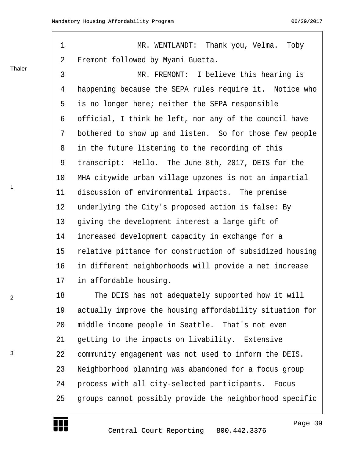Thaler

 $\Gamma$ 

1

2

3

<span id="page-38-0"></span>

| 1              | MR. WENTLANDT: Thank you, Velma.<br>Toby                 |
|----------------|----------------------------------------------------------|
| $\overline{2}$ | Fremont followed by Myani Guetta.                        |
| 3              | MR. FREMONT: I believe this hearing is                   |
| 4              | happening because the SEPA rules require it. Notice who  |
| 5              | is no longer here; neither the SEPA responsible          |
| 6              | official, I think he left, nor any of the council have   |
| 7              | bothered to show up and listen. So for those few people  |
| 8              | in the future listening to the recording of this         |
| 9              | transcript: Hello. The June 8th, 2017, DEIS for the      |
| 10             | MHA citywide urban village upzones is not an impartial   |
| 11             | discussion of environmental impacts. The premise         |
| 12             | underlying the City's proposed action is false: By       |
| 13             | giving the development interest a large gift of          |
| 14             | increased development capacity in exchange for a         |
| 15             | relative pittance for construction of subsidized housing |
| 16             | in different neighborhoods will provide a net increase   |
| 17             | in affordable housing.                                   |
| 18             | The DEIS has not adequately supported how it will        |
| 19             | actually improve the housing affordability situation for |
| 20             | middle income people in Seattle. That's not even         |
| 21             | getting to the impacts on livability. Extensive          |
| 22             | community engagement was not used to inform the DEIS.    |
| 23             | Neighborhood planning was abandoned for a focus group    |
| 24             | process with all city-selected participants. Focus       |
| 25             | groups cannot possibly provide the neighborhood specific |

http://www.yeslaw.net/help

net/help Š. res1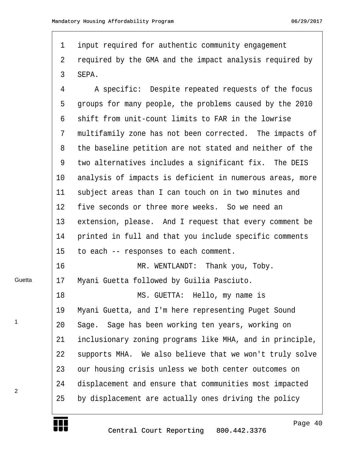<span id="page-39-0"></span>1 input required for authentic community engagement 2 required by the GMA and the impact analysis required by 3 SEPA.

4 · · · A specific: Despite repeated requests of the focus 5 groups for many people, the problems caused by the 2010 6 shift from unit-count limits to FAR in the lowrise 7 multifamily zone has not been corrected. The impacts of 8 the baseline petition are not stated and neither of the 9 two alternatives includes a significant fix. The DEIS 10 analysis of impacts is deficient in numerous areas, more 11 subject areas than I can touch on in two minutes and 12 five seconds or three more weeks. So we need an 13 extension, please. And I request that every comment be 14 printed in full and that you include specific comments 15 to each -- responses to each comment. 16 · · · · · · · · · MR. WENTLANDT: · Thank you, Toby. 17 Myani Guetta followed by Guilia Pasciuto. 18· · · · · · · · ·MS. GUETTA:· Hello, my name is 19 Myani Guetta, and I'm here representing Puget Sound 20 · Sage. Sage has been working ten years, working on 21 inclusionary zoning programs like MHA, and in principle,

22 supports MHA. We also believe that we won't truly solve

23 our housing crisis unless we both center outcomes on 24 displacement and ensure that communities most impacted 25 by displacement are actually ones driving the policy



Guetta

1

2

Page 40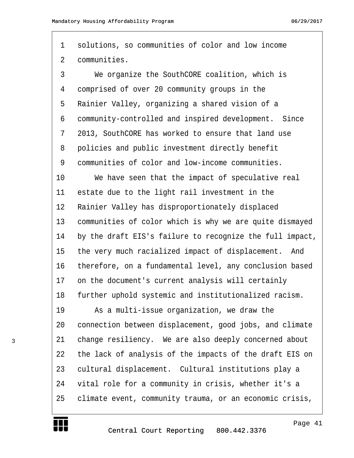<span id="page-40-0"></span>1 solutions, so communities of color and low income 2 communities.

·3· · · ·We organize the SouthCORE coalition, which is 4 comprised of over 20 community groups in the 5 Rainier Valley, organizing a shared vision of a ·6· ·community-controlled and inspired development.· Since 7 2013, SouthCORE has worked to ensure that land use 8 policies and public investment directly benefit 9 communities of color and low-income communities.

10 We have seen that the impact of speculative real 11 estate due to the light rail investment in the 12 Rainier Valley has disproportionately displaced 13 communities of color which is why we are quite dismayed 14 by the draft EIS's failure to recognize the full impact, 15 the very much racialized impact of displacement. And 16 therefore, on a fundamental level, any conclusion based 17 on the document's current analysis will certainly 18 further uphold systemic and institutionalized racism.

19 · · · · As a multi-issue organization, we draw the 20 connection between displacement, good jobs, and climate 21 change resiliency. We are also deeply concerned about 22 the lack of analysis of the impacts of the draft EIS on 23 cultural displacement. Cultural institutions play a 24 vital role for a community in crisis, whether it's a 25 · climate event, community trauma, or an economic crisis,

http://www.yeslaw.net/help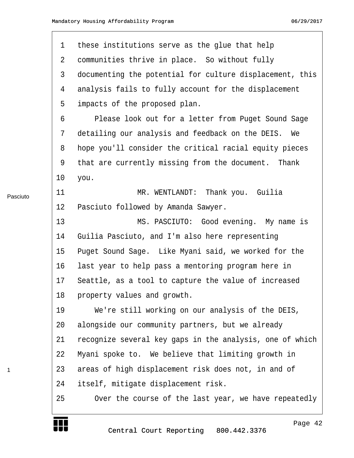<span id="page-41-0"></span>

| $\mathbf 1$ | these institutions serve as the glue that help           |
|-------------|----------------------------------------------------------|
| 2           | communities thrive in place. So without fully            |
| 3           | documenting the potential for culture displacement, this |
| 4           | analysis fails to fully account for the displacement     |
| 5           | impacts of the proposed plan.                            |
| 6           | Please look out for a letter from Puget Sound Sage       |
| 7           | detailing our analysis and feedback on the DEIS. We      |
| 8           | hope you'll consider the critical racial equity pieces   |
| 9           | that are currently missing from the document. Thank      |
| $10 \,$     | you.                                                     |
| 11          | Thank you. Guilia<br>MR. WENTLANDT:                      |
| 12          | Pasciuto followed by Amanda Sawyer.                      |
| 13          | MS. PASCIUTO: Good evening. My name is                   |
| 14          | Guilia Pasciuto, and I'm also here representing          |
| 15          | Puget Sound Sage. Like Myani said, we worked for the     |
| 16          | last year to help pass a mentoring program here in       |
| 17          | Seattle, as a tool to capture the value of increased     |
| 18          | property values and growth.                              |
| 19          | We're still working on our analysis of the DEIS,         |
| 20          | alongside our community partners, but we already         |
| 21          | recognize several key gaps in the analysis, one of which |
| 22          | Myani spoke to. We believe that limiting growth in       |
| 23          | areas of high displacement risk does not, in and of      |
| 24          | itself, mitigate displacement risk.                      |
| 25          | Over the course of the last year, we have repeatedly     |
|             |                                                          |

Pasciuto

1

L

Central Court Reporting 800.442.3376

Page 42

http://www.yeslaw.net/help

net/help Law. res1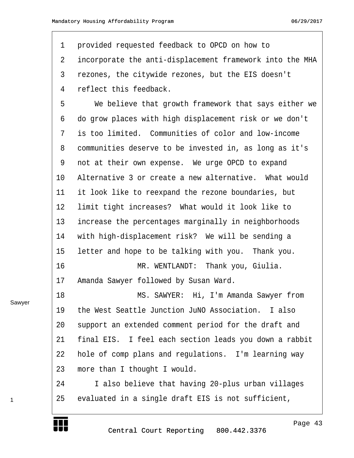<span id="page-42-0"></span>1 provided requested feedback to OPCD on how to 2 incorporate the anti-displacement framework into the MHA 3 rezones, the citywide rezones, but the EIS doesn't 4 reflect this feedback.

5 · · · · We believe that growth framework that says either we ·6· ·do grow places with high displacement risk or we don't 7 is too limited. Communities of color and low-income 8 communities deserve to be invested in, as long as it's 9 not at their own expense. We urge OPCD to expand 10 Alternative 3 or create a new alternative. What would 11 it look like to reexpand the rezone boundaries, but 12 limit tight increases? What would it look like to 13 increase the percentages marginally in neighborhoods 14 with high-displacement risk? We will be sending a 15 letter and hope to be talking with you. Thank you. 16· · · · · · · · ·MR. WENTLANDT:· Thank you, Giulia. 17 Amanda Sawyer followed by Susan Ward. 18 MS. SAWYER: Hi, I'm Amanda Sawyer from 19 the West Seattle Junction JuNO Association. I also 20 support an extended comment period for the draft and

Sawyer

1

http://www.yeslaw.net/help



21 final EIS. I feel each section leads you down a rabbit

22 · hole of comp plans and regulations. I'm learning way

24 · · I also believe that having 20-plus urban villages

25 evaluated in a single draft EIS is not sufficient,

23 more than I thought I would.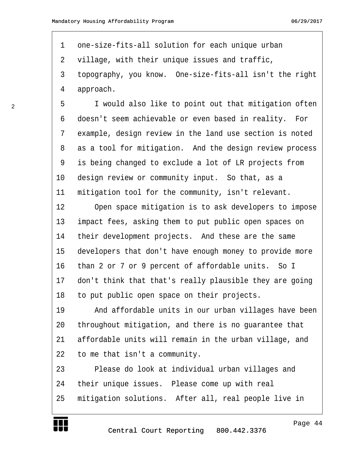<span id="page-43-0"></span>1 one-size-fits-all solution for each unique urban 2 village, with their unique issues and traffic, 3 topography, you know. One-size-fits-all isn't the right 4 approach.

5 T would also like to point out that mitigation often 6 doesn't seem achievable or even based in reality. For 7 example, design review in the land use section is noted 8 as a tool for mitigation. And the design review process 9 is being changed to exclude a lot of LR projects from 10 design review or community input. So that, as a 11 mitigation tool for the community, isn't relevant.

12 Open space mitigation is to ask developers to impose 13 impact fees, asking them to put public open spaces on 14 their development projects. And these are the same 15 developers that don't have enough money to provide more 16 than 2 or 7 or 9 percent of affordable units. So I 17 don't think that that's really plausible they are going 18 to put public open space on their projects.

19 · · · And affordable units in our urban villages have been 20 throughout mitigation, and there is no guarantee that 21 affordable units will remain in the urban village, and 22 to me that isn't a community.

23 · · · Please do look at individual urban villages and 24 their unique issues. Please come up with real 25 mitigation solutions. After all, real people live in

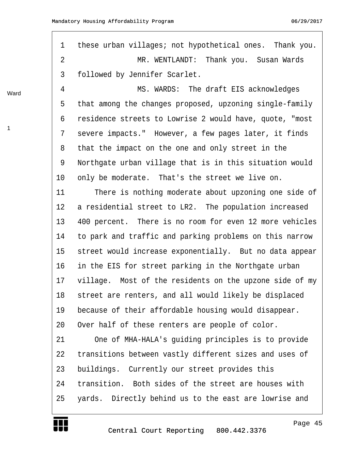<span id="page-44-0"></span>1 these urban villages; not hypothetical ones. Thank you. ·2· · · · · · · · ·MR. WENTLANDT:· Thank you.· Susan Wards 3 followed by Jennifer Scarlet.

4 MS. WARDS: The draft EIS acknowledges 5 that among the changes proposed, upzoning single-family ·6· ·residence streets to Lowrise 2 would have, quote, "most 7 severe impacts." However, a few pages later, it finds 8 that the impact on the one and only street in the 9 · Northgate urban village that is in this situation would 10 only be moderate. That's the street we live on.

11 There is nothing moderate about upzoning one side of 12 a residential street to LR2. The population increased 13 400 percent. There is no room for even 12 more vehicles 14 to park and traffic and parking problems on this narrow 15 street would increase exponentially. But no data appear 16 in the EIS for street parking in the Northgate urban 17 village. Most of the residents on the upzone side of my 18 street are renters, and all would likely be displaced 19 because of their affordable housing would disappear. 20 Over half of these renters are people of color.

21 One of MHA-HALA's guiding principles is to provide 22 transitions between vastly different sizes and uses of 23 buildings. Currently our street provides this 24 transition. Both sides of the street are houses with 25 · yards. Directly behind us to the east are lowrise and



Ward

1

Page 45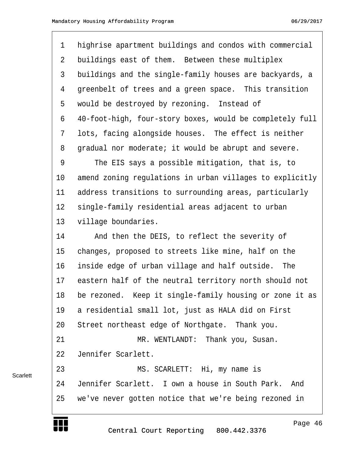<span id="page-45-0"></span>

| $\mathbf{1}$   | highrise apartment buildings and condos with commercial  |
|----------------|----------------------------------------------------------|
| 2              | buildings east of them. Between these multiplex          |
| $\mathfrak{Z}$ | buildings and the single-family houses are backyards, a  |
| 4              | greenbelt of trees and a green space. This transition    |
| 5              | would be destroyed by rezoning. Instead of               |
| 6              | 40-foot-high, four-story boxes, would be completely full |
| 7              | lots, facing alongside houses. The effect is neither     |
| 8              | gradual nor moderate; it would be abrupt and severe.     |
| 9              | The EIS says a possible mitigation, that is, to          |
| 10             | amend zoning regulations in urban villages to explicitly |
| 11             | address transitions to surrounding areas, particularly   |
| 12             | single-family residential areas adjacent to urban        |
| 13             | village boundaries.                                      |
| 14             | And then the DEIS, to reflect the severity of            |
| 15             | changes, proposed to streets like mine, half on the      |
| 16             | inside edge of urban village and half outside.<br>The    |
| 17             | eastern half of the neutral territory north should not   |
| 18             | be rezoned. Keep it single-family housing or zone it as  |
| 19             | a residential small lot, just as HALA did on First       |
| 20             | Street northeast edge of Northgate. Thank you.           |
| 21             | MR. WENTLANDT: Thank you, Susan.                         |
| 22             | Jennifer Scarlett.                                       |
| 23             | MS. SCARLETT: Hi, my name is                             |
| 24             | Jennifer Scarlett. I own a house in South Park. And      |
| 25             | we've never gotten notice that we're being rezoned in    |

Central Court Reporting 800.442.3376

http://www.yeslaw.net/help

Š. yes.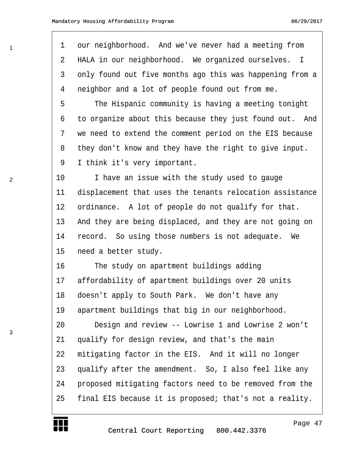| 1  | our neighborhood. And we've never had a meeting from              |
|----|-------------------------------------------------------------------|
| 2  | HALA in our neighborhood. We organized ourselves.<br>$\mathbb{I}$ |
| 3  | only found out five months ago this was happening from a          |
| 4  | neighbor and a lot of people found out from me.                   |
| 5  | The Hispanic community is having a meeting tonight                |
| 6  | to organize about this because they just found out. And           |
| 7  | we need to extend the comment period on the EIS because           |
| 8  | they don't know and they have the right to give input.            |
| 9  | I think it's very important.                                      |
| 10 | I have an issue with the study used to gauge                      |
| 11 | displacement that uses the tenants relocation assistance          |
| 12 | ordinance. A lot of people do not qualify for that.               |
| 13 | And they are being displaced, and they are not going on           |
| 14 | record. So using those numbers is not adequate.<br>We             |
| 15 | need a better study.                                              |
| 16 | The study on apartment buildings adding                           |
| 17 | affordability of apartment buildings over 20 units                |
| 18 | doesn't apply to South Park. We don't have any                    |
| 19 | apartment buildings that big in our neighborhood.                 |
| 20 | Design and review -- Lowrise 1 and Lowrise 2 won't                |
| 21 | qualify for design review, and that's the main                    |
| 22 | mitigating factor in the EIS. And it will no longer               |
| 23 | qualify after the amendment. So, I also feel like any             |
| 24 | proposed mitigating factors need to be removed from the           |
| 25 | final EIS because it is proposed; that's not a reality.           |
|    |                                                                   |

2

<span id="page-46-0"></span>1

Г

T UT

Page 47

http://www.yeslaw.net/help

net/help Law. yesl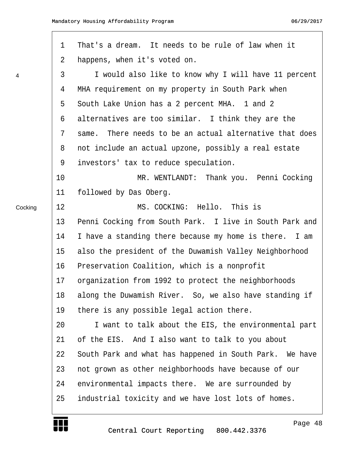<span id="page-47-0"></span>

|         | $\mathbf 1$ | That's a dream. It needs to be rule of law when it      |
|---------|-------------|---------------------------------------------------------|
|         | 2           | happens, when it's voted on.                            |
| 4       | 3           | I would also like to know why I will have 11 percent    |
|         | 4           | MHA requirement on my property in South Park when       |
|         | 5           | South Lake Union has a 2 percent MHA. 1 and 2           |
|         | 6           | alternatives are too similar. I think they are the      |
|         | 7           | same. There needs to be an actual alternative that does |
|         | 8           | not include an actual upzone, possibly a real estate    |
|         | 9           | investors' tax to reduce speculation.                   |
|         | 10          | MR. WENTLANDT: Thank you. Penni Cocking                 |
|         | 11          | followed by Das Oberg.                                  |
| Cocking | 12          | MS. COCKING: Hello. This is                             |
|         | 13          | Penni Cocking from South Park. I live in South Park and |
|         | 14          | I have a standing there because my home is there. I am  |
|         | 15          | also the president of the Duwamish Valley Neighborhood  |
|         | 16          | Preservation Coalition, which is a nonprofit            |
|         | 17          | organization from 1992 to protect the neighborhoods     |
|         | 18          | along the Duwamish River. So, we also have standing if  |
|         | 19          | there is any possible legal action there.               |
|         | 20          | I want to talk about the EIS, the environmental part    |
|         | 21          | of the EIS. And I also want to talk to you about        |
|         | 22          | South Park and what has happened in South Park. We have |
|         | 23          | not grown as other neighborhoods have because of our    |
|         | 24          | environmental impacts there. We are surrounded by       |
|         | 25          | industrial toxicity and we have lost lots of homes.     |
|         |             |                                                         |



Page 48

http://www.yeslaw.net/help

net/help Law. yesl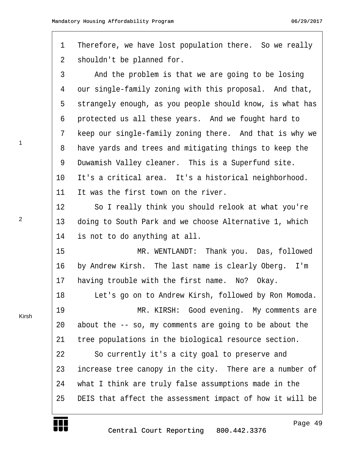<span id="page-48-0"></span>1 Therefore, we have lost population there. So we really 2 shouldn't be planned for. 3 · · · And the problem is that we are going to be losing 4 our single-family zoning with this proposal. And that, 5 strangely enough, as you people should know, is what has 6 protected us all these years. And we fought hard to 7 keep our single-family zoning there. And that is why we 8 have yards and trees and mitigating things to keep the 9 Duwamish Valley cleaner. This is a Superfund site. 10 It's a critical area. It's a historical neighborhood. 11 It was the first town on the river. 12 · · · So I really think you should relook at what you're 13 doing to South Park and we choose Alternative 1, which 14 is not to do anything at all. 15· · · · · · · · ·MR. WENTLANDT:· Thank you.· Das, followed 16 by Andrew Kirsh. The last name is clearly Oberg. I'm 17 having trouble with the first name. No? Okay. 18 · · Let's go on to Andrew Kirsh, followed by Ron Momoda. 19· · · · · · · · ·MR. KIRSH:· Good evening.· My comments are 20 about the  $-$  so, my comments are going to be about the 21 tree populations in the biological resource section. 22 · · So currently it's a city goal to preserve and 23 increase tree canopy in the city. There are a number of 24 · what I think are truly false assumptions made in the 25 DEIS that affect the assessment impact of how it will be

2

1

Kirsh

Page 49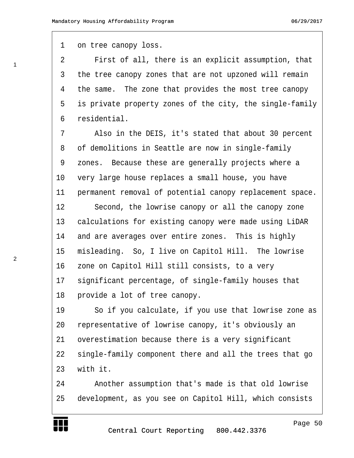1 on tree canopy loss.

<span id="page-49-0"></span>1

2

·2· · · ·First of all, there is an explicit assumption, that 3 the tree canopy zones that are not upzoned will remain 4 the same. The zone that provides the most tree canopy 5 is private property zones of the city, the single-family ·6· ·residential.

7 also in the DEIS, it's stated that about 30 percent 8 of demolitions in Seattle are now in single-family 9 zones. Because these are generally projects where a 10 very large house replaces a small house, you have 11 permanent removal of potential canopy replacement space. 12 · · · Second, the lowrise canopy or all the canopy zone 13 calculations for existing canopy were made using LiDAR 14 and are averages over entire zones. This is highly 15 misleading. So, I live on Capitol Hill. The lowrise

16 zone on Capitol Hill still consists, to a very 17 significant percentage, of single-family houses that 18 provide a lot of tree canopy.

19 · · So if you calculate, if you use that lowrise zone as 20 representative of lowrise canopy, it's obviously an 21 overestimation because there is a very significant 22 single-family component there and all the trees that go 23 with it.

24· · · ·Another assumption that's made is that old lowrise 25 development, as you see on Capitol Hill, which consists http://www.yeslaw.net/help

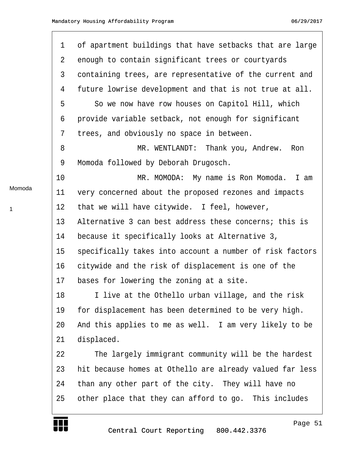<span id="page-50-0"></span>

|        | $\mathbf 1$ | of apartment buildings that have setbacks that are large |
|--------|-------------|----------------------------------------------------------|
|        | 2           | enough to contain significant trees or courtyards        |
|        | 3           | containing trees, are representative of the current and  |
|        | 4           | future lowrise development and that is not true at all.  |
|        | 5           | So we now have row houses on Capitol Hill, which         |
|        | 6           | provide variable setback, not enough for significant     |
|        | 7           | trees, and obviously no space in between.                |
|        | 8           | MR. WENTLANDT: Thank you, Andrew.<br>Ron                 |
|        | 9           | Momoda followed by Deborah Drugosch.                     |
|        | 10          | MR. MOMODA: My name is Ron Momoda.<br>I am               |
| Momoda | 11          | very concerned about the proposed rezones and impacts    |
| 1      | 12          | that we will have citywide. I feel, however,             |
|        | 13          | Alternative 3 can best address these concerns; this is   |
|        | 14          | because it specifically looks at Alternative 3,          |
|        | 15          | specifically takes into account a number of risk factors |
|        | 16          | citywide and the risk of displacement is one of the      |
|        | 17          | bases for lowering the zoning at a site.                 |
|        | 18          | I live at the Othello urban village, and the risk        |
|        | 19          | for displacement has been determined to be very high.    |
|        | 20          | And this applies to me as well. I am very likely to be   |
|        | 21          | displaced.                                               |
|        | 22          | The largely immigrant community will be the hardest      |
|        | 23          | hit because homes at Othello are already valued far less |
|        | 24          | than any other part of the city. They will have no       |
|        | 25          | other place that they can afford to go. This includes    |
|        |             | Page 51<br>Central Court Reporting 800.442.3376          |

1

http://www.yeslaw.net/help

Law. res1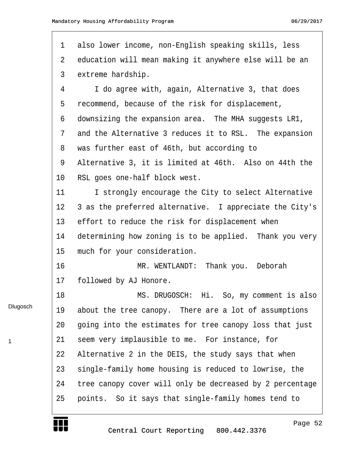<span id="page-51-0"></span>

| $\mathbf 1$ | also lower income, non-English speaking skills, less     |
|-------------|----------------------------------------------------------|
| 2           | education will mean making it anywhere else will be an   |
| 3           | extreme hardship.                                        |
| 4           | I do agree with, again, Alternative 3, that does         |
| 5           | recommend, because of the risk for displacement,         |
| 6           | downsizing the expansion area. The MHA suggests LR1,     |
| 7           | and the Alternative 3 reduces it to RSL. The expansion   |
| 8           | was further east of 46th, but according to               |
| 9           | Alternative 3, it is limited at 46th. Also on 44th the   |
| 10          | RSL goes one-half block west.                            |
| 11          | I strongly encourage the City to select Alternative      |
| 12          | 3 as the preferred alternative. I appreciate the City's  |
| 13          | effort to reduce the risk for displacement when          |
| 14          | determining how zoning is to be applied. Thank you very  |
| 15          | much for your consideration.                             |
| 16          | MR. WENTLANDT: Thank you. Deborah                        |
| 17          | followed by AJ Honore.                                   |
| 18          | MS. DRUGOSCH: Hi. So, my comment is also                 |
| 19          | about the tree canopy. There are a lot of assumptions    |
| 20          | going into the estimates for tree canopy loss that just  |
| 21          | seem very implausible to me. For instance, for           |
| 22          | Alternative 2 in the DEIS, the study says that when      |
| 23          | single-family home housing is reduced to lowrise, the    |
| 24          | tree canopy cover will only be decreased by 2 percentage |
| 25          | points. So it says that single-family homes tend to      |
|             |                                                          |

**TELE** 

Dlugosch

1

Page 52

http://www.yeslaw.net/help

net/help Law. yesl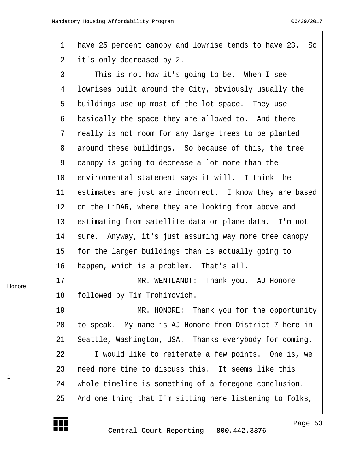<span id="page-52-0"></span>

| $\mathbf 1$    | have 25 percent canopy and lowrise tends to have 23. So |
|----------------|---------------------------------------------------------|
| $\overline{2}$ | it's only decreased by 2.                               |
| 3              | This is not how it's going to be. When I see            |
| 4              | lowrises built around the City, obviously usually the   |
| 5              | buildings use up most of the lot space. They use        |
| 6              | basically the space they are allowed to. And there      |
| 7              | really is not room for any large trees to be planted    |
| 8              | around these buildings. So because of this, the tree    |
| 9              | canopy is going to decrease a lot more than the         |
| 10             | environmental statement says it will. I think the       |
| 11             | estimates are just are incorrect. I know they are based |
| 12             | on the LiDAR, where they are looking from above and     |
| 13             | estimating from satellite data or plane data. I'm not   |
| 14             | sure. Anyway, it's just assuming way more tree canopy   |
| 15             | for the larger buildings than is actually going to      |
| 16             | happen, which is a problem. That's all.                 |
| 17             | MR. WENTLANDT:<br>Thank you. AJ Honore                  |
| 18             | followed by Tim Trohimovich.                            |
| 19             | MR. HONORE: Thank you for the opportunity               |
| 20             | to speak. My name is AJ Honore from District 7 here in  |
| 21             | Seattle, Washington, USA. Thanks everybody for coming.  |
| 22             | I would like to reiterate a few points. One is, we      |
| 23             | need more time to discuss this. It seems like this      |
| 24             | whole timeline is something of a foregone conclusion.   |
| 25             | And one thing that I'm sitting here listening to folks, |

Honore

W

1

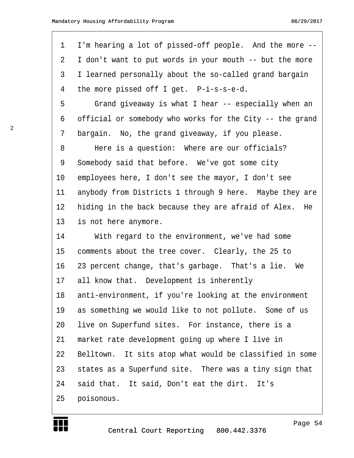<span id="page-53-0"></span>

| $\mathbf 1$    | I'm hearing a lot of pissed-off people. And the more --   |
|----------------|-----------------------------------------------------------|
| $\overline{2}$ | I don't want to put words in your mouth -- but the more   |
| 3              | I learned personally about the so-called grand bargain    |
| 4              | the more pissed off I get. P-i-s-s-e-d.                   |
| 5              | Grand giveaway is what I hear -- especially when an       |
| 6              | official or somebody who works for the City -- the grand  |
| 7              | bargain. No, the grand giveaway, if you please.           |
| 8              | Here is a question: Where are our officials?              |
| 9              | Somebody said that before. We've got some city            |
| 10             | employees here, I don't see the mayor, I don't see        |
| 11             | anybody from Districts 1 through 9 here. Maybe they are   |
| 12             | hiding in the back because they are afraid of Alex.<br>He |
| 13             | is not here anymore.                                      |
| 14             | With regard to the environment, we've had some            |
| 15             | comments about the tree cover. Clearly, the 25 to         |
| 16             | 23 percent change, that's garbage. That's a lie. We       |
| 17             | all know that. Development is inherently                  |
| 18             | anti-environment, if you're looking at the environment    |
| 19             | as something we would like to not pollute. Some of us     |
| 20             | live on Superfund sites. For instance, there is a         |
| 21             | market rate development going up where I live in          |
| 22             | Belltown. It sits atop what would be classified in some   |
| 23             | states as a Superfund site. There was a tiny sign that    |
| 24             | said that. It said, Don't eat the dirt. It's              |
| 25             | poisonous.                                                |



Page 54

http://www.yeslaw.net/help

net/help Law. res1

2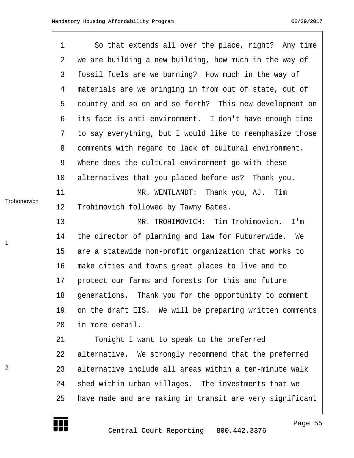1

<span id="page-54-0"></span>

| 1            | So that extends all over the place, right? Any time      |
|--------------|----------------------------------------------------------|
| 2            | we are building a new building, how much in the way of   |
| $\mathsf{3}$ | fossil fuels are we burning? How much in the way of      |
| 4            | materials are we bringing in from out of state, out of   |
| 5            | country and so on and so forth? This new development on  |
| 6            | its face is anti-environment. I don't have enough time   |
| 7            | to say everything, but I would like to reemphasize those |
| 8            | comments with regard to lack of cultural environment.    |
| 9            | Where does the cultural environment go with these        |
| 10           | alternatives that you placed before us? Thank you.       |
| 11           | MR. WENTLANDT: Thank you, AJ. Tim                        |
| 12           | Trohimovich followed by Tawny Bates.                     |
| 13           | MR. TROHIMOVICH: Tim Trohimovich.<br>I'm                 |
| 14           | the director of planning and law for Futurerwide.<br>We  |
| 15           | are a statewide non-profit organization that works to    |
| 16           | make cities and towns great places to live and to        |
| 17           | protect our farms and forests for this and future        |
| 18           | generations. Thank you for the opportunity to comment    |
| 19           | on the draft EIS. We will be preparing written comments  |
| 20           | in more detail.                                          |
| 21           | Tonight I want to speak to the preferred                 |
| 22           | alternative. We strongly recommend that the preferred    |
| 23           | alternative include all areas within a ten-minute walk   |
| 24           | shed within urban villages. The investments that we      |
| 25           | have made and are making in transit are very significant |
|              |                                                          |

**Trohomovich** 

1

HH I

Page 55

http://www.yeslaw.net/help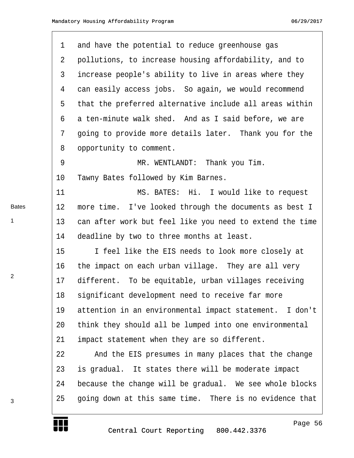<span id="page-55-0"></span>

| 1              | and have the potential to reduce greenhouse gas          |
|----------------|----------------------------------------------------------|
| 2              | pollutions, to increase housing affordability, and to    |
| 3              | increase people's ability to live in areas where they    |
| 4              | can easily access jobs. So again, we would recommend     |
| 5              | that the preferred alternative include all areas within  |
| 6              | a ten-minute walk shed. And as I said before, we are     |
| 7              | going to provide more details later. Thank you for the   |
| 8              | opportunity to comment.                                  |
| $\overline{9}$ | MR. WENTLANDT: Thank you Tim.                            |
| 10             | Tawny Bates followed by Kim Barnes.                      |
| 11             | MS. BATES: Hi. I would like to request                   |
| 12             | more time. I've looked through the documents as best I   |
| 13             | can after work but feel like you need to extend the time |
| 14             | deadline by two to three months at least.                |
| 15             | I feel like the EIS needs to look more closely at        |
| 16             | the impact on each urban village. They are all very      |
| 17             | different. To be equitable, urban villages receiving     |
| 18             | significant development need to receive far more         |
| 19             | attention in an environmental impact statement. I don't  |
| 20             | think they should all be lumped into one environmental   |
| 21             | impact statement when they are so different.             |
| 22             | And the EIS presumes in many places that the change      |
| 23             | is gradual. It states there will be moderate impact      |
| 24             | because the change will be gradual. We see whole blocks  |
| 25             | going down at this same time. There is no evidence that  |
|                |                                                          |

Bates

1

2

3

Page 56

http://www.yeslaw.net/help

net/help Š. res.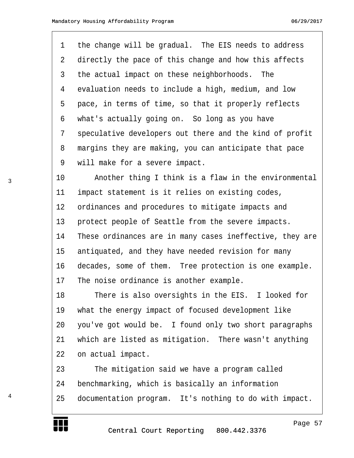<span id="page-56-0"></span>1 the change will be gradual. The EIS needs to address 2 directly the pace of this change and how this affects 3 the actual impact on these neighborhoods. The 4 evaluation needs to include a high, medium, and low 5 pace, in terms of time, so that it properly reflects 6 what's actually going on. So long as you have 7 speculative developers out there and the kind of profit 8 margins they are making, you can anticipate that pace 9 will make for a severe impact.

10 • • Another thing I think is a flaw in the environmental 11 impact statement is it relies on existing codes, 12 ordinances and procedures to mitigate impacts and 13 protect people of Seattle from the severe impacts. 14 These ordinances are in many cases ineffective, they are 15 antiquated, and they have needed revision for many 16 decades, some of them. Tree protection is one example. 17 The noise ordinance is another example.

18 There is also oversights in the EIS. I looked for 19 what the energy impact of focused development like 20 you've got would be. I found only two short paragraphs 21 which are listed as mitigation. There wasn't anything 22 on actual impact.

23 The mitigation said we have a program called 24 benchmarking, which is basically an information 25 documentation program. It's nothing to do with impact.

4



Page 57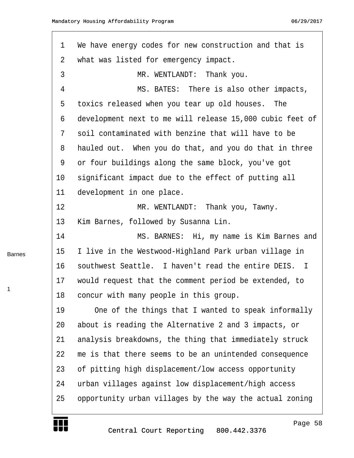<span id="page-57-0"></span>

| $\mathbf 1$ | We have energy codes for new construction and that is    |
|-------------|----------------------------------------------------------|
| 2           | what was listed for emergency impact.                    |
| 3           | MR. WENTLANDT: Thank you.                                |
| 4           | MS. BATES: There is also other impacts,                  |
| 5           | toxics released when you tear up old houses. The         |
| 6           | development next to me will release 15,000 cubic feet of |
| 7           | soil contaminated with benzine that will have to be      |
| 8           | hauled out. When you do that, and you do that in three   |
| 9           | or four buildings along the same block, you've got       |
| 10          | significant impact due to the effect of putting all      |
| 11          | development in one place.                                |
| 12          | MR. WENTLANDT: Thank you, Tawny.                         |
| 13          | Kim Barnes, followed by Susanna Lin.                     |
| 14          | MS. BARNES: Hi, my name is Kim Barnes and                |
| 15          | I live in the Westwood-Highland Park urban village in    |
| 16          | southwest Seattle. I haven't read the entire DEIS. I     |
| 17          | would request that the comment period be extended, to    |
| 18          | concur with many people in this group.                   |
| 19          | One of the things that I wanted to speak informally      |
| 20          | about is reading the Alternative 2 and 3 impacts, or     |
| 21          | analysis breakdowns, the thing that immediately struck   |
| 22          | me is that there seems to be an unintended consequence   |
| 23          | of pitting high displacement/low access opportunity      |
| 24          | urban villages against low displacement/high access      |
| 25          | opportunity urban villages by the way the actual zoning  |

Barnes

W

1

http://www.yeslaw.net/help

net/help Law. res1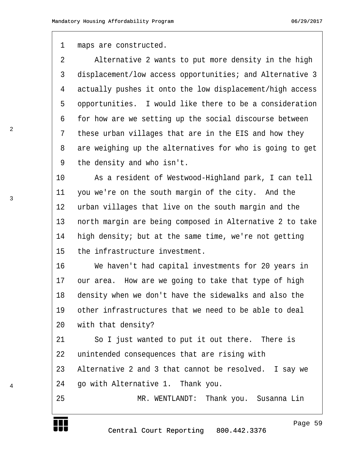<span id="page-58-0"></span>1 maps are constructed.

2 · · · Alternative 2 wants to put more density in the high 3 displacement/low access opportunities; and Alternative 3 4 actually pushes it onto the low displacement/high access 5 opportunities. I would like there to be a consideration 6 for how are we setting up the social discourse between 7 these urban villages that are in the EIS and how they 8 are weighing up the alternatives for who is going to get 9 the density and who isn't.

10 · · · · As a resident of Westwood-Highland park, I can tell 11 you we're on the south margin of the city. And the 12 urban villages that live on the south margin and the 13 · north margin are being composed in Alternative 2 to take 14 · high density; but at the same time, we're not getting 15 the infrastructure investment.

16 · · · · We haven't had capital investments for 20 years in 17 our area. How are we going to take that type of high 18 density when we don't have the sidewalks and also the 19 other infrastructures that we need to be able to deal 20 with that density?

21 · · So I just wanted to put it out there. There is 22 unintended consequences that are rising with 23 Alternative 2 and 3 that cannot be resolved. I say we

24 · go with Alternative 1. Thank you.

25 · · · · · · · · · MR. WENTLANDT: Thank you. Susanna Lin

Page 59

http://www.yeslaw.net/help

2

4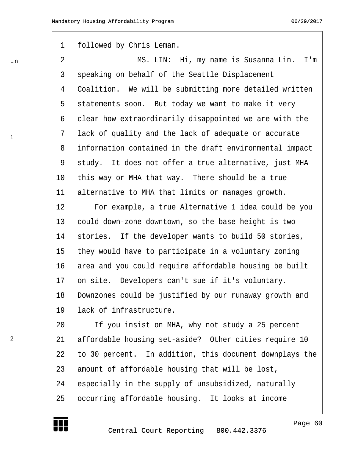<span id="page-59-0"></span>Lin

1

2

1 followed by Chris Leman.

·2· · · · · · · · ·MS. LIN:· Hi, my name is Susanna Lin.· I'm 3 speaking on behalf of the Seattle Displacement 4 Coalition. We will be submitting more detailed written 5 statements soon. But today we want to make it very 6 clear how extraordinarily disappointed we are with the 7 lack of quality and the lack of adequate or accurate 8 information contained in the draft environmental impact 9 study. It does not offer a true alternative, just MHA 10 this way or MHA that way. There should be a true 11 alternative to MHA that limits or manages growth. 12 · · · · For example, a true Alternative 1 idea could be you

13 could down-zone downtown, so the base height is two 14 stories. If the developer wants to build 50 stories, 15 they would have to participate in a voluntary zoning 16 area and you could require affordable housing be built 17 on site. Developers can't sue if it's voluntary. 18 Downzones could be justified by our runaway growth and 19 lack of infrastructure.

20 1f you insist on MHA, why not study a 25 percent 21 affordable housing set-aside? Other cities require 10 22 to 30 percent. In addition, this document downplays the 23 amount of affordable housing that will be lost, 24 especially in the supply of unsubsidized, naturally 25 occurring affordable housing. It looks at income



Page 60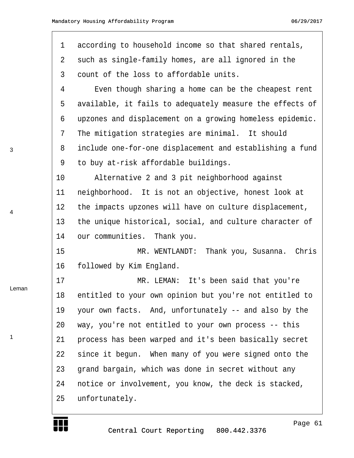<span id="page-60-0"></span>

| 1  | according to household income so that shared rentals,    |
|----|----------------------------------------------------------|
| 2  | such as single-family homes, are all ignored in the      |
| 3  | count of the loss to affordable units.                   |
| 4  | Even though sharing a home can be the cheapest rent      |
| 5  | available, it fails to adequately measure the effects of |
| 6  | upzones and displacement on a growing homeless epidemic. |
| 7  | The mitigation strategies are minimal. It should         |
| 8  | include one-for-one displacement and establishing a fund |
| 9  | to buy at-risk affordable buildings.                     |
| 10 | Alternative 2 and 3 pit neighborhood against             |
| 11 | neighborhood. It is not an objective, honest look at     |
| 12 | the impacts upzones will have on culture displacement,   |
| 13 | the unique historical, social, and culture character of  |
| 14 | our communities. Thank you.                              |
| 15 | Thank you, Susanna. Chris<br>MR. WENTLANDT:              |
| 16 | followed by Kim England.                                 |
| 17 | MR. LEMAN: It's been said that you're                    |
| 18 | entitled to your own opinion but you're not entitled to  |
| 19 | your own facts. And, unfortunately -- and also by the    |
| 20 | way, you're not entitled to your own process -- this     |
| 21 | process has been warped and it's been basically secret   |
| 22 | since it begun. When many of you were signed onto the    |
| 23 | grand bargain, which was done in secret without any      |
| 24 | notice or involvement, you know, the deck is stacked,    |
| 25 | unfortunately.                                           |
|    |                                                          |

3

4

Leman

1

₩

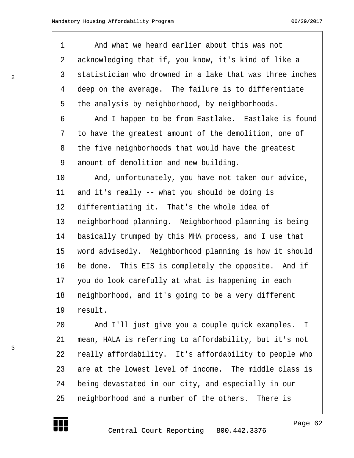<span id="page-61-0"></span>1 · · · And what we heard earlier about this was not 2 acknowledging that if, you know, it's kind of like a 3 statistician who drowned in a lake that was three inches 4 deep on the average. The failure is to differentiate 5 the analysis by neighborhood, by neighborhoods. 6 · · · And I happen to be from Eastlake. Eastlake is found 7 to have the greatest amount of the demolition, one of 8 the five neighborhoods that would have the greatest 9 amount of demolition and new building. 10· · · ·And, unfortunately, you have not taken our advice, 11 and it's really  $-$ - what you should be doing is 12 differentiating it. That's the whole idea of 13 · neighborhood planning. Neighborhood planning is being 14 basically trumped by this MHA process, and I use that 15 word advisedly. Neighborhood planning is how it should 16 be done. This EIS is completely the opposite. And if 17 you do look carefully at what is happening in each 18 neighborhood, and it's going to be a very different 19 result.

20 And I'll just give you a couple quick examples. I 21 mean, HALA is referring to affordability, but it's not 22 really affordability. It's affordability to people who 23 are at the lowest level of income. The middle class is 24 being devastated in our city, and especially in our 25 neighborhood and a number of the others. There is

Page 62

http://www.yeslaw.net/help

3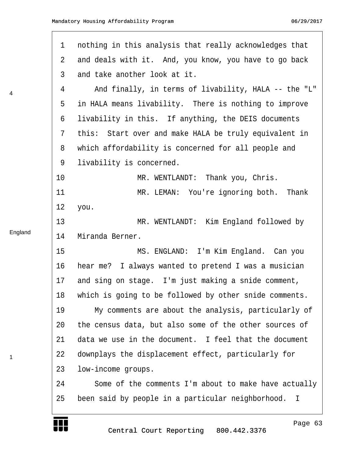| $\mathbf 1$ | nothing in this analysis that really acknowledges that |
|-------------|--------------------------------------------------------|
|             |                                                        |
| 2           | and deals with it. And, you know, you have to go back  |
| 3           | and take another look at it.                           |
| 4           | And finally, in terms of livability, HALA -- the "L"   |
| 5           | in HALA means livability. There is nothing to improve  |
| 6           | livability in this. If anything, the DEIS documents    |
| 7           | this: Start over and make HALA be truly equivalent in  |
| 8           | which affordability is concerned for all people and    |
| 9           | livability is concerned.                               |
| 10          | MR. WENTLANDT: Thank you, Chris.                       |
| 11          | MR. LEMAN: You're ignoring both. Thank                 |
| 12          | you.                                                   |
| 13          | MR. WENTLANDT: Kim England followed by                 |
| 14          | Miranda Berner.                                        |
| 15          | MS. ENGLAND: I'm Kim England. Can you                  |
| 16          | hear me? I always wanted to pretend I was a musician   |
| 17          | and sing on stage. I'm just making a snide comment,    |
| 18          | which is going to be followed by other snide comments. |
| 19          | My comments are about the analysis, particularly of    |
| 20          | the census data, but also some of the other sources of |
| 21          | data we use in the document. I feel that the document  |
| 22          | downplays the displacement effect, particularly for    |
| 23          | low-income groups.                                     |
| 24          | Some of the comments I'm about to make have actually   |
| 25          | been said by people in a particular neighborhood.<br>I |
|             |                                                        |

England

4

 $\Gamma$ 

1

HI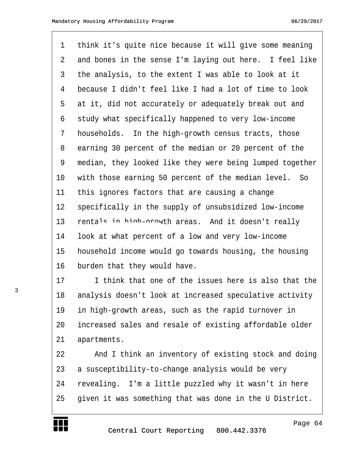| $\mathbf 1$    | think it's quite nice because it will give some meaning  |
|----------------|----------------------------------------------------------|
| 2              | and bones in the sense I'm laying out here. I feel like  |
| $\mathfrak{Z}$ | the analysis, to the extent I was able to look at it     |
| $\overline{4}$ | because I didn't feel like I had a lot of time to look   |
| 5              | at it, did not accurately or adequately break out and    |
| 6              | study what specifically happened to very low-income      |
| 7              | households. In the high-growth census tracts, those      |
| 8              | earning 30 percent of the median or 20 percent of the    |
| 9              | median, they looked like they were being lumped together |
| $10 \,$        | with those earning 50 percent of the median level. So    |
| 11             | this ignores factors that are causing a change           |
| 12             | specifically in the supply of unsubsidized low-income    |
| 13             | rentals in high-growth areas. And it doesn't really      |
| 14             | look at what percent of a low and very low-income        |
| 15             | household income would go towards housing, the housing   |
| 16             | burden that they would have.                             |
| 17             | I think that one of the issues here is also that the     |

18 analysis doesn't look at increased speculative activity 19 in high-growth areas, such as the rapid turnover in 20 increased sales and resale of existing affordable older 21 apartments.

22 · · · And I think an inventory of existing stock and doing 23 a susceptibility-to-change analysis would be very 24 revealing. I'm a little puzzled why it wasn't in here 25 given it was something that was done in the U District.

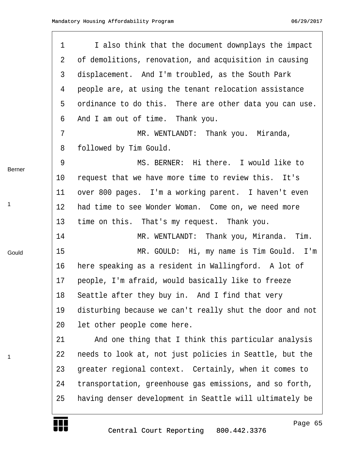|             | 1  | I also think that the document downplays the impact      |
|-------------|----|----------------------------------------------------------|
|             | 2  | of demolitions, renovation, and acquisition in causing   |
|             | 3  | displacement. And I'm troubled, as the South Park        |
|             | 4  | people are, at using the tenant relocation assistance    |
|             | 5  | ordinance to do this. There are other data you can use.  |
|             | 6  | And I am out of time. Thank you.                         |
|             | 7  | MR. WENTLANDT: Thank you. Miranda,                       |
|             | 8  | followed by Tim Gould.                                   |
| Berner      | 9  | MS. BERNER: Hi there. I would like to                    |
|             | 10 | request that we have more time to review this. It's      |
|             | 11 | over 800 pages. I'm a working parent. I haven't even     |
| $\mathbf 1$ | 12 | had time to see Wonder Woman. Come on, we need more      |
|             | 13 | time on this. That's my request. Thank you.              |
|             | 14 | MR. WENTLANDT: Thank you, Miranda. Tim.                  |
| Gould       | 15 | MR. GOULD: Hi, my name is Tim Gould. I'm                 |
|             | 16 | here speaking as a resident in Wallingford. A lot of     |
|             | 17 | people, I'm afraid, would basically like to freeze       |
|             | 18 | Seattle after they buy in. And I find that very          |
|             | 19 | disturbing because we can't really shut the door and not |
|             | 20 | let other people come here.                              |
|             | 21 | And one thing that I think this particular analysis      |
| 1           | 22 | needs to look at, not just policies in Seattle, but the  |
|             | 23 | greater regional context. Certainly, when it comes to    |
|             | 24 | transportation, greenhouse gas emissions, and so forth,  |
|             | 25 | having denser development in Seattle will ultimately be  |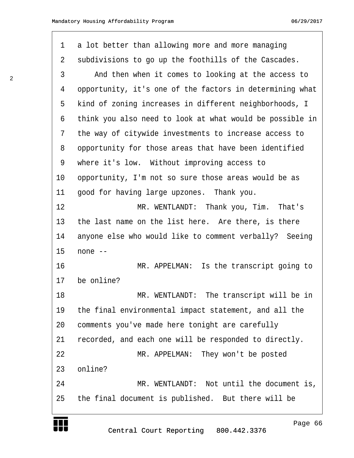| 1  | a lot better than allowing more and more managing        |
|----|----------------------------------------------------------|
| 2  | subdivisions to go up the foothills of the Cascades.     |
| 3  | And then when it comes to looking at the access to       |
| 4  | opportunity, it's one of the factors in determining what |
| 5  | kind of zoning increases in different neighborhoods, I   |
| 6  | think you also need to look at what would be possible in |
| 7  | the way of citywide investments to increase access to    |
| 8  | opportunity for those areas that have been identified    |
| 9  | where it's low. Without improving access to              |
| 10 | opportunity, I'm not so sure those areas would be as     |
| 11 | good for having large upzones. Thank you.                |
| 12 | MR. WENTLANDT: Thank you, Tim. That's                    |
| 13 | the last name on the list here. Are there, is there      |
| 14 | anyone else who would like to comment verbally? Seeing   |
| 15 | none --                                                  |
| 16 | MR. APPELMAN: Is the transcript going to                 |
| 17 | be online?                                               |
|    |                                                          |
| 18 | MR. WENTLANDT: The transcript will be in                 |
| 19 | the final environmental impact statement, and all the    |
| 20 | comments you've made here tonight are carefully          |
| 21 | recorded, and each one will be responded to directly.    |
| 22 | MR. APPELMAN: They won't be posted                       |
| 23 | online?                                                  |
| 24 | MR. WENTLANDT: Not until the document is,                |
| 25 | the final document is published. But there will be       |

2

J J U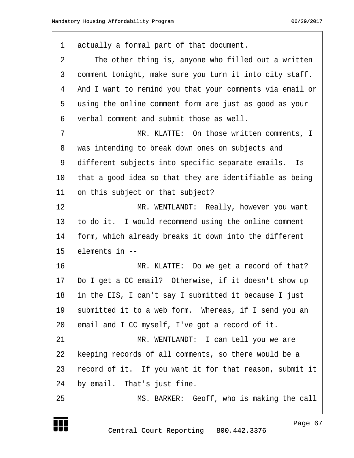| $\mathbf 1$ | actually a formal part of that document.                 |
|-------------|----------------------------------------------------------|
| 2           | The other thing is, anyone who filled out a written      |
| 3           | comment tonight, make sure you turn it into city staff.  |
| 4           | And I want to remind you that your comments via email or |
| 5           | using the online comment form are just as good as your   |
| 6           | verbal comment and submit those as well.                 |
| 7           | MR. KLATTE: On those written comments, I                 |
| 8           | was intending to break down ones on subjects and         |
| 9           | different subjects into specific separate emails.<br>Is  |
| 10          | that a good idea so that they are identifiable as being  |
| 11          | on this subject or that subject?                         |
| 12          | MR. WENTLANDT: Really, however you want                  |
| 13          | to do it. I would recommend using the online comment     |
| 14          | form, which already breaks it down into the different    |
| 15          | elements in --                                           |
| 16          | MR. KLATTE: Do we get a record of that?                  |
| 17          | Do I get a CC email? Otherwise, if it doesn't show up    |
| 18          | in the EIS, I can't say I submitted it because I just    |
| 19          | submitted it to a web form. Whereas, if I send you an    |
| 20          | email and I CC myself, I've got a record of it.          |
| 21          | MR. WENTLANDT: I can tell you we are                     |
| 22          | keeping records of all comments, so there would be a     |
| 23          | record of it. If you want it for that reason, submit it  |
| 24          | by email. That's just fine.                              |
| 25          | MS. BARKER: Geoff, who is making the call                |

Central Court Reporting 800.442.3376

**TENTIST**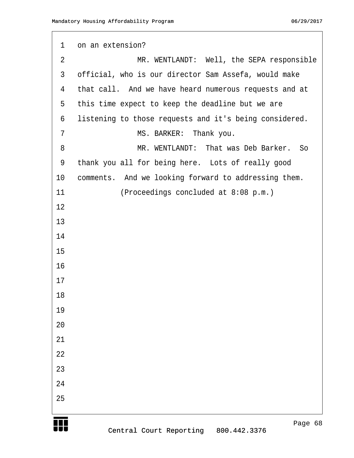```
1 on an extension?
 2 The SEPA responsible MR. WENTLANDT: Well, the SEPA responsible
 3 official, who is our director Sam Assefa, would make
 4 that call. And we have heard numerous requests and at
 5 this time expect to keep the deadline but we are
 6 listening to those requests and it's being considered.
 7 MS. BARKER: Thank you.
 ·8· · · · · · · · ·MR. WENTLANDT:· That was Deb Barker.· So
 9 thank you all for being here. Lots of really good
10 comments. And we looking forward to addressing them.
11 		 (Proceedings concluded at 8:08 p.m.)
12
13
14
15
16
17
18
19
20
21
22
23
24
25
```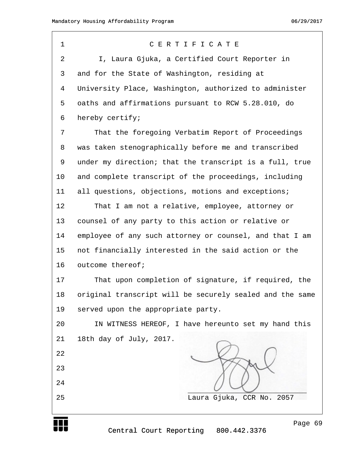| $\mathbf 1$    | CERTIFICATE                                              |
|----------------|----------------------------------------------------------|
| $\overline{2}$ | I, Laura Gjuka, a Certified Court Reporter in            |
| 3              | and for the State of Washington, residing at             |
| 4              | University Place, Washington, authorized to administer   |
| 5              | oaths and affirmations pursuant to RCW 5.28.010, do      |
| 6              | hereby certify;                                          |
| 7              | That the foregoing Verbatim Report of Proceedings        |
| 8              | was taken stenographically before me and transcribed     |
| 9              | under my direction; that the transcript is a full, true  |
| 10             | and complete transcript of the proceedings, including    |
| 11             | all questions, objections, motions and exceptions;       |
| 12             | That I am not a relative, employee, attorney or          |
| 13             | counsel of any party to this action or relative or       |
| 14             | employee of any such attorney or counsel, and that I am  |
| 15             | not financially interested in the said action or the     |
| 16             | outcome thereof;                                         |
| 17             | That upon completion of signature, if required, the      |
| 18             | original transcript will be securely sealed and the same |
| 19             | served upon the appropriate party.                       |
| 20             | IN WITNESS HEREOF, I have hereunto set my hand this      |
| 21             | 18th day of July, 2017.                                  |
| 22             |                                                          |
| 23             |                                                          |
| 24             |                                                          |
| 25             | Laura Gjuka, CCR No. 2057                                |

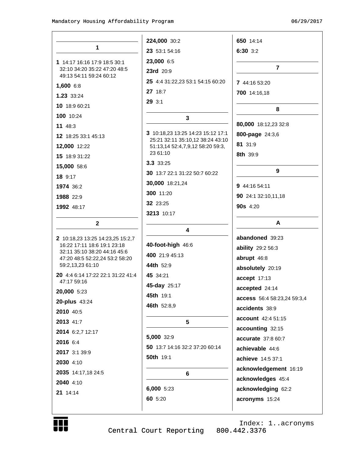|                                                                | 224,000 30:2                                                          | 650 14:14                   |
|----------------------------------------------------------------|-----------------------------------------------------------------------|-----------------------------|
| 1                                                              | 23 53:1 54:16                                                         | 6:30 3:2                    |
| 1 14:17 16:16 17:9 18:5 30:1                                   | 23,000 6:5                                                            |                             |
| 32:10 34:20 35:22 47:20 48:5                                   | 23rd 20:9                                                             | $\overline{7}$              |
| 49:13 54:11 59:24 60:12<br>1,600 6:8                           | 25 4:4 31:22,23 53:1 54:15 60:20                                      | 7 44:16 53:20               |
| 1.23 33:24                                                     | 27 18:7                                                               | 700 14:16,18                |
| 10 18:9 60:21                                                  | 29 3:1                                                                |                             |
| 100 10:24                                                      |                                                                       | 8                           |
| 11 48:3                                                        | 3                                                                     | 80,000 18:12,23 32:8        |
|                                                                | 3 10:18,23 13:25 14:23 15:12 17:1<br>25:21 32:11 35:10,12 38:24 43:10 | 800-page 24:3,6             |
| 12 18:25 33:1 45:13                                            |                                                                       | 81 31:9                     |
| 12,000 12:22                                                   | 51:13,14 52:4,7,9,12 58:20 59:3,<br>23 61:10                          | 8th 39:9                    |
| 15 18:9 31:22                                                  | 3.3 33:25                                                             |                             |
| 15,000 58:6                                                    | 30 13:7 22:1 31:22 50:7 60:22                                         | 9                           |
| 18 9:17<br>1974 36:2                                           | 30,000 18:21,24                                                       | 9 44:16 54:11               |
| 1988 22:9                                                      | 300 11:20                                                             | 90 24:1 32:10,11,18         |
| 1992 48:17                                                     | 32 23:25                                                              | 90s 4:20                    |
|                                                                | 3213 10:17                                                            |                             |
| $\mathbf 2$                                                    |                                                                       | A                           |
| 2 10:18,23 13:25 14:23,25 15:2,7                               | 4                                                                     | abandoned 39:23             |
| 16:22 17:11 18:6 19:1 23:18                                    | 40-foot-high 46:6                                                     | ability 29:2 56:3           |
| 32:11 35:10 38:20 44:16 45:6<br>47:20 48:5 52:22,24 53:2 58:20 | 400 21:9 45:13                                                        | abrupt 46:8                 |
| 59:2,13,23 61:10                                               | 44th 52:9                                                             | absolutely 20:19            |
| 20 4:4 6:14 17:22 22:1 31:22 41:4                              | 45 34:21                                                              | accept 17:13                |
| 47:17 59:16                                                    | 45-day 25:17                                                          | accepted 24:14              |
| 20,000 5:23                                                    | 45th 19:1                                                             | access 56:4 58:23,24 59:3,4 |
| 20-plus 43:24<br>2010 40:5                                     | 46th 52:8,9                                                           | accidents 38:9              |
| 2013 41:7                                                      | 5                                                                     | account 42:4 51:15          |
| 2014 6:2,7 12:17                                               |                                                                       | accounting 32:15            |
| 2016 6:4                                                       | 5,000 32:9                                                            | accurate 37:8 60:7          |
| 2017 3:1 39:9                                                  | 50 13:7 14:16 32:2 37:20 60:14                                        | achievable 44:6             |
| 2030 4:10                                                      | <b>50th</b> 19:1                                                      | achieve 14:5 37:1           |
| 2035 14:17,18 24:5                                             | 6                                                                     | acknowledgement 16:19       |
| 2040 4:10                                                      |                                                                       | acknowledges 45:4           |
| 21 14:14                                                       | 6,000 5:23                                                            | acknowledging 62:2          |
|                                                                | 60 5:20                                                               | acronyms 15:24              |
|                                                                |                                                                       |                             |



Index: 1..acronyms Central Court Reporting 800.442.3376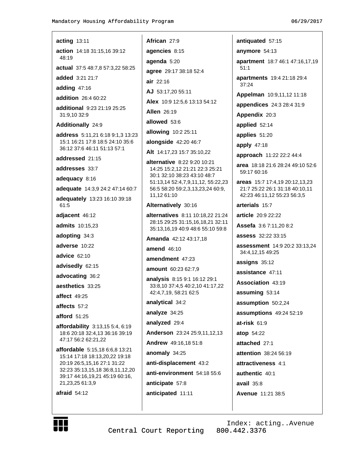antiquated 57:15

 $51:1$ 

37:24

59:17 60:16

34:4.12.15 49:25

21:7 25:22 26:1 31:18 40:10,11

42:23 46:11,12 55:23 56:3,5

## acting 13:11 African 27:9 action 14:18 31:15.16 39:12 48:19 actual 37:5 48:7,8 57:3,22 58:25 added 3:21 21:7 air  $22:16$ adding  $47:16$ addition 26:4 60:22 additional 9:23 21:19 25:25 31:9.10 32:9 Additionally 24:9 address 5:11,21 6:18 9:1,3 13:23 15:1 16:21 17:8 18:5 24:10 35:6 36:12 37:6 46:11 51:13 57:1 addressed 21:15 addresses 33:7 adequacy 8:16 adequate 14:3,9 24:2 47:14 60:7 adequately 13:23 16:10 39:18 61:5 adjacent 46:12 **admits** 10:15,23 adopting 34:3 adverse 10:22 advice 62:10 advisedly 62:15 advocating 36:2 aesthetics 33:25 affect 49:25 affects 57:2 afford  $51:25$ **affordability**  $3:13,155:4,6:19$ 18:6 20:18 32:4,13 36:16 39:19 47:17 56:2 62:21,22 affordable 5:15,18 6:6,8 13:21 15:14 17:18 18:13,20,22 19:18 20:19 26:5,15,16 27:1 31:22 32:23 35:13,15,18 36:8,11,12,20 39:17 44:16,19,21 45:19 60:16, 21,23,25 61:3,9  $a$ fraid  $54:12$

agencies 8:15 anymore 54:13 agenda 5:20 apartment 18:7 46:1 47:16,17,19 agree 29:17 38:18 52:4 apartments 19:4 21:18 29:4 AJ 53:17,20 55:11 Appelman 10:9,11,12 11:18 Alex 10:9 12:5,6 13:13 54:12 appendices 24:3 28:4 31:9 **Allen 26:19** Appendix 20:3 allowed 53:6 applied 52:14 allowing 10:2 25:11 applies 51:20 alongside 42:20 46:7 apply  $47:18$ Alt 14:17,23 15:7 35:10,22 approach 11:22 22:2 44:4 alternative 8:22 9:20 10:21 area 18:18 21:6 28:24 49:10 52:6 14:25 15:2,12 21:21 22:3 25:21 30:1 32:10 38:23 43:10 48:7 51:13,14 52:4,7,9,11,12, 55:22,23 areas 15:7 17:4.19 20:12.13.23 56:5 58:20 59:2,3,13,23,24 60:9, 11,12 61:10 arterials 15:7 Alternatively 30:16 alternatives 8:11 10:18.22 21:24 article 20:9 22:22 28:15 29:25 31:15,16,18,21 32:11 Assefa 3:6 7:11,20 8:2 35:13,16,19 40:9 48:6 55:10 59:8 assess 32:22 33:15 Amanda 42:12 43:17,18 assessment 14:9 20:2 33:13,24 amend  $46:10$ amendment 47:23 assigns 35:12 amount 60:23 62:7,9 assistance 47:11 analysis 8:15 9:1 16:12 29:1 Association 43:19 33:8,10 37:4,5 40:2,10 41:17,22 42:4,7,19, 58:21 62:5 assuming 53:14 analytical 34:2 assumption 50:2,24 analyze  $34:25$ assumptions 49:24 52:19 analyzed 29:4  $at-risk$  61:9 Anderson 23:24 25:9,11,12,13 atop 54:22 Andrew 49:16,18 51:8 attached 27:1 anomaly  $34:25$ attention 38:24 56:19 anti-displacement 43:2 attractiveness 4:1 authentic 40:1 anti-environment 54:18 55:6

anticipate 57:8

anticipated 11:11





Index: acting..Avenue 800.442.3376

 $avail 35:8$ 

**Avenue 11:21 38:5**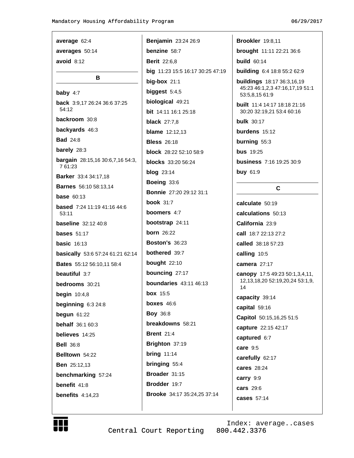| average 62:4                                       | Benjamin 23:24 26:9              | <b>Brookler</b> 19:8,11                                          |
|----------------------------------------------------|----------------------------------|------------------------------------------------------------------|
| averages 50:14                                     | benzine 58:7                     | brought 11:11 22:21 36:6                                         |
| avoid $8:12$                                       | <b>Berit</b> 22:6,8              | <b>build</b> 60:14                                               |
|                                                    | big 11:23 15:5 16:17 30:25 47:19 | <b>building</b> 6:4 18:8 55:2 62:9                               |
| B                                                  | big-box $21:1$                   | <b>buildings</b> 18:17 36:3,16,19                                |
| baby $4:7$                                         | biggest $5:4,5$                  | 45:23 46:1,2,3 47:16,17,19 51:1<br>53:5,8,15 61:9                |
| <b>back</b> 3:9,17 26:24 36:6 37:25                | biological 49:21                 | <b>built</b> 11:4 14:17 18:18 21:16<br>30:20 32:19,21 53:4 60:16 |
| 54:12                                              | <b>bit</b> 14:11 16:1 25:18      |                                                                  |
| backroom 30:8                                      | <b>black</b> 27:7,8              | <b>bulk</b> 30:17                                                |
| backyards 46:3                                     | <b>blame</b> 12:12,13            | burdens 15:12                                                    |
| <b>Bad</b> 24:8                                    | <b>Bless</b> 26:18               | burning 55:3                                                     |
| barely 28:3                                        | block 28:22 52:10 58:9           | <b>bus</b> 19:25                                                 |
| <b>bargain</b> 28:15,16 30:6,7,16 54:3,<br>7 61:23 | <b>blocks</b> 33:20 56:24        | <b>business</b> 7:16 19:25 30:9                                  |
| <b>Barker</b> 33:4 34:17,18                        | <b>blog</b> 23:14                | buy 61:9                                                         |
| <b>Barnes</b> 56:10 58:13,14                       | Boeing 33:6                      |                                                                  |
| <b>base</b> $60:13$                                | <b>Bonnie</b> 27:20 29:12 31:1   | C                                                                |
|                                                    | <b>book</b> 31:7                 | calculate 50:19                                                  |
| <b>based</b> 7:24 11:19 41:16 44:6<br>53:11        | <b>boomers</b> 4:7               | calculations 50:13                                               |
| <b>baseline</b> 32:12 40:8                         | <b>bootstrap</b> 24:11           | California 23:9                                                  |
| <b>bases</b> $51:17$                               | <b>born</b> 26:22                | call 18:7 22:13 27:2                                             |
| <b>basic</b> $16:13$                               | <b>Boston's 36:23</b>            | called 38:18 57:23                                               |
| basically 53:6 57:24 61:21 62:14                   | <b>bothered</b> 39:7             | calling 10:5                                                     |
| <b>Bates</b> 55:12 56:10,11 58:4                   | bought 22:10                     | camera 27:17                                                     |
| <b>beautiful</b> 3:7                               | bouncing 27:17                   | canopy 17:5 49:23 50:1,3,4,11,                                   |
| bedrooms 30:21                                     | <b>boundaries</b> 43:11 46:13    | 12, 13, 18, 20 52: 19, 20, 24 53: 1, 9,<br>14                    |
| <b>begin</b> 10:4,8                                | <b>box</b> 15:5                  | capacity 39:14                                                   |
| beginning $6:324:8$                                | <b>boxes</b> 46:6                | capital 59:16                                                    |
| begun $61:22$                                      | <b>Boy 36:8</b>                  | Capitol 50:15,16,25 51:5                                         |
| <b>behalf</b> 36:1 60:3                            | breakdowns 58:21                 | capture 22:15 42:17                                              |
| believes 14:25                                     | <b>Brent 21:4</b>                | captured 6:7                                                     |
| <b>Bell 36:8</b>                                   | Brighton 37:19                   | care 9:5                                                         |
| Belltown 54:22                                     | bring $11:14$                    | carefully 62:17                                                  |
| <b>Ben</b> 25:12,13                                | bringing 55:4                    | cares 28:24                                                      |
| benchmarking 57:24                                 | Broader 31:15                    | carry 9:9                                                        |
| benefit 41:8                                       | Brodder 19:7                     | <b>cars</b> 29:6                                                 |
| benefits $4:14,23$                                 | Brooke 34:17 35:24,25 37:14      | cases 57:14                                                      |
|                                                    |                                  |                                                                  |
|                                                    |                                  |                                                                  |

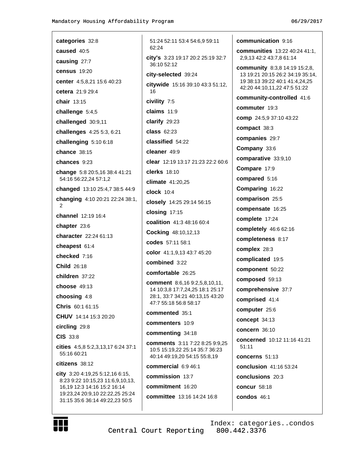| categories 32:8                                                   | $5^{\circ}$  |
|-------------------------------------------------------------------|--------------|
| <b>caused</b> 40:5                                                | 6.           |
| causing 27:7                                                      | cit<br>31    |
| <b>census</b> 19:20                                               | cit          |
| center 4:5,8,21 15:6 40:23                                        | cit          |
| <b>cetera</b> 21:9 29:4                                           | 1            |
| <b>chair</b> 13:15                                                | civ          |
| challenge 5:4,5                                                   | cla          |
| challenged 30:9,11                                                | cla          |
| challenges 4:25 5:3, 6:21                                         | cla          |
| challenging $5:106:18$                                            | cla          |
| chance 38:15                                                      | cle          |
| <b>chances</b> 9:23                                               | cle          |
| <b>change</b> 5:8 20:5,16 38:4 41:21                              | cle          |
| 54:16 56:22,24 57:1,2                                             | clil         |
| changed 13:10 25:4,7 38:5 44:9                                    | clc          |
| <b>changing</b> 4:10 20:21 22:24 38:1,<br>2                       | clc          |
| <b>channel</b> 12:19 16:4                                         | clc          |
| chapter 23:6                                                      | CO           |
| <b>character</b> 22:24 61:13                                      | Co           |
| <b>cheapest</b> 61:4                                              | co           |
| <b>checked 7:16</b>                                               | CO           |
| <b>Child 26:18</b>                                                | CO           |
| children 37:22                                                    | co           |
| <b>choose</b> 49:13                                               | CO<br>1.     |
| <b>choosing</b> 4:8                                               | 2            |
| <b>Chris</b> 60:1 61:15                                           | 4            |
| CHUV 14:14 15:3 20:20                                             | co           |
| <b>circling</b> 29:8                                              | CO           |
| $CIS$ 33:8                                                        | co           |
| cities 4:5,8 5:2,3,13,17 6:24 37:1<br>55:16 60:21                 | co<br>1<br>4 |
| <b>citizens</b> 38:12                                             | co           |
| <b>city</b> 3:20 4:19,25 5:12,16 6:15,                            | co           |
| 8:23 9:22 10:15,23 11:6,9,10,13,<br>16,19 12:3 14:16 15:2 16:14   | co           |
| 19:23,24 20:9,10 22:22,25 25:24<br>31:15 35:6 36:14 49:22,23 50:5 | co           |

1:24 52:11 53:4 54:6,9 59:11  $2:24$ y's 3:23 19:17 20:2 25:19 32:7 6:10 52:12 v-selected 39:24 ywide 15:16 39:10 43:3 51:12, ี vility 7:5 **aims** 11:9 arify 29:23 **ISS 62:23 issified** 54:22 eaner 49:9 ear 12:19 13:17 21:23 22:2 60:6 erks 18:10 mate 41:20,25  $2c<sup>k</sup> 10:4$ **osely** 14:25 29:14 56:15  $\rho$ sing 17:15 alition 41:3 48:16 60:4 **cking** 48:10,12,13 des 57:11 58:1 lor 41:1,9,13 43:7 45:20 mbined 3:22 mfortable 26:25 mment 8:6,16 9:2,5,8,10,11, 4 10:3,8 17:7,24,25 18:1 25:17 8:1, 33:7 34:21 40:13,15 43:20 7:7 55:18 56:8 58:17 mmented 35:1 mmenters 10:9 mmenting 34:18 mments 3:11 7:22 8:25 9:9,25 0:5 15:19,22 25:14 35:7 36:23 0:14 49:19,20 54:15 55:8,19 mmercial 6:9 46:1 mmission 13:7 mmitment 16:20

mmittee 13:16 14:24 16:8

communication 9:16

communities 13:22 40:24 41:1, 2,9,13 42:2 43:7,8 61:14

**community** 8:3,8 14:19 15:2,8, 13 19:21 20:15 26:2 34:19 35:14, 19 38:13 39:22 40:1 41:4,24,25 42:20 44:10,11,22 47:5 51:22

community-controlled 41:6

commuter 19:3

comp 24:5,9 37:10 43:22 compact 38:3 companies 29:7 Company 33:6 comparative 33:9,10 Compare 17:9 compared 5:16 Comparing 16:22 comparison 25:5 compensate 16:25 complete 17:24 completely 46:6 62:16 completeness 8:17 complex 28:3 complicated 19:5 component 50:22 composed 59:13 comprehensive 37:7 comprised 41:4 computer 25:6 concept 34:13 concern 36:10 concerned 10:12 11:16 41:21 51:11 concerns 51:13 conclusion 41:16 53:24 conclusions 20:3 concur 58:18 condos 46:1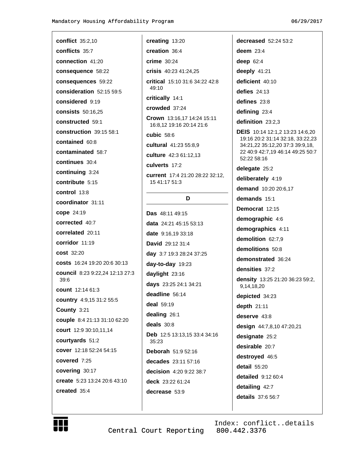**conflict** 35:2,10 conflicts 35:7 connection 41:20 consequence 58:22 consequences 59:22 consideration 52:15 59:5 considered 9:19 consists 50:16,25 constructed 59:1 construction 39:15 58:1 contained 60:8 contaminated 58:7 continues 30:4 continuing 3:24 contribute 5:15 control  $13:8$ coordinator 31:11 cope 24:19 corrected 40:7 correlated 20:11 corridor 11:19 **cost** 32:20 costs 16:24 19:20 20:6 30:13 council 8:23 9:22,24 12:13 27:3  $39.6$ count 12:14 61:3 country 4:9,15 31:2 55:5 County 3:21 couple 8:4 21:13 31:10 62:20 court 12:9 30:10,11,14 courtyards 51:2 cover 12:18 52:24 54:15 covered 7:25 covering 30:17 create 5:23 13:24 20:6 43:10 created 35:4

creating 13:20 creation 36:4 crime 30:24 crisis 40:23 41:24.25 critical 15:10 31:6 34:22 42:8  $49.10$ critically 14:1 crowded 37:24 Crown 13:16,17 14:24 15:11 16:8,12 19:16 20:14 21:6 cubic  $58:6$ cultural 41:23 55:8.9 culture 42:3 61:12,13 culverts 17:2 current 17:4 21:20 28:22 32:12, 15 41:17 51:3 D Das 48:11 49:15 data 24:21 45:15 53:13

date 9:16.19 33:18 David 29:12 31:4 day 3:7 19:3 28:24 37:25 day-to-day 19:23 daylight 23:16 days 23:25 24:1 34:21 deadline 56:14 deal 59:19 dealing 26:1 deals 30:8 Deb 12:5 13:13,15 33:4 34:16 35:23 Deborah 51:9 52:16 decades 23:11 57:16 decision 4:20 9:22 38:7 deck 23:22 61:24 decrease 53:9

decreased 52:24 53:2 deem  $23:4$ deep  $62:4$ deeply 41:21 deficient 40:10 defies  $24:13$ defines 23:8 defining 23:4 definition 23:2,3 **DEIS** 10:14 12:1,2 13:23 14:6,20 19:16 20:2 31:14 32:18, 33:22,23 34:21,22 35:12,20 37:3 39:9,18, 22 40:9 42:7,19 46:14 49:25 50:7 52:22 58:16 delegate 25:2 deliberately 4:19 demand 10:20 20:6,17 demands 15:1 Democrat 12:15 demographic 4:6 demographics 4:11 demolition 62:7,9 demolitions 50:8 demonstrated 36:24 densities 37:2 density 13:25 21:20 36:23 59:2, 9,14,18,20 depicted 34:23 depth 21:11 deserve 43:8 design 44:7,8,10 47:20,21 designate 25:2 desirable 20:7 destroyed 46:5  $detail 55:20$ detailed  $9:1260:4$ detailing 42:7 details 37:6 56:7



Central Court Reporting

Index: conflict..details 800.442.3376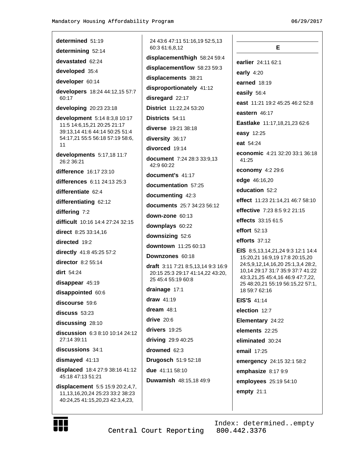#### 06/29/2017

| determined 51:19                                                                                             | 24 43:6 47:11 51:16,19 52:5,13<br>60:3 61:6,8,12                              | Е                                                                    |
|--------------------------------------------------------------------------------------------------------------|-------------------------------------------------------------------------------|----------------------------------------------------------------------|
| determining 52:14                                                                                            | displacement/high 58:24 59:4                                                  |                                                                      |
| devastated 62:24                                                                                             | displacement/low 58:23 59:3                                                   | earlier 24:11 62:1                                                   |
| developed 35:4                                                                                               | displacements 38:21                                                           | early $4:20$                                                         |
| developer 60:14                                                                                              | disproportionately 41:12                                                      | earned 18:19                                                         |
| developers 18:24 44:12,15 57:7<br>60:17                                                                      | disregard 22:17                                                               | easily 56:4                                                          |
| developing 20:23 23:18                                                                                       | District 11:22,24 53:20                                                       | east 11:21 19:2 45:25 46:2 52:8                                      |
| development 5:14 8:3,8 10:17                                                                                 | Districts 54:11                                                               | eastern 46:17                                                        |
| 11:5 14:6,15,21 20:25 21:17                                                                                  | diverse 19:21 38:18                                                           | Eastlake 11:17,18,21,23 62:6                                         |
| 39:13,14 41:6 44:14 50:25 51:4<br>54:17,21 55:5 56:18 57:19 58:6,                                            | diversity 36:17                                                               | easy 12:25                                                           |
| 11                                                                                                           | divorced 19:14                                                                | eat 54:24                                                            |
| developments 5:17,18 11:7                                                                                    |                                                                               | economic 4:21 32:20 33:1 36:18                                       |
| 26:2 36:21                                                                                                   | document 7:24 28:3 33:9,13<br>42:9 60:22                                      | 41:25                                                                |
| difference 16:17 23:10                                                                                       | document's 41:17                                                              | economy 4:2 29:6                                                     |
| differences 6:11 24:13 25:3                                                                                  | documentation 57:25                                                           | edge 46:16,20                                                        |
| differentiate 62:4                                                                                           | documenting 42:3                                                              | education 52:2                                                       |
| differentiating 62:12                                                                                        | documents 25:7 34:23 56:12                                                    | effect 11:23 21:14,21 46:7 58:10                                     |
| differing 7:2                                                                                                | down-zone 60:13                                                               | effective 7:23 8:5 9:2 21:15                                         |
| difficult 10:16 14:4 27:24 32:15                                                                             | downplays 60:22                                                               | effects 33:15 61:5                                                   |
| direct 8:25 33:14,16                                                                                         | downsizing 52:6                                                               | effort 52:13                                                         |
| directed 19:2                                                                                                | downtown 11:25 60:13                                                          | efforts $37:12$                                                      |
| directly 41:8 45:25 57:2                                                                                     | Downzones 60:18                                                               | EIS 8:5,13,14,21,24 9:3 12:1 14:4                                    |
| director 8:2 55:14                                                                                           |                                                                               | 15:20,21 16:9,19 17:8 20:15,20<br>24:5,9,12,14,16,20 25:1,3,4 28:2,  |
| $dirt$ 54:24                                                                                                 | <b>draft</b> 3:11 7:21 8:5,13,14 9:3 16:9<br>20:15 25:3 29:17 41:14,22 43:20, | 10,14 29:17 31:7 35:9 37:7 41:22                                     |
| disappear 45:19                                                                                              | 25 45:4 55:19 60:8                                                            | 43:3,21,25 45:4,16 46:9 47:7,22,<br>25 48:20,21 55:19 56:15,22 57:1, |
| disappointed 60:6                                                                                            | drainage 17:1                                                                 | 18 59:7 62:16                                                        |
| discourse 59:6                                                                                               | draw $41:19$                                                                  | <b>EIS'S 41:14</b>                                                   |
| discuss 53:23                                                                                                | dream $48:1$                                                                  | election 12:7                                                        |
| discussing 28:10                                                                                             | drive $20:6$                                                                  | Elementary 24:22                                                     |
| discussion 6:3 8:10 10:14 24:12                                                                              | drivers 19:25                                                                 | elements 22:25                                                       |
| 27:14 39:11                                                                                                  | driving 29:9 40:25                                                            | eliminated 30:24                                                     |
| discussions 34:1                                                                                             | drowned 62:3                                                                  | email 17:25                                                          |
| dismayed 41:13                                                                                               | Drugosch 51:9 52:18                                                           | emergency 24:15 32:1 58:2                                            |
| displaced 18:4 27:9 38:16 41:12                                                                              | due 41:11 58:10                                                               | emphasize 8:17 9:9                                                   |
| 45:18 47:13 51:21                                                                                            | Duwamish 48:15,18 49:9                                                        | employees 25:19 54:10                                                |
| displacement 5:5 15:9 20:2,4,7,<br>11, 13, 16, 20, 24 25: 23 33: 2 38: 23<br>40:24,25 41:15,20,23 42:3,4,23, |                                                                               | empty $21:1$                                                         |
|                                                                                                              |                                                                               |                                                                      |

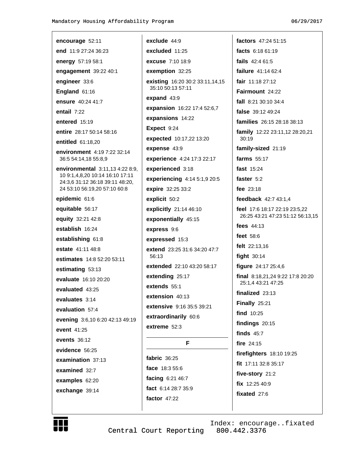| encourage 52:11                                                                                                                       |
|---------------------------------------------------------------------------------------------------------------------------------------|
| end 11:9 27:24 36:23                                                                                                                  |
| energy 57:19 58:1                                                                                                                     |
| engagement 39:22 40:1                                                                                                                 |
| engineer 33:6                                                                                                                         |
| England 61:16                                                                                                                         |
| ensure 40:24 41:7                                                                                                                     |
| entail 7:22                                                                                                                           |
| entered $15:19$                                                                                                                       |
| entire 28:17 50:14 58:16                                                                                                              |
| entitled 61:18,20                                                                                                                     |
| <b>environment</b> 4:19 7:22 32:14<br>36:5 54:14,18 55:8,9                                                                            |
| environmental 3:11,13 4:22 8:9,<br>10 9:1,4,8,20 10:14 16:10 17:11<br>24:3,6 31:12 36:18 39:11 48:20,<br>24 53:10 56:19,20 57:10 60:8 |
| epidemic 61:6                                                                                                                         |
| equitable 56:17                                                                                                                       |
| equity 32:21 42:8                                                                                                                     |
| establish 16:24                                                                                                                       |
| establishing 61:8                                                                                                                     |
| estate 41:11 48:8                                                                                                                     |
| estimates 14:8 52:20 53:11                                                                                                            |
| estimating 53:13                                                                                                                      |
| evaluate 16:10 20:20                                                                                                                  |
| evaluated 43:25                                                                                                                       |
| evaluates 3:14                                                                                                                        |
| evaluation 57:4                                                                                                                       |
| evening 3:6,10 6:20 42:13 49:19                                                                                                       |
| event 41:25                                                                                                                           |
| <b>events</b> 36:12                                                                                                                   |
| evidence 56:25                                                                                                                        |
| examination 37:13                                                                                                                     |
| examined 32:7                                                                                                                         |
| examples 62:20                                                                                                                        |
| exchange 39:14                                                                                                                        |
|                                                                                                                                       |

exclude 44:9 excluded 11:25 excuse 7:10 18:9 exemption 32:25 existing 16:20 30:2 33:11,14,15 35:10 50:13 57:11 expand 43:9 expansion 16:22 17:4 52:6,7 expansions 14:22 Expect 9:24 expected 10:17,22 13:20 expense 43:9 experience 4:24 17:3 22:17 experienced 3:18 experiencing 4:14 5:1,9 20:5 expire 32:25 33:2 explicit 50:2 explicitly 21:14 46:10 exponentially 45:15 express 9:6 expressed 15:3 extend 23:25 31:6 34:20 47:7 56:13 extended 22:10 43:20 58:17 extending 25:17 extends 55:1 extension 40:13 extensive 9:16 35:5 39:21 extraordinarily 60:6 extreme  $52:3$ F fabric  $36:25$ face 18:3 55:6 facing 6:21 46:7

factors 47:24 51:15 facts 6:18 61:19 fails 42:4 61:5 failure 41:14 62:4 fair  $11.1827.12$ Fairmount 24:22 fall 8:21 30:10 34:4 false 39:12 49:24 families 26:15 28:18 38:13 family 12:22 23:11,12 28:20,21 30:19 family-sized 21:19 farms 55:17 fast 15:24 faster 5:2 fee 23:18 feedback 42:7 43:1,4 feel 17:6 18:17 22:19 23:5,22 26:25 43:21 47:23 51:12 56:13,15 fees 44:13 feet 58:6 felt 22:13,16 fight  $30:14$ figure 24:17 25:4,6 final 8:18,21,24 9:22 17:8 20:20 25:1,4 43:21 47:25 finalized  $23:13$ Finally 25:21 find 10:25 findings  $20:15$ finds  $45:7$ fire 24:15 firefighters 18:10 19:25 fit 17:11 32:8 35:17 five-story 21:2 fix 12:25 40:9 fixated 27:6



Index: encourage..fixated 800.442.3376 Central Court Reporting

fact 6:14 28:7 35:9

factor  $47:22$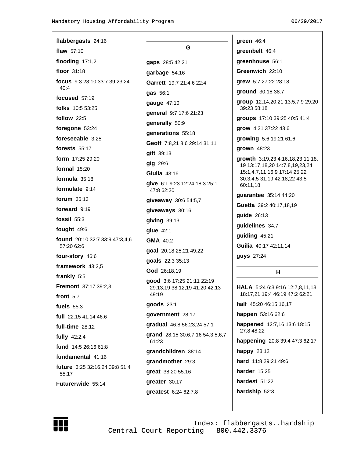| flabbergasts 24:16                           |              |
|----------------------------------------------|--------------|
| flaw 57:10                                   |              |
| flooding 17:1,2                              | gaps         |
| floor 31:18                                  | garb         |
| focus 9:3 28:10 33:7 39:23,24<br>40:4        | Garr         |
| <b>focused</b> 57:19                         | gas          |
| folks 10:5 53:25                             | gaug         |
| follow 22:5                                  | gene         |
| <b>foregone</b> 53:24                        | gene         |
| <b>foreseeable</b> 3:25                      | gene         |
| forests $55:17$                              | Geot         |
| form 17:25 29:20                             | gift         |
| <b>formal</b> 15:20                          | gig :        |
| <b>formula</b> 35:18                         | Giuli        |
| <b>formulate</b> 9:14                        | give<br>47:8 |
| <b>forum</b> 36:13                           | give         |
| <b>forward</b> 9:19                          | give         |
| <b>fossil</b> 55:3                           | givir        |
| fought 49:6                                  | glue         |
| found 20:10 32:7 33:9 47:3,4,6<br>57:20 62:6 | GMA          |
| four-story 46:6                              | goal         |
| framework 43:2,5                             | goal         |
| frankly 5:5                                  | God          |
| Fremont 37:17 39:2,3                         | qood<br>29:1 |
| front 5:7                                    | 49:1         |
| fuels $55:3$                                 | good         |
| full 22:15 41:14 46:6                        | gove         |
| full-time 28:12                              | grad         |
| fully $42:2,4$                               | gran<br>61:2 |
| fund 14:5 26:16 61:8                         | gran         |
| fundamental 41:16                            | gran         |
| future 3:25 32:16,24 39:8 51:4               | grea         |
| 55:17                                        | grea         |
| <b>Futurerwide 55:14</b>                     | grea         |
|                                              |              |

G  $$28:542:21$ age 54:16 rett 19:7 21:4,6 22:4  $56:1$ ge 47:10 eral 9:7 17:6 21:23 erally 50:9 erations 55:18 ff 7:8,21 8:6 29:14 31:11 39:13 29:6 **ia** 43:16 6:1 9:23 12:24 18:3 25:1 8 62:20 away 30:6 54:5,7 aways 30:16 ng 39:13  $42:1$  $40:2$ 20:18 25:21 49:22 **s** 22:3 35:13 26:18,19  $d$  3:6 17:25 21:11 22:19 13,19 38:12,19 41:20 42:13 19  $ds$  23:1 ernment 28:17 lual 46:8 56:23,24 57:1 d 28:15 30:6,7,16 54:3,5,6,7 23 dchildren 38:14 dmother 29:3  $11.38:20.55:16$ ter 30:17 **itest**  $6:2462:7,8$ 

green 46:4 greenbelt 46:4 greenhouse 56:1 Greenwich 22:10 qrew 5:7 27:22 28:18 ground 30:18 38:7 group 12:14,20,21 13:5,7,9 29:20 39:23 58:18 groups 17:10 39:25 40:5 41:4 grow 4:21 37:22 43:6 growing 5:6 19:21 61:6 grown 48:23 growth 3:19,23 4:16,18,23 11:18, 19 13:17, 18, 20 14: 7, 8, 19, 23, 24 15:1,4,7,11 16:9 17:14 25:22 30:3,4,5 31:19 42:18,22 43:5 60:11.18 guarantee 35:14 44:20 Guetta 39:2 40:17,18,19 **guide** 26:13 guidelines 34:7 guiding 45:21 Guilia 40:17 42:11,14 guys 27:24 н HALA 5:24 6:3 9:16 12:7,8,11,13

18:17,21 19:4 46:19 47:2 62:21

half 45:20 46:15,16,17

happen 53:16 62:6

happened 12:7,16 13:6 18:15 27:8 48:22

happening 20:8 39:4 47:3 62:17

happy 23:12

hard 11:8 29:21 49:6

harder  $15:25$ 

hardest 51:22

hardship 52:3

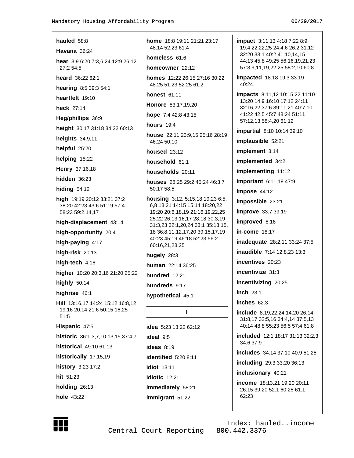| hauled $58:8$                                                                  | <b>home</b> 18:                   |
|--------------------------------------------------------------------------------|-----------------------------------|
| Havana 36:24                                                                   | 48:14 52:                         |
| <b>hear</b> 3:9 6:20 7:3,6,24 12:9 26:12                                       | homeless                          |
| 27:2 54:5                                                                      | homeown                           |
| heard 36:22 62:1                                                               | homes 12<br>48:25 51:             |
| hearing 8:5 39:3 54:1                                                          | honest 6                          |
| heartfelt 19:10                                                                | <b>Honore</b> 5                   |
| heck 27:14                                                                     | hope 7:4                          |
| Heg/phillips 36:9                                                              | hours $19$ :                      |
| height 30:17 31:18 34:22 60:13                                                 | house 22                          |
| heights 34:9,11                                                                | 46:24 50:                         |
| helpful 25:20                                                                  | housed 2                          |
| helping 15:22                                                                  | househol                          |
| Henry 37:16,18                                                                 | househol                          |
| hidden $36:23$                                                                 | houses <sub>2</sub>               |
| <b>hiding 54:12</b>                                                            | 50:17 58:                         |
| high 19:19 20:12 33:21 37:2<br>38:20 42:23 43:6 51:19 57:4<br>58:23 59:2,14,17 | housing<br>6,8 13:21<br>19:20 20: |
| high-displacement 43:14                                                        | 25:22 26:<br>31:3,23 32           |
| high-opportunity 20:4                                                          | 18 36:8,1                         |
| high-paying 4:17                                                               | 40:23 45:<br>60:16,21,            |
| high-risk 20:13                                                                | hugely 28                         |
| high-tech 4:16                                                                 | human 22                          |
| higher 10:20 20:3,16 21:20 25:22                                               | hundred                           |
| highly 50:14                                                                   | hundreds                          |
| highrise 46:1                                                                  | hypotheti                         |
| Hill 13:16,17 14:24 15:12 16:8,12<br>19:16 20:14 21:6 50:15,16,25<br>51:5      |                                   |
| Hispanic 47:5                                                                  | idea $5:23$                       |
| historic 36:1,3,7,10,13,15 37:4,7                                              | ideal $9:5$                       |
| historical 49:10 61:13                                                         | <b>ideas</b> 8:19                 |
| historically 17:15,19                                                          | identified                        |
| history 3:23 17:2                                                              | idiot 13:1                        |
| hit 51:23                                                                      | idiotic 12                        |
| holding $26:13$                                                                | <b>immediat</b>                   |
| hole 43:22                                                                     | immigran                          |
|                                                                                |                                   |

8 19:11 21:21 23:17 23 61:4 61:6 er 22:12 2:22 26:15 27:16 30:22 23 52:25 61:2  $1:11$ 3:17,19,20 42:8 43:15  $\overline{4}$ :11 23:9,15 25:16 28:19 10  $23:12$  $d$  61:1 ds 20:11 28:25 29:2 45:24 46:3,7 5 3:12, 5:15, 18, 19, 23 6:5, 14:15 15:14 18:20,22 6,18,19 21:16,19,22,25

13, 16, 17 28: 18 30: 3, 19 2:1,20,24 33:1 35:13,15, 1,12,17,20 39:15,17,19 19 46:18 52:23 56:2 23,25

 $3:3$ 

2:14 36:25

 $12.21$ 

 $9:17$ 

cal 45:1

## $\mathbf{I}$

13:22 62:12 9 5:20 8:11 1  $:21$ ely 58:21  $t$  51:22

impact 3:11,13 4:18 7:22 8:9 19:4 22:22,25 24:4,6 26:2 31:12 32:20 33:1 40:2 41:10,14,15 44:13 45:8 49:25 56:16,19,21,23 57:3,9,11,19,22,25 58:2,10 60:8

**impacted** 18:18 19:3 33:19 40:24

impacts 8:11,12 10:15,22 11:10 13:20 14:9 16:10 17:12 24:11 32:16,22 37:6 39:11,21 40:7,10 41:22 42:5 45:7 48:24 51:11 57:12,13 58:4,20 61:12

**impartial** 8:10 10:14 39:10

implausible 52:21

implement 3:14

implemented 34:2

implementing 11:12

important 6:11,18 47:9

impose 44:12

impossible 23:21

improve 33:7 39:19

improved 8:16

in-come 18:17

inadequate 28:2,11 33:24 37:5

**inaudible** 7:14 12:8,23 13:3

incentives 20:23

incentivize 31:3

incentivizing 20:25

inch 23:1

inches  $62:3$ 

include 8:19,22,24 14:20 26:14 31:8,17 32:5,16 34:4,14 37:5,13 40:14 48:8 55:23 56:5 57:4 61:8

**included** 12:1 18:17 31:13 32:2.3 34:6 37:9

includes 34:14 37:10 40:9 51:25

including 29:3 33:20 36:13

inclusionary 40:21

income 18:13.21 19:20 20:11 26:15 39:20 52:1 60:25 61:1 62:23



Central Court Reporting

Index: hauled..income 800.442.3376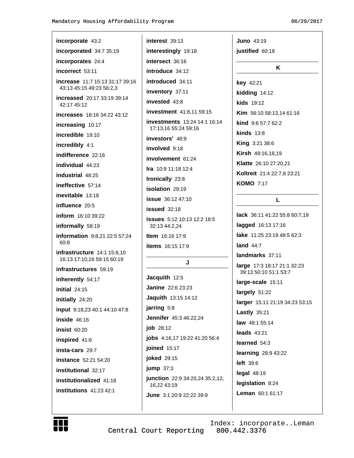| incorporate 43:2                           | interest 39:13                      | Juno $43:19$                                         |
|--------------------------------------------|-------------------------------------|------------------------------------------------------|
| incorporated 34:7 35:19                    | interestingly 19:18                 | justified 60:18                                      |
| incorporates 24:4                          | intersect 36:16                     |                                                      |
| incorrect 53:11                            | introduce 34:12                     | K                                                    |
| <b>increase</b> 11:7 15:13 31:17 39:16     | introduced 34:11                    | key 42:21                                            |
| 43:13 45:15 49:23 56:2,3                   | inventory 37:11                     | kidding 14:12                                        |
| increased 20:17 33:19 39:14<br>42:17 45:12 | invested 43:8                       | <b>kids</b> 19:12                                    |
| <b>increases</b> 18:16 34:22 43:12         | investment 41:8,11 59:15            | Kim 56:10 58:13,14 61:16                             |
| increasing 10:17                           | <b>investments</b> 13:24 14:1 16:14 | kind 9:6 57:7 62:2                                   |
| incredible 19:10                           | 17:13,16 55:24 59:16                | $kinds$ 13:8                                         |
| incredibly 4:1                             | investors' 48:9                     | King 3:21 38:6                                       |
| indifference 22:16                         | involved 9:18                       | Kirsh 49:16,18,19                                    |
| individual 44:23                           | involvement 61:24                   | Klatte 26:10 27:20,21                                |
| industrial 48:25                           | <b>Ira</b> $10:9$ 11:18 12:4        | Koltreit 21:4 22:7,8 23:21                           |
| ineffective 57:14                          | Ironically 23:8                     | <b>KOMO 7:17</b>                                     |
| inevitable 13:18                           | isolation 29:19                     |                                                      |
| influence 20:5                             | <b>issue</b> 36:12 47:10            | L.                                                   |
| <b>inform</b> 16:10 39:22                  | issued 32:18                        | <b>lack</b> 36:11 41:22 55:8 60:7,19                 |
|                                            | <b>issues</b> 5:12 10:13 12:2 18:5  | lagged 16:13 17:16                                   |
| informally 58:19                           | 32:13 44:2,24                       | <b>lake</b> 11:25 23:19 48:5 62:3                    |
| information 9:8,21 22:5 57:24<br>60:8      | <b>Item</b> $16:16$ 17:9            |                                                      |
| infrastructure 14:1 15:8,10                | <b>items</b> 16:15 17:9             | land $44:7$                                          |
| 16:13 17:10,16 59:15 60:19                 | J                                   | landmarks 37:11                                      |
| infrastructures 59:19                      |                                     | large 17:3 18:17 21:1 32:23<br>39:13 50:10 51:1 53:7 |
| inherently 54:17                           | Jacquith 12:5                       | large-scale 15:11                                    |
| initial 24:15                              | <b>Janine</b> 22:6 23:23            | largely 51:22                                        |
| initially 24:20                            | Jaquith 13:15 14:12                 | larger 15:11 21:19 34:23 53:15                       |
| input 9:18,23 40:1 44:10 47:8              | jarring 5:8                         | <b>Lastly 35:21</b>                                  |
| inside 46:16                               | Jennifer 45:3 46:22,24              | law 48:1 55:14                                       |
| <b>insist 60:20</b>                        | job 28:12                           | <b>leads</b> 43:21                                   |
| inspired 41:6                              | jobs 4:16,17 19:22 41:20 56:4       | learned 54:3                                         |
| insta-cars 29:7                            | joined 15:17                        | learning 28:9 43:22                                  |
| <b>instance</b> 52:21 54:20                | joked 29:15                         | left 39:6                                            |
| institutional 32:17                        | jump $37:3$                         |                                                      |
| institutionalized 41:18                    | junction 22:9 34:20,24 35:2,12,     | <b>legal 48:19</b>                                   |
| institutions 41:23 42:1                    | 16,22 43:19                         | legislation 8:24                                     |
|                                            | June 3:1 20:9 22:22 39:9            | Leman 60:1 61:17                                     |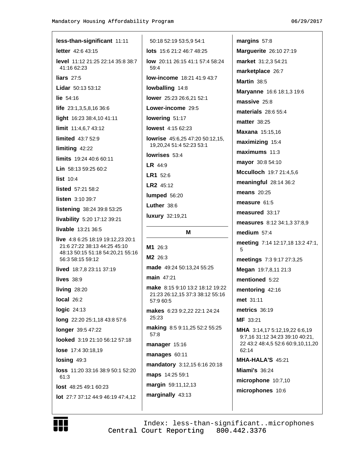| less-than-significant 11:11                                                          | 50:18 52:19 53:5,9 54:1                        |
|--------------------------------------------------------------------------------------|------------------------------------------------|
| <b>letter</b> 42:6 43:15                                                             | lots 15:6 21:2 46:7 48:25                      |
| <b>level</b> 11:12 21:25 22:14 35:8 38:7<br>41:16 62:23                              | <b>low</b> 20:11 26:15 41:1 57:4 58:24<br>59:4 |
| liars $27:5$                                                                         | low-income 18:21 41:9 43:7                     |
| Lidar 50:13 53:12                                                                    | lowballing 14:8                                |
| lie 54:16                                                                            | <b>lower</b> 25:23 26:6,21 52:1                |
| <b>life</b> $23:1,3,5,8,1636:6$                                                      | Lower-income 29:5                              |
| light 16:23 38:4,10 41:11                                                            | lowering 51:17                                 |
| limit 11:4,6,7 43:12                                                                 | lowest 4:15 62:23                              |
| <b>limited</b> 43:7 52:9                                                             | <b>lowrise</b> $45:6,25$ $47:20$ $50:12,15$ ,  |
| limiting 42:22                                                                       | 19,20,24 51:4 52:23 53:1                       |
| limits 19:24 40:6 60:11                                                              | lowrises 53:4                                  |
| <b>Lin</b> $58:1359:2560:2$                                                          | <b>LR</b> $44:9$                               |
| list 10:4                                                                            | LR1 52:6                                       |
| listed 57:21 58:2                                                                    | LR2 45:12                                      |
| listen 3:10 39:7                                                                     | lumped 56:20                                   |
| listening 38:24 39:8 53:25                                                           | Luther 38:6                                    |
| livability 5:20 17:12 39:21                                                          | luxury 32:19,21                                |
|                                                                                      |                                                |
| livable 13:21 36:5                                                                   |                                                |
| <b>live</b> 4:8 6:25 18:19 19:12,23 20:1                                             | м                                              |
| 21:6 27:22 38:13 44:25 45:10<br>48:13 50:15 51:18 54:20,21 55:16<br>56:3 58:15 59:12 | M1 26:3<br>M2 26:3                             |
| <b>lived</b> $18:7,823:1137:19$                                                      | made 49:24 50:13,24 55:25                      |
| lives $38:9$                                                                         | main 47:21                                     |
| living 28:20                                                                         | <b>make</b> 8:15 9:10 13:2 18:12 19:22         |
| local 26:2                                                                           | 21:23 26:12,15 37:3 38:12 55:16<br>57:9 60:5   |
| logic 24:13                                                                          | makes 6:23 9:2,22 22:1 24:24                   |
| long 22:20 25:1,18 43:8 57:6                                                         | 25:23                                          |
| longer 39:5 47:22                                                                    | making 8:5 9:11,25 52:2 55:25                  |
| looked 3:19 21:10 56:12 57:18                                                        | 57:8                                           |
| lose 17:4 30:18,19                                                                   | manager 15:16                                  |
| losing 49:3                                                                          | manages 60:11                                  |
| <b>loss</b> 11:20 33:16 38:9 50:1 52:20                                              | mandatory 3:12,15 6:16 20:18                   |
| 61:3                                                                                 | maps 14:25 59:1                                |
| <b>lost</b> $48:2549:160:23$                                                         | margin 59:11,12,13                             |
| <b>lot</b> 27:7 37:12 44:9 46:19 47:4,12                                             | marginally 43:13                               |

margins 57:8 Marguerite 26:10 27:19 market 31:2,3 54:21 marketplace 26:7 Martin 38:5 Maryanne 16:6 18:1,3 19:6 massive 25:8 materials 28:6 55:4 **matter** 38:25 **Maxana** 15:15,16 maximizing 15:4 maximums 11:3 mayor 30:8 54:10 Mcculloch 19:7 21:4,5,6 meaningful 28:14 36:2 **means** 20:25 measure 61:5 measured 33:17 measures 8:12 34:1,3 37:8,9 medium 57:4 meeting 7:14 12:17,18 13:2 47:1, 5 meetings 7:3 9:17 27:3,25 Megan 19:7,8,11 21:3 mentioned 5:22 mentoring 42:16 met 31:11 metrics 36:19 MF 33:21 MHA 3:14,17 5:12,19,22 6:6,19 9:7,16 31:12 34:23 39:10 40:21, 22 43:2 48:4,5 52:6 60:9,10,11,20 62:14 MHA-HALA'S 45:21 **Miami's 36:24** microphone 10:7,10 microphones 10:6



Index: less-than-significant..microphones Central Court Reporting 800.442.3376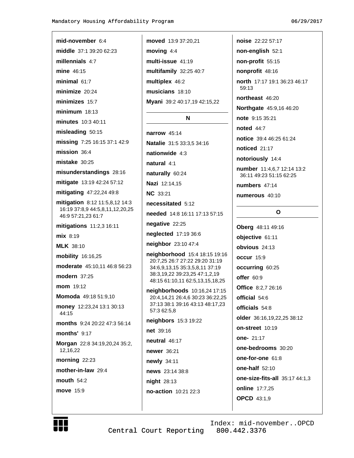mid-november 6:4

millennials 4:7

mine 46:15

minimal  $61.7$ 

minimize 20:24

minimizes 15:7

 $minimum$  18:13

minutes 10:3 40:11

misleading 50:15

mission 36:4

mistake 30:25

missing 7:25 16:15 37:1 42:9

misunderstandings 28:16

mitigate 13:19 42:24 57:12

mitigation 8:12 11:5,8,12 14:3

moderate 45:10,11 46:8 56:23

Momoda 49:18 51:9,10

money 12:23,24 13:1 30:13

months 9:24 20:22 47:3 56:14

Morgan 22:8 34:19,20,24 35:2,

16:19 37:8,9 44:5,8,11,12,20,25

mitigating 47:22,24 49:8

mitigations 11:2,3 16:11

46:9 57:21,23 61:7

mix 8:19

**MLK** 38:10

mobility 16:16,25

modern 37:25

mom 19:12

44:15

months' 9:17

morning  $22:23$ 

mother-in-law 29:4

12,16,22

mouth  $54:2$ 

move 15:9

middle 37:1 39:20 62:23

moved 13:9 37:20,21 moving  $4:4$ multi-issue 41:19 multifamily 32:25 40:7 multiplex 46:2 musicians 18:10

Myani 39:2 40:17,19 42:15,22

# N

narrow  $45:14$ Natalie 31:5 33:3,5 34:16 nationwide 4:3 natural 4:1

naturally 60:24

Nazi 12:14,15

**NC** 33:21

necessitated 5:12

needed 14:8 16:11 17:13 57:15

negative  $22:25$ 

neglected 17:19 36:6

neighbor 23:10 47:4

neighborhood 15:4 18:15 19:16 20:7,25 26:7 27:22 29:20 31:19 34:6,9,13,15 35:3,5,8,11 37:19 38:3,19,22 39:23,25 47:1,2,19 48:15 61:10,11 62:5,13,15,18,25

neighborhoods 10:16,24 17:15 20:4,14,21 26:4,6 30:23 36:22,25 37:13 38:1 39:16 43:13 48:17,23 57:3 62:5,8

neighbors 15:3 19:22 net 39:16 neutral 46:17 **newer** 36:21 newly 34:11

news 23:14 38:8

**night** 28:13

no-action 10:21 22:3

```
non-english 52:1
non-profit 55:15
nonprofit 48:16
north 17:17 19:1 36:23 46:17
 59.13northeast 46:20
Northgate 45:9,16 46:20
```
noise 22:22 57:17

note 9:15 35:21

**noted** 44:7

notice 39:4 46:25 61:24

noticed 21:17

notoriously 14:4

number 11:4,6,7 12:14 13:2 36:11 49:23 51:15 62:25

numbers 47:14

numerous 40:10

### $\mathbf{o}$

Oberg 48:11 49:16 objective 61:11 obvious 24:13 occur 15:9 occurring 60:25 offer 60:9 **Office** 8:2,7 26:16 official 54:6 officials 54:8 older 36:16,19,22,25 38:12 on-street 10:19 one- 21:17 one-bedrooms 30:20 one-for-one 61:8 one-half 52:10 one-size-fits-all 35:17 44:1,3 online 17:7,25 **OPCD** 43:1,9



Central Court Reporting

Index: mid-november..OPCD 800.442.3376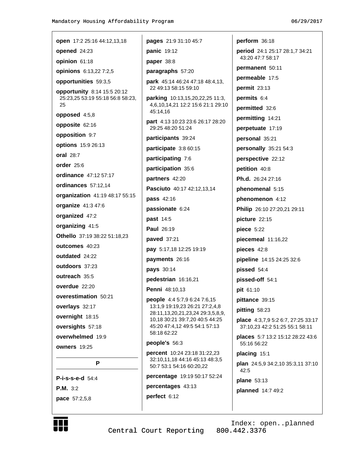| open 17:2 25:16 44:12,13,18            | pages 21:9 31:10 45:7                                                 | perform 36:18                                                        |
|----------------------------------------|-----------------------------------------------------------------------|----------------------------------------------------------------------|
| opened 24:23                           | panic 19:12                                                           | <b>period</b> 24:1 25:17 28:1,7 34:21                                |
| opinion 61:18                          | paper 38:8                                                            | 43:20 47:7 58:17                                                     |
| opinions 6:13,22 7:2,5                 | paragraphs 57:20                                                      | permanent 50:11                                                      |
| opportunities 59:3,5                   | park 45:14 46:24 47:18 48:4,13,                                       | permeable 17:5                                                       |
| opportunity 8:14 15:5 20:12            | 22 49:13 58:15 59:10                                                  | permit 23:13                                                         |
| 25:23,25 53:19 55:18 56:8 58:23,<br>25 | parking 10:13,15,20,22,25 11:3,<br>4,6,10,14,21 12:2 15:6 21:1 29:10  | permits 6:4                                                          |
| opposed 4:5,8                          | 45:14,16                                                              | permitted 32:6                                                       |
| opposite 62:16                         | part 4:13 10:23 23:6 26:17 28:20                                      | permitting 14:21                                                     |
| opposition 9:7                         | 29:25 48:20 51:24                                                     | perpetuate 17:19                                                     |
| options 15:9 26:13                     | participants 39:24                                                    | personal 35:21                                                       |
| oral 28:7                              | participate 3:8 60:15                                                 | personally 35:21 54:3                                                |
| order 25:6                             | participating 7:6                                                     | perspective 22:12                                                    |
| <b>ordinance</b> 47:12 57:17           | participation 35:6                                                    | petition 40:8                                                        |
| ordinances 57:12,14                    | partners 42:20                                                        | Ph.d. 26:24 27:16                                                    |
| organization 41:19 48:17 55:15         | Pasciuto 40:17 42:12,13,14                                            | phenomenal 5:15                                                      |
| organize 41:3 47:6                     | pass 42:16                                                            | phenomenon 4:12                                                      |
| organized 47:2                         | passionate 6:24                                                       | Philip 26:10 27:20,21 29:11                                          |
| organizing 41:5                        | <b>past 14:5</b>                                                      | picture 22:15                                                        |
| Othello 37:19 38:22 51:18,23           | <b>Paul 26:19</b>                                                     | piece 5:22                                                           |
| outcomes 40:23                         | paved 37:21                                                           | piecemeal 11:16,22                                                   |
| outdated 24:22                         | pay 5:17,18 12:25 19:19                                               | pieces 42:8                                                          |
| outdoors 37:23                         | payments 26:16                                                        | pipeline 14:15 24:25 32:6                                            |
| outreach 35:5                          | pays 30:14                                                            | pissed 54:4                                                          |
| overdue 22:20                          | pedestrian 16:16,21                                                   | pissed-off 54:1                                                      |
| overestimation 50:21                   | <b>Penni</b> 48:10,13                                                 | pit 61:10                                                            |
| overlays 32:17                         | people 4:4 5:7,9 6:24 7:6,15<br>13:1,9 19:19,23 26:21 27:2,4,8        | pittance 39:15                                                       |
| overnight 18:15                        | 28:11, 13, 20, 21, 23, 24 29: 3, 5, 8, 9,                             | pitting 58:23                                                        |
| oversights 57:18                       | 10,18 30:21 39:7,20 40:5 44:25<br>45:20 47:4,12 49:5 54:1 57:13       | place 4:3,7,9 5:2 6:7, 27:25 33:17<br>37:10,23 42:2 51:25 55:1 58:11 |
| overwhelmed 19:9                       | 58:18 62:22                                                           | places 5:7 13:2 15:12 28:22 43:6                                     |
| <b>owners 19:25</b>                    | people's 56:3                                                         | 55:16 56:22                                                          |
|                                        | <b>percent</b> 10:24 23:18 31:22,23<br>32:10,11,18 44:16 45:13 48:3,5 | placing 15:1                                                         |
| P                                      | 50:7 53:1 54:16 60:20,22                                              | plan 24:5,9 34:2,10 35:3,11 37:10                                    |
| $P-i-s-s-e-d 54:4$                     | percentage 19:19 50:17 52:24                                          | 42:5<br>plane 53:13                                                  |
| <b>P.M.</b> $3:2$                      | percentages 43:13                                                     | planned 14:7 49:2                                                    |
| pace 57:2,5,8                          | perfect 6:12                                                          |                                                                      |
|                                        |                                                                       |                                                                      |



Central Court Reporting

Index: open..planned<br>800.442.3376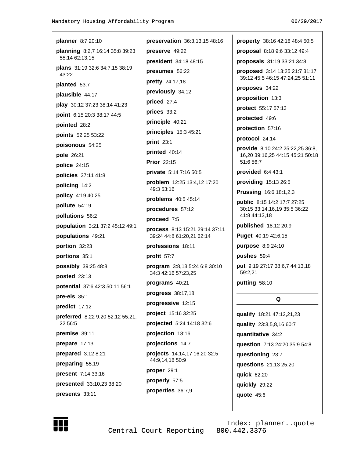| <b>planner</b> 8:7 20:10                       | preservation 36:3,13                         |
|------------------------------------------------|----------------------------------------------|
| planning 8:2,7 16:14 35:8 39:23                | preserve 49:22                               |
| 55:14 62:13,15                                 | president 34:18 48:15                        |
| <b>plans</b> 31:19 32:6 34:7,15 38:19<br>43:22 | presumes 56:22                               |
| planted 53:7                                   | pretty 24:17,18                              |
| plausible 44:17                                | previously 34:12                             |
| play 30:12 37:23 38:14 41:23                   | priced 27:4                                  |
| <b>point</b> 6:15 20:3 38:17 44:5              | prices 33:2                                  |
| pointed 28:2                                   | principle 40:21                              |
| <b>points</b> 52:25 53:22                      | principles 15:3 45:21                        |
| poisonous 54:25                                | print 23:1                                   |
| pole 26:21                                     | printed 40:14                                |
| <b>police</b> 24:15                            | <b>Prior</b> 22:15                           |
| policies 37:11 41:8                            | private 5:14 7:16 50:5                       |
| policing 14:2                                  | <b>problem</b> 12:25 13:4,1<br>49:3 53:16    |
| policy 4:19 40:25                              | problems 40:5 45:14                          |
| pollute 54:19                                  | procedures 57:12                             |
| pollutions 56:2                                | proceed 7:5                                  |
| population 3:21 37:2 45:12 49:1                | process 8:13 15:21 29                        |
| populations 49:21                              | 39:24 44:8 61:20,21 62                       |
| portion 32:23                                  | professions 18:11                            |
| portions 35:1                                  | profit 57:7                                  |
| possibly 39:25 48:8<br><b>posted</b> 23:13     | program 3:8,13 5:24 (<br>34:3 42:16 57:23,25 |
| <b>potential</b> 37:6 42:3 50:11 56:1          | programs 40:21                               |
| <b>pre-eis</b> 35:1                            | $process 38:17.18$                           |
| predict 17:12                                  | progressive 12:15                            |
| preferred 8:22 9:20 52:12 55:21,               | project 15:16 32:25                          |
| 22 56:5                                        | projected 5:24 14:18                         |
| <b>premise</b> 39:11                           | projection 18:16                             |
| prepare 17:13                                  | projections 14:7                             |
| prepared 3:12 8:21                             | projects 14:14,17 16:                        |
| preparing 55:19                                | 44:9,14,18 50:9                              |
| present 7:14 33:16                             | proper 29:1                                  |
| <b>presented</b> 33:10,23 38:20                | properly 57:5                                |
| presents 33:11                                 | properties 36:7,9                            |
|                                                |                                              |

3,13,15 48:16 property 38:16 42:18 48:4 50:5 proposal 8:18 9:6 33:12 49:4 18:15 proposals 31:19 33:21 34:8 proposed 3:14 13:25 21:7 31:17 39:12 45:5 46:15 47:24,25 51:11 proposes 34:22 proposition 13:3 protect 55:17 57:13 protected 49:6 protection 57:16 protocol 24:14 provide 8:10 24:2 25:22,25 36:8, 16,20 39:16,25 44:15 45:21 50:18 51:6 56:7 provided 6:4 43:1 50:5 providing 15:13 26:5 3:4,12 17:20 **Prussing 16:6 18:1,2,3** public 8:15 14:2 17:7 27:25 30:15 33:14,16,19 35:5 36:22 41:8 44:13.18 published 18:12 20:9 21 29:14 37:11 21 62:14 Puget 40:19 42:6,15 purpose 8:9 24:10 pushes 59:4  $: 246:830:10$ put 9:19 27:17 38:6,7 44:13,18 59:2,21 putting 58:10 Q qualify 18:21 47:12,21,23 4:18 32:6 quality 23:3,5,8,16 60:7 quantitative 34:2 question 7:13 24:20 35:9 54:8 16:20 32:5 questioning 23:7 questions 21:13 25:20 quick 62:20 quickly 29:22 quote  $45:6$ 



Central Court Reporting

Index: planner..quote 800.442.3376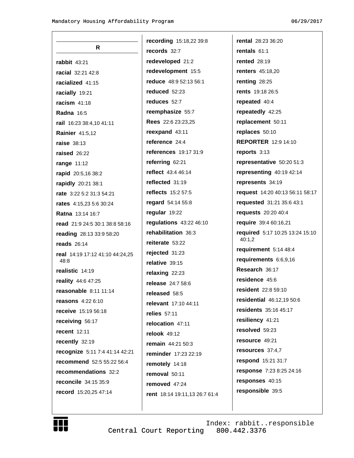$\overline{1}$ 

| R                                       |
|-----------------------------------------|
| <b>rabbit 43:21</b>                     |
| racial 32:21 42:8                       |
| racialized 41:15                        |
| racially 19:21                          |
| racism 41:18                            |
| <b>Radna 16:5</b>                       |
| rail 16:23 38:4,10 41:11                |
| Rainier 41:5,12                         |
| raise 38:13                             |
| raised 26:22                            |
| range 11:12                             |
| rapid 20:5,16 38:2                      |
| rapidly 20:21 38:1                      |
| rate 3:22 5:2 31:3 54:21                |
| rates 4:15,23 5:6 30:24                 |
| Ratna 13:14 16:7                        |
| read 21:9 24:5 30:1 38:8 58:16          |
| reading 28:13 33:9 58:20                |
| reads $26:14$                           |
| real 14:19 17:12 41:10 44:24,25<br>48:8 |
| realistic 14:19                         |
| reality 44:6 47:25                      |
| reasonable 8:11 11:14                   |
| reasons 4:22 6:10                       |
| receive 15:19 56:18                     |
| receiving 56:17                         |
| recent 12:11                            |
| recently 32:19                          |
| recognize 5:11 7:4 41:14 42:21          |
| recommend 52:5 55:22 56:4               |
| recommendations 32:2                    |
| reconcile 34:15 35:9                    |
| record 15:20,25 47:14                   |

recording 15:18,22 39:8 records 32:7 redeveloped 21:2 redevelopment 15:5 reduce 48:9 52:13 56:1 reduced 52:23 reduces 52:7 reemphasize 55:7 Rees 22:6 23:23,25 reexpand 43:11 reference 24:4 references 19:17 31:9 referring 62:21 reflect 43:4 46:14 reflected 31:19 reflects 15:2 57:5 regard 54:14 55:8 regular 19:22 regulations 43:22 46:10 rehabilitation 36:3 reiterate 53:22 rejected 31:23 relative 39:15 relaxing 22:23 release 24:7 58:6 released 58:5 relevant 17:10 44:11  $relies 57.11$ relocation 47:11 relook 49:12 remain 44:21 50:3 reminder 17:23 22:19 remotely 14:18 removal 50:11 removed 47:24 rent 18:14 19:11,13 26:7 61:4 rental 28:23 36:20 rentals 61:1 **rented** 28:19 **renters** 45:18,20 renting 28:25 rents 19:18 26:5 repeated 40:4 repeatedly 42:25 replacement 50:11 replaces 50:10 **REPORTER 12:9 14:10** reports 3:13 representative 50:20 51:3 representing 40:19 42:14 represents 34:19 request 14:20 40:13 56:11 58:17 requested 31:21 35:6 43:1 requests 20:20 40:4 require 39:4 60:16,21 required 5:17 10:25 13:24 15:10 40:1,2 requirement 5:14 48:4 requirements 6:6,9,16 Research 36:17 residence 45:6 resident 22:8 59:10 residential 46:12.19 50:6 residents 35:16 45:17 resiliency 41:21 resolved 59:23 resource 49:21 resources 37:4,7 respond 15:21 31:7 response 7:23 8:25 24:16 responses 40:15 responsible 39:5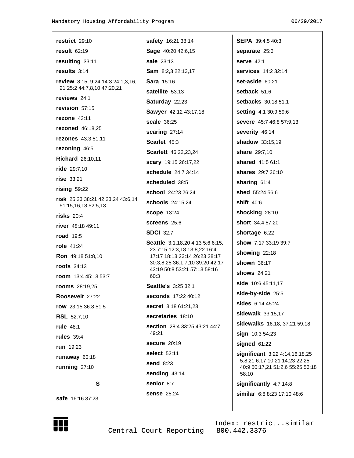| restrict $29:10$                                                | safety 16:21 38:14                                              | <b>SEPA</b> 39:4,5 40:3                                         |
|-----------------------------------------------------------------|-----------------------------------------------------------------|-----------------------------------------------------------------|
| result $62:19$                                                  | Sage 40:20 42:6,15                                              | separate 25:6                                                   |
| resulting 33:11                                                 | sale 23:13                                                      | serve $42:1$                                                    |
| results $3:14$                                                  | Sam 8:2,3 22:13,17                                              | <b>services</b> 14:2 32:14                                      |
| <b>review</b> 8:15, 9:24 14:3 24:1,3,16,                        | <b>Sara</b> 15:16                                               | set-aside 60:21                                                 |
| 21 25:2 44:7,8,10 47:20,21                                      | satellite 53:13                                                 | setback 51:6                                                    |
| reviews $24:1$                                                  | Saturday 22:23                                                  | setbacks 30:18 51:1                                             |
| revision 57:15                                                  | Sawyer 42:12 43:17,18                                           | <b>setting 4:1 30:9 59:6</b>                                    |
| <b>rezone</b> 43:11                                             | <b>scale</b> 36:25                                              | <b>severe</b> 45:7 46:8 57:9,13                                 |
| <b>rezoned</b> 46:18,25                                         | scaring 27:14                                                   | severity 46:14                                                  |
| rezones 43:3 51:11                                              | Scarlet 45:3                                                    | shadow 33:15,19                                                 |
| rezoning 46:5                                                   | <b>Scarlett</b> 46:22,23,24                                     | <b>share</b> 29:7,10                                            |
| <b>Richard</b> 26:10,11                                         | scary 19:15 26:17,22                                            | shared 41:5 61:1                                                |
| ride 29:7,10                                                    | schedule 24:7 34:14                                             | <b>shares</b> 29:7 36:10                                        |
| rise 33:21                                                      | scheduled 38:5                                                  | sharing 61:4                                                    |
| $rising$ 59:22                                                  | <b>school</b> 24:23 26:24                                       | shed 55:24 56:6                                                 |
| <b>risk</b> 25:23 38:21 42:23,24 43:6,14<br>51:15,16,18 52:5,13 | schools 24:15,24                                                | shift $40:6$                                                    |
| risks $20:4$                                                    | <b>scope 13:24</b>                                              | shocking 28:10                                                  |
| <b>river</b> 48:18 49:11                                        | <b>screens</b> 25:6                                             | short 34:4 57:20                                                |
| <b>road</b> 19:5                                                | <b>SDCI 32:7</b>                                                | shortage 6:22                                                   |
| role $41:24$                                                    | Seattle 3:1,18,20 4:13 5:6 6:15,                                | show 7:17 33:19 39:7                                            |
| <b>Ron</b> 49:18 51:8,10                                        | 23 7:15 12:3,18 13:8,22 16:4<br>17:17 18:13 23:14 26:23 28:17   | showing 22:18                                                   |
| <b>roofs</b> 34:13                                              | 30:3,8,25 36:1,7,10 39:20 42:17<br>43:19 50:8 53:21 57:13 58:16 | <b>shown</b> 36:17                                              |
| <b>room</b> $13:445:1353:7$                                     | 60:3                                                            | shows 24:21                                                     |
| <b>rooms</b> 28:19,25                                           | <b>Seattle's 3:25 32:1</b>                                      | side 10:6 45:11,17                                              |
| Roosevelt 27:22                                                 | seconds 17:22 40:12                                             | side-by-side 25:5                                               |
| row 23:15 36:8 51:5                                             | secret 3:18 61:21,23                                            | sides 6:14 45:24                                                |
| <b>RSL</b> 52:7,10                                              | secretaries 18:10                                               | sidewalk 33:15,17                                               |
| <b>rule</b> 48:1                                                | section 28:4 33:25 43:21 44:7                                   | sidewalks 16:18, 37:21 59:18                                    |
| rules $39:4$                                                    | 49:21                                                           | sign 10:3 54:23                                                 |
| <b>run</b> 19:23                                                | <b>secure</b> 20:19                                             | signed 61:22                                                    |
| runaway 60:18                                                   | select 52:11                                                    | significant 3:22 4:14,16,18,25<br>5:8,21 6:17 10:21 14:23 22:25 |
| running 27:10                                                   | send 8:23                                                       | 40:9 50:17,21 51:2,6 55:25 56:18                                |
|                                                                 | sending 43:14                                                   | 58:10                                                           |
| S                                                               | senior 8:7                                                      | significantly 4:7 14:8                                          |
| safe 16:16 37:23                                                | <b>sense</b> 25:24                                              | similar 6:8 8:23 17:10 48:6                                     |



Central Court Reporting 800.442.3376

Index: restrict..similar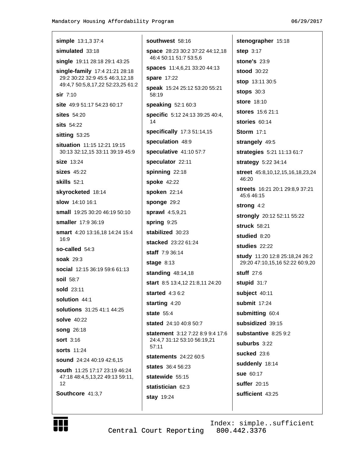| <b>simple</b> 13:1,3 37:4                                             | so         |
|-----------------------------------------------------------------------|------------|
| simulated 33:18                                                       | <b>sp</b>  |
| single 19:11 28:18 29:1 43:25                                         | 4          |
| single-family 17:4 21:21 28:18                                        | sp         |
| 29:2 30:22 32:9 45:5 46:3,12,18<br>49:4,7 50:5,8,17,22 52:23,25 61:2  | sp         |
| sir 7:10                                                              | sp<br>5١   |
| <b>site</b> 49:9 51:17 54:23 60:17                                    | sp         |
| $sites$ 54:20                                                         | sp         |
| <b>sits</b> 54:22                                                     | 1,         |
| sitting $53:25$                                                       | sp         |
| <b>situation</b> 11:15 12:21 19:15<br>30:13 32:12,15 33:11 39:19 45:9 | sp<br>sp   |
| size 13:24                                                            | <b>sp</b>  |
| $\textsf{sizes}$ 45:22                                                | sp         |
| <b>skills</b> 52:1                                                    | sp         |
| <b>skyrocketed</b> 18:14                                              | sp         |
| slow 14:10 16:1                                                       | sp         |
| <b>small</b> 19:25 30:20 46:19 50:10                                  | sp         |
| <b>smaller</b> 17:9 36:19                                             | sp         |
| smart 4:20 13:16,18 14:24 15:4<br>16:9                                | sta<br>sta |
| so-called $54:3$                                                      | sta        |
| soak 29:3                                                             | sta        |
| <b>social</b> 12:15 36:19 59:6 61:13                                  | sta        |
| <b>soil</b> 58:7                                                      | sta        |
| <b>sold</b> 23:11                                                     | sta        |
| solution 44:1                                                         | sta        |
| <b>solutions</b> 31:25 41:1 44:25                                     | sta        |
| <b>solve</b> 40:22                                                    | sta        |
| <b>song</b> 26:18                                                     | sta        |
| <b>sort</b> 3:16                                                      | 2.         |
| <b>sorts</b> 11:24                                                    | 5          |
| <b>sound</b> 24:24 40:19 42:6,15                                      | sta        |
| south 11:25 17:17 23:19 46:24                                         | sta        |
| 47:18 48:4,5,13,22 49:13 59:11,<br>12                                 | sta        |
| Southcore 41:3,7                                                      | sta        |
|                                                                       | sta        |

uthwest 58:16 ace 28:23 30:2 37:22 44:12,18 6:4 50:11 51:7 53:5,6 aces 11:4,6,21 33:20 44:13 are 17:22 eak 15:24 25:12 53:20 55:21  $8:19$ eaking 52:1 60:3 ecific 5:12 24:13 39:25 40:4, ecifically 17:3 51:14,15 eculation 48:9 eculative  $41.1057.7$ eculator 22:11 inning 22:18 oke 42:22 oken 22:14 onge 29:2 rawl 4:5,9,21  $ring 9:25$ abilized 30:23 acked 23:22 61:24 aff  $7:936:14$ age 8:13 anding 48:14,18 art 8:5 13:4,12 21:8,11 24:20 arted 4:36:2 arting  $4:20$ ate  $55:4$ ated 24:10 40:8 50:7 atement 3:12 7:22 8:9 9:4 17:6 4:4,7 31:12 53:10 56:19,21  $7:11$ atements 24:22 60:5 ates  $36:456:23$ atewide 55:15 atistician 62:3 ay 19:24

stenographer 15:18 step 3:17 stone's 23:9 stood 30:22 stop 13:11 30:5 stops  $30:3$ store 18:10 stores 15:6 21:1 stories 60:14 **Storm** 17:1 strangely 49:5 strategies 5:21 11:13 61:7 strategy 5:22 34:14 street 45:8,10,12,15,16,18,23,24 46:20 streets 16:21 20:1 29:8,9 37:21 45:6 46:15 strong 4:2 strongly 20:12 52:11 55:22 struck 58:21 studied 8:20 studies 22:22 study 11:20 12:8 25:18,24 26:2 29:20 47:10,15,16 52:22 60:9,20 **stuff 27:6** stupid 31:7 subject 40:11 submit 17:24 submitting 60:4 subsidized 39:15 substantive 8:25 9:2 suburbs  $3:22$ sucked 23:6 suddenly 18:14 sue 60:17 suffer  $20.15$ sufficient 43:25

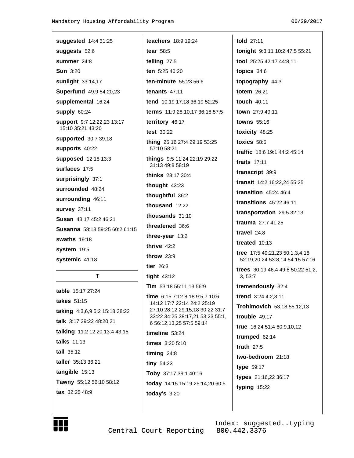| suggested 14:4 31:25                            |
|-------------------------------------------------|
| suggests 52:6                                   |
| summer 24:8                                     |
| <b>Sun</b> 3:20                                 |
| <b>sunlight</b> 33:14,17                        |
| Superfund 49:9 54:20,23                         |
| supplemental 16:24                              |
| supply 60:24                                    |
| support 9:7 12:22,23 13:17<br>15:10 35:21 43:20 |
| <b>supported</b> 30:7 39:18                     |
| supports 40:22                                  |
| supposed 12:18 13:3                             |
| surfaces 17:5                                   |
| surprisingly 37:1                               |
| surrounded 48:24                                |
| surrounding 46:11                               |
| survey 37:11                                    |
| <b>Susan</b> 43:17 45:2 46:21                   |
| <b>Susanna</b> 58:13 59:25 60:2 61:15           |
| <b>swaths</b> 19:18                             |
| system 19:5                                     |
| systemic 41:18                                  |
|                                                 |

# T

**table** 15:17 27:24 takes 51:15 taking 4:3,6,9 5:2 15:18 38:22 talk 3:17 29:22 48:20,21 talking 11:2 12:20 13:4 43:15 talks 11:13 tall  $35:12$ taller 35:13 36:21 tangible 15:13 Tawny 55:12 56:10 58:12 tax 32:25 48:9

teachers 18:9 19:24 tear  $58:5$ telling 27:5 ten 5:25 40:20 ten-minute  $55:23.56:6$ tenants  $47:11$ tend 10:19 17:18 36:19 52:25 terms 11:9 28:10,17 36:18 57:5 territory 46:17 test 30:22 thing 25:16 27:4 29:19 53:25 57:10 58:21 things 9:5 11:24 22:19 29:22 31:13 49:8 58:19 thinks 28:17 30:4 thought  $43:23$ thoughtful 36:2 thousand 12:22 thousands  $31:10$ threatened 36:6 three-year 13:2 thrive  $42:2$ throw  $23:9$ tier  $26:3$ tight  $43:12$ Tim 53:18 55:11,13 56:9 time 6:15 7:12 8:18 9:5,7 10:6 14:12 17:7 22:14 24:2 25:19 27:10 28:12 29:15,18 30:22 31:7 33:22 34:25 38:17,21 53:23 55:1, 6 56:12,13,25 57:5 59:14 timeline  $53:24$ times 3:20 5:10 timing 24:8 tiny  $54:23$ Toby 37:17 39:1 40:16 today 14:15 15:19 25:14,20 60:5

told 27:11 tonight 9:3,11 10:2 47:5 55:21 tool 25:25 42:17 44:8,11 topics  $34:6$ topography 44:3 totem 26:21 touch 40:11 town 27:9 49:11 towns 55:16 toxicity 48:25 toxics  $58:5$ traffic 18:6 19:1 44:2 45:14 traits  $17:11$ transcript 39:9 transit 14:2 16:22.24 55:25 transition  $45:24$   $46:4$ transitions 45:22 46:11 transportation 29:5 32:13 trauma 27:7 41:25 travel  $24:8$ treated  $10:13$ **tree**  $17:549:21,2350:1,3,4,18$ 52:19,20,24 53:8,14 54:15 57:16 trees 30:19 46:4 49:8 50:22 51:2, 3, 53:7 tremendously 32:4 trend 3:24 4:2,3,11 Trohimovich 53:18 55:12.13 trouble  $49:17$ true 16:24 51:4 60:9,10,12 trumped 62:14 truth  $27:5$ two-bedroom 21:18 type 59:17 types 21:16,22 36:17 typing 15:22



Central Court Reporting

today's  $3:20$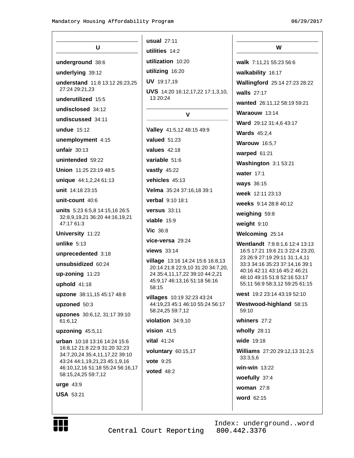|                                                                 | <b>usual</b> 27:11                                                           |                                                                   |
|-----------------------------------------------------------------|------------------------------------------------------------------------------|-------------------------------------------------------------------|
| U                                                               | utilities 14:2                                                               | W                                                                 |
| underground 38:6                                                | utilization 10:20                                                            | walk 7:11,21 55:23 56:6                                           |
|                                                                 | utilizing 16:20                                                              |                                                                   |
| underlying 39:12                                                | UV 19:17,19                                                                  | walkability 16:17                                                 |
| understand 11:8 13:12 26:23,25<br>27:24 29:21,23                | <b>UVS</b> 14:20 16:12,17,22 17:1,3,10,                                      | Wallingford 25:14 27:23 28:22                                     |
| underutilized 15:5                                              | 13 20:24                                                                     | walls 27:17                                                       |
| undisclosed 34:12                                               |                                                                              | wanted 26:11,12 58:19 59:21                                       |
| undiscussed 34:11                                               | $\mathbf{V}$                                                                 | Waraouw 13:14                                                     |
| undue 15:12                                                     | Valley 41:5,12 48:15 49:9                                                    | Ward 29:12 31:4,6 43:17                                           |
| unemployment 4:15                                               | valued $51:23$                                                               | <b>Wards</b> 45:2,4                                               |
| unfair $30:13$                                                  | <b>values</b> 42:18                                                          | <b>Warouw</b> 16:5,7                                              |
| unintended 59:22                                                | variable 51:6                                                                | warped 61:21                                                      |
| Union 11:25 23:19 48:5                                          | vastly 45:22                                                                 | Washington 3:1 53:21                                              |
| unique 44:1,2,24 61:13                                          | vehicles 45:13                                                               | water $17:1$                                                      |
| unit 14:18 23:15                                                | Velma 35:24 37:16,18 39:1                                                    | ways 36:15                                                        |
| unit-count $40:6$                                               | verbal 9:10 18:1                                                             | week 12:11 23:13                                                  |
| units 5:23 6:5,8 14:15,16 26:5                                  | <b>versus</b> 33:11                                                          | weeks 9:14 28:8 40:12                                             |
| 32:8,9,19,21 36:20 44:16,19,21                                  | viable $15:9$                                                                | weighing 59:8                                                     |
| 47:17 61:3                                                      | <b>Vic</b> 36:8                                                              | weight 9:10                                                       |
| University 11:22                                                | vice-versa 29:24                                                             | Welcoming 25:14                                                   |
| unlike $5:13$                                                   | views 33:14                                                                  | Wentlandt 7:8 8:1,6 12:4 13:13                                    |
| unprecedented 3:18                                              |                                                                              | 16:5 17:21 19:6 21:3 22:4 23:20,<br>23 26:9 27:19 29:11 31:1,4,11 |
| unsubsidized 60:24                                              | <b>village</b> 13:16 14:24 15:6 16:8,13<br>20:14 21:8 22:9,10 31:20 34:7,20, | 33:3 34:16 35:23 37:14,16 39:1<br>40:16 42:11 43:16 45:2 46:21    |
| up-zoning 11:23                                                 | 24 35:4,11,17,22 39:10 44:2,21                                               | 48:10 49:15 51:8 52:16 53:17                                      |
| uphold 41:18                                                    | 45:9,17 46:13,16 51:18 56:16<br>58:15                                        | 55:11 56:9 58:3,12 59:25 61:15                                    |
| upzone 38:11,15 45:17 48:8                                      | villages 10:19 32:23 43:24                                                   | west 19:2 23:14 43:19 52:10                                       |
| upzoned 50:3                                                    | 44:19,23 45:1 46:10 55:24 56:17                                              | Westwood-highland 58:15<br>59:10                                  |
| upzones 30:6,12, 31:17 39:10<br>61:6,12                         | 58:24,25 59:7,12<br>violation $34:9,10$                                      | whiners 27:2                                                      |
| upzoning $45:5,11$                                              | vision $41:5$                                                                | wholly $28:11$                                                    |
| urban 10:18 13:16 14:24 15:6                                    | vital 41:24                                                                  | wide 19:18                                                        |
| 16:8,12 21:8 22:9 31:20 32:23                                   | voluntary 60:15,17                                                           | <b>Williams</b> 27:20 29:12,13 31:2,5                             |
| 34:7,20,24 35:4,11,17,22 39:10<br>43:24 44:1,19,21,23 45:1,9,16 | <b>vote</b> 9:25                                                             | 33:3,5,6                                                          |
| 46:10,12,16 51:18 55:24 56:16,17                                | <b>voted</b> 48:2                                                            | win-win $13:22$                                                   |
| 58:15,24,25 59:7,12                                             |                                                                              | woefully 37:4                                                     |
| $urge 43:9$                                                     |                                                                              | woman $27:8$                                                      |
| <b>USA 53:21</b>                                                |                                                                              | word 62:15                                                        |
|                                                                 |                                                                              |                                                                   |



Index: underground..word<br>Central Court Reporting 800.442.3376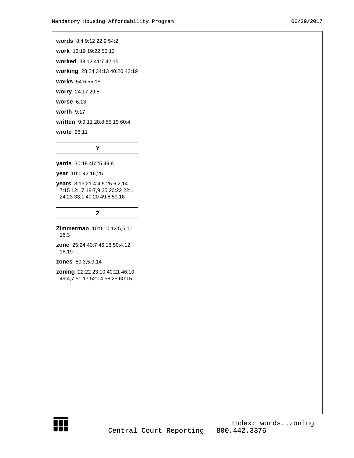# words 8:4 9:12 22:9 54:2 work 13:19 19:22 56:13 worked 38:12 41:7 42:15 working 28:24 34:13 40:20 42:19 works 54:6 55:15 worry 24:17 29:5 worse  $6:13$ worth 9:17 written 9:9,11 28:8 55:19 60:4 wrote 28:11 Y yards 30:18 45:25 49:8 year 10:1 42:16,25 years 3:19,21 4:4 5:25 6:2,14 7:15 12:17 18:7,9,25 20:22 22:1 24:23 33:1 40:20 49:6 59:16 Z Zimmerman 10:9,10 12:5,6,11 16:3 zone 25:24 40:7 46:18 50:4,12, 16,19 **zones** 50:3,5,9,14 zoning 22:22 23:10 40:21 46:10 49:4,7 51:17 52:14 58:25 60:15

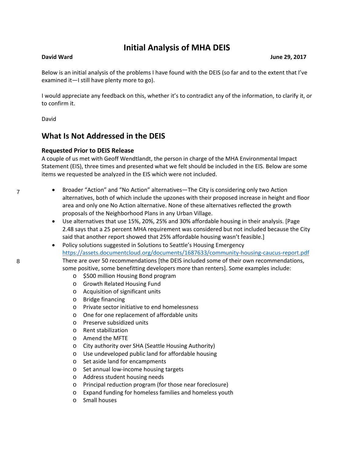# **Initial Analysis of MHA DEIS**

**David Ward June 29, 2017** 

Below is an initial analysis of the problems I have found with the DEIS (so far and to the extent that I've examined it—I still have plenty more to go).

I would appreciate any feedback on this, whether it's to contradict any of the information, to clarify it, or to confirm it.

David

# **What Is Not Addressed in the DEIS**

# **Requested Prior to DEIS Release**

A couple of us met with Geoff Wendtlandt, the person in charge of the MHA Environmental Impact Statement (EIS), three times and presented what we felt should be included in the EIS. Below are some items we requested be analyzed in the EIS which were not included.

- Broader "Action" and "No Action" alternatives—The City is considering only two Action alternatives, both of which include the upzones with their proposed increase in height and floor area and only one No Action alternative. None of these alternatives reflected the growth proposals of the Neighborhood Plans in any Urban Village.
- Use alternatives that use 15%, 20%, 25% and 30% affordable housing in their analysis. [Page 2.48 says that a 25 percent MHA requirement was considered but not included because the City said that another report showed that 25% affordable housing wasn't feasible.]
- Policy solutions suggested in Solutions to Seattle's Housing Emergency <https://assets.documentcloud.org/documents/1687633/community-housing-caucus-report.pdf> There are over 50 recommendations [the DEIS included some of their own recommendations, some positive, some benefitting developers more than renters]. Some examples include:
	- o \$500 million Housing Bond program
	- o Growth Related Housing Fund
	- o Acquisition of significant units
	- o Bridge financing
	- o Private sector initiative to end homelessness
	- o One for one replacement of affordable units
	- o Preserve subsidized units
	- o Rent stabilization
	- o Amend the MFTE
	- o City authority over SHA (Seattle Housing Authority)
	- o Use undeveloped public land for affordable housing
	- o Set aside land for encampments
	- o Set annual low-income housing targets
	- o Address student housing needs
	- o Principal reduction program (for those near foreclosure)
	- o Expand funding for homeless families and homeless youth
	- o Small houses

7